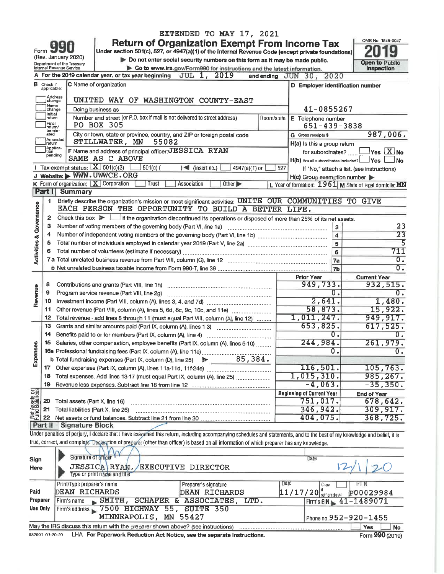|                         |                                        |                                                        | EXTENDED TO MAY 17, 2021                                                                                                                                                   |                                                         |                         |                                            |
|-------------------------|----------------------------------------|--------------------------------------------------------|----------------------------------------------------------------------------------------------------------------------------------------------------------------------------|---------------------------------------------------------|-------------------------|--------------------------------------------|
|                         | Form 99                                |                                                        | Return of Organization Exempt From Income Tax<br>Under section 501(c), 527, or 4947(a)(1) of the Internal Revenue Code (except private foundations)                        |                                                         |                         | OMB No. 1545-0047                          |
|                         |                                        | (Rev. January 2020)                                    | Do not enter social security numbers on this form as it may be made public.                                                                                                |                                                         |                         | Open to Public                             |
|                         |                                        | Department of the Treasury<br>Internal Revenue Service | Go to www.irs.gov/Form990 for instructions and the latest information.                                                                                                     |                                                         |                         | Inspection                                 |
|                         |                                        |                                                        | <b>JUL 1, 2019</b><br>A For the 2019 calendar year, or tax year beginning                                                                                                  | 2020<br>and ending JUN 30,                              |                         |                                            |
| в                       | Check if<br>applicable:                |                                                        | C Name of organization                                                                                                                                                     | D Employer identification number                        |                         |                                            |
|                         | change<br><b>Name</b>                  | Address                                                | UNITED WAY OF WASHINGTON COUNTY-EAST                                                                                                                                       |                                                         |                         |                                            |
|                         | change                                 |                                                        | Doing business as                                                                                                                                                          | 41-0855267                                              |                         |                                            |
|                         | Initial<br> return<br>Final<br>return/ |                                                        | Number and street (or P.O. box if mail is not delivered to street address)<br>Room/suite<br>PO BOX 305                                                                     | E Telephone number<br>651-439-3838                      |                         |                                            |
|                         | termin-<br>ated                        | Amended                                                | City or town, state or province, country, and ZIP or foreign postal code                                                                                                   | G Gross receipts \$                                     |                         | 987,006.                                   |
|                         | Ireturn<br>Applica-                    |                                                        | STILLWATER, MN<br>55082                                                                                                                                                    | H(a) Is this a group return                             |                         |                                            |
|                         | tion<br>pending                        |                                                        | F Name and address of principal officer: JESSICA RYAN                                                                                                                      | for subordinates?                                       |                         | Yes $X$ No                                 |
|                         |                                        |                                                        | SAME AS C ABOVE                                                                                                                                                            | H(b) Are all subordinates included?   Yes               |                         | ⊿No                                        |
|                         |                                        | Tax-exempt status: $X$ 501(c)(3)                       | $\leq$ (insert no.)<br>$501(c)$ (<br>4947(a)(1) or                                                                                                                         | 527                                                     |                         | If "No," attach a list. (see instructions) |
|                         |                                        |                                                        | J Website: > WWW.UWWCE.ORG                                                                                                                                                 | $H(c)$ Group exemption number                           |                         |                                            |
|                         |                                        | K Form of organization: X Corporation                  | Trust<br>Association<br>Other <sup>&gt;</sup>                                                                                                                              | L Year of formation: 1961 M State of legal domicile: MN |                         |                                            |
|                         | Part II                                | <b>Summary</b>                                         |                                                                                                                                                                            |                                                         |                         |                                            |
|                         | $\mathbf{1}$                           |                                                        | Briefly describe the organization's mission or most significant activities: UNITE OUR COMMUNITIES TO GIVE                                                                  |                                                         |                         |                                            |
| Activities & Governance |                                        |                                                        | EACH PERSON THE OPPORTUNITY TO BUILD A BETTER LIFE.                                                                                                                        |                                                         |                         |                                            |
|                         | 2                                      |                                                        | Check this box $\blacktriangleright$   if the organization discontinued its operations or disposed of more than 25% of its net assets.                                     |                                                         |                         |                                            |
|                         | з                                      |                                                        | Number of voting members of the governing body (Part VI, line 1a)                                                                                                          |                                                         | 3                       | 23                                         |
|                         | 4                                      |                                                        |                                                                                                                                                                            |                                                         | $\overline{\mathbf{4}}$ | $\overline{23}$                            |
|                         | 5                                      |                                                        |                                                                                                                                                                            |                                                         | 5                       | 5                                          |
|                         | 6                                      |                                                        |                                                                                                                                                                            |                                                         | 6                       | 711                                        |
|                         |                                        |                                                        |                                                                                                                                                                            | 7a                                                      |                         | 0.                                         |
|                         |                                        |                                                        |                                                                                                                                                                            | 7 <sub>b</sub>                                          |                         | 0.                                         |
|                         |                                        |                                                        |                                                                                                                                                                            |                                                         |                         |                                            |
|                         | 8                                      |                                                        |                                                                                                                                                                            | <b>Prior Year</b><br>949,733.                           |                         | <b>Current Year</b><br>932,515.            |
| Revenue                 |                                        |                                                        |                                                                                                                                                                            | σ.                                                      |                         |                                            |
|                         | 9                                      |                                                        |                                                                                                                                                                            |                                                         |                         | 0.                                         |
|                         | 10                                     |                                                        |                                                                                                                                                                            | 2,641.                                                  |                         | 1,480.                                     |
|                         | 11                                     |                                                        | Other revenue (Part VIII, column (A), lines 5, 6d, 8c, 9c, 10c, and 11e)                                                                                                   | 58,873.                                                 |                         | 15,922.                                    |
|                         | 12                                     |                                                        | Total revenue - add lines 8 through 11 (must equal Part Vill, column (A), line 12)                                                                                         | 1,011,247.                                              |                         | 949, 917.                                  |
|                         | 13                                     |                                                        | Grants and similar amounts paid (Part IX, column (A), lines 1-3)                                                                                                           | 653,825.                                                |                         | 617,525.                                   |
|                         | 14                                     |                                                        | Benefits paid to or for members (Part IX, column (A), line 4)                                                                                                              | Ο.                                                      |                         | 0.                                         |
|                         | 15                                     |                                                        | Salaries, other compensation, employee benefits (Part IX, column (A), lines 5-10)                                                                                          | 244,984.                                                |                         | 261,979.                                   |
| mses                    |                                        |                                                        | 16a Professional fundraising fees (Part IX, column (A), line 11e)                                                                                                          | $\overline{0}$ .                                        |                         | 0.                                         |
| Expe                    |                                        |                                                        | 85,384.<br>b Total fundraising expenses (Part IX, column (D), line 25)                                                                                                     |                                                         |                         |                                            |
|                         | 17                                     |                                                        |                                                                                                                                                                            | 116,501.                                                |                         | 105, 763.                                  |
|                         | 18                                     |                                                        | Total expenses. Add lines 13-17 (must equal Part IX, column (A), line 25)                                                                                                  | 1,015,310.                                              |                         | 985, 267.                                  |
|                         | 19                                     |                                                        |                                                                                                                                                                            | $-4,063.$                                               |                         | $-35, 350.$                                |
|                         |                                        |                                                        |                                                                                                                                                                            | <b>Beginning of Current Year</b>                        |                         | <b>End of Year</b>                         |
| Net Assets or           | 20                                     | Total assets (Part X, line 16)                         |                                                                                                                                                                            | 751,017.                                                |                         | 678,642.                                   |
|                         | 21                                     | Total liabilities (Part X, line 26)                    |                                                                                                                                                                            | 346,942.                                                |                         | 309, 917.                                  |
|                         | 22                                     |                                                        |                                                                                                                                                                            | 404,075.                                                |                         | 368, 725.                                  |
|                         | Part II                                | Signature Block                                        |                                                                                                                                                                            |                                                         |                         |                                            |
|                         |                                        |                                                        | Under penalties of perjury, I declare that I have examined this return, including accompanying schedules and statements, and to the best of my knowledge and belief, it is |                                                         |                         |                                            |
|                         |                                        |                                                        | true, correct, and complete. Declaration of preparer (other than officer) is based on all information of which preparer has any knowledge.                                 |                                                         |                         |                                            |
|                         |                                        |                                                        |                                                                                                                                                                            |                                                         |                         |                                            |
|                         |                                        | Signature of officer                                   |                                                                                                                                                                            | Date                                                    |                         |                                            |
| Sign                    |                                        |                                                        | <b>TRCCTON</b> DVAN<br>המחמססדם סזודתומספס/                                                                                                                                |                                                         | $\overline{2}$          |                                            |

| nere.           | OBDDICATAIAN, BABCOIIVB DIABCIOR                                                  |                      |                                       |
|-----------------|-----------------------------------------------------------------------------------|----------------------|---------------------------------------|
|                 | Type or print name and title                                                      |                      |                                       |
|                 | Print/Type preparer's name                                                        | Preparer's signature | Date<br>PTIN<br>Check                 |
| Paid            | <b>DEAN RICHARDS</b>                                                              | DEAN RICHARDS        | P00029984<br>$11/17/20$ self-employed |
| Preparer        | SMITH, SCHAFER & ASSOCIATES,<br>Firm's name                                       | LTD.                 | Firm's EIN $\leq 41 - 1489071$        |
| <b>Use Only</b> | Firm's address 7500 HIGHWAY 55, SUITE 350                                         |                      |                                       |
|                 | MINNEAPOLIS, MN 55427                                                             |                      | Phone no. 952-920-1455                |
|                 | May the IRS discuss this return with the preparer shown above? (see instructions) |                      | <b>Yes</b><br><b>No</b>               |

932001 01-20-20 LHA For Paperwork Reduction Act Notice, see the separate instructions.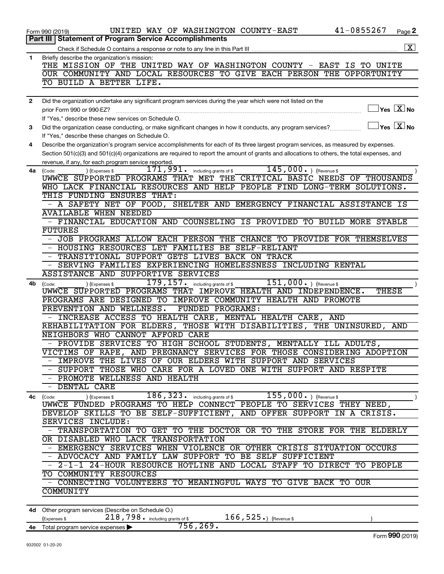|              | 41-0855267<br>UNITED WAY OF WASHINGTON COUNTY-EAST<br>Page 2<br>Form 990 (2019)                                                                  |
|--------------|--------------------------------------------------------------------------------------------------------------------------------------------------|
|              | Part III   Statement of Program Service Accomplishments                                                                                          |
|              | $\boxed{\mathbf{X}}$                                                                                                                             |
| 1            | Briefly describe the organization's mission:                                                                                                     |
|              | THE MISSION OF THE UNITED WAY OF WASHINGTON COUNTY - EAST IS TO UNITE                                                                            |
|              | OUR COMMUNITY AND LOCAL RESOURCES TO GIVE EACH PERSON THE OPPORTUNITY                                                                            |
|              | TO BUILD A BETTER LIFE.                                                                                                                          |
|              |                                                                                                                                                  |
| $\mathbf{2}$ | Did the organization undertake any significant program services during the year which were not listed on the                                     |
|              | $\exists$ Yes $\boxed{\text{X}}$ No<br>prior Form 990 or 990-EZ?                                                                                 |
|              | If "Yes," describe these new services on Schedule O.                                                                                             |
| 3            | $\Box$ Yes $\boxed{\text{X}}$ No<br>Did the organization cease conducting, or make significant changes in how it conducts, any program services? |
|              | If "Yes," describe these changes on Schedule O.                                                                                                  |
| 4            | Describe the organization's program service accomplishments for each of its three largest program services, as measured by expenses.             |
|              | Section 501(c)(3) and 501(c)(4) organizations are required to report the amount of grants and allocations to others, the total expenses, and     |
|              | revenue, if any, for each program service reported.                                                                                              |
|              | $145,000.$ (Revenue \$)<br>$171,991$ $\cdot$ including grants of \$<br>4a (Code:<br>) (Expenses \$                                               |
|              | UWWCE SUPPORTED PROGRAMS THAT MET THE CRITICAL BASIC NEEDS OF THOUSANDS                                                                          |
|              | WHO LACK FINANCIAL RESOURCES AND HELP PEOPLE FIND LONG-TERM SOLUTIONS.                                                                           |
|              | THIS FUNDING ENSURES THAT:                                                                                                                       |
|              | - A SAFETY NET OF FOOD, SHELTER AND EMERGENCY FINANCIAL ASSISTANCE IS                                                                            |
|              | <b>AVAILABLE WHEN NEEDED</b>                                                                                                                     |
|              | - FINANCIAL EDUCATION AND COUNSELING IS PROVIDED TO BUILD MORE STABLE                                                                            |
|              | <b>FUTURES</b>                                                                                                                                   |
|              | JOB PROGRAMS ALLOW EACH PERSON THE CHANCE TO PROVIDE FOR THEMSELVES                                                                              |
|              | - HOUSING RESOURCES LET FAMILIES BE SELF-RELIANT                                                                                                 |
|              | - TRANSITIONAL SUPPORT GETS LIVES BACK ON TRACK                                                                                                  |
|              | - SERVING FAMILIES EXPERIENCING HOMELESSNESS INCLUDING RENTAL                                                                                    |
|              | <b>ASSISTANCE AND SUPPORTIVE SERVICES</b>                                                                                                        |
| 4b           | 179, 157. including grants of \$<br>$151,000.$ (Revenue \$<br>) (Expenses \$<br>(Code:                                                           |
|              | UWWCE SUPPORTED PROGRAMS THAT IMPROVE HEALTH AND INDEPENDENCE.<br>THESE                                                                          |
|              | PROGRAMS ARE DESIGNED TO IMPROVE COMMUNITY HEALTH AND PROMOTE                                                                                    |
|              | PREVENTION AND WELLNESS.<br>FUNDED PROGRAMS:                                                                                                     |
|              | INCREASE ACCESS TO HEALTH CARE, MENTAL HEALTH CARE, AND                                                                                          |
|              | REHABILITATION FOR ELDERS, THOSE WITH DISABILITIES, THE UNINSURED, AND                                                                           |
|              | NEIGHBORS WHO CANNOT AFFORD CARE                                                                                                                 |
|              | - PROVIDE SERVICES TO HIGH SCHOOL STUDENTS, MENTALLY ILL ADULTS,                                                                                 |
|              | VICTIMS OF RAPE, AND PREGNANCY SERVICES FOR THOSE CONSIDERING ADOPTION                                                                           |
|              | - IMPROVE THE LIVES OF OUR ELDERS WITH SUPPORT AND SERVICES                                                                                      |
|              | - SUPPORT THOSE WHO CARE FOR A LOVED ONE WITH SUPPORT AND RESPITE                                                                                |
|              | - PROMOTE WELLNESS AND HEALTH                                                                                                                    |
|              | - DENTAL CARE                                                                                                                                    |
|              | $186$ , $323$ or including grants of \$<br>$155,000.$ ) (Revenue \$<br>) (Expenses \$<br>4c (Code:                                               |
|              | UWWCE FUNDED PROGRAMS TO HELP CONNECT PEOPLE TO SERVICES THEY NEED,                                                                              |
|              | DEVELOP SKILLS TO BE SELF-SUFFICIENT, AND OFFER SUPPORT IN A CRISIS.                                                                             |
|              | SERVICES INCLUDE:                                                                                                                                |
|              | - TRANSPORTATION TO GET TO THE DOCTOR OR TO THE STORE FOR THE ELDERLY                                                                            |
|              | OR DISABLED WHO LACK TRANSPORTATION                                                                                                              |
|              | - EMERGENCY SERVICES WHEN VIOLENCE OR OTHER CRISIS SITUATION OCCURS                                                                              |
|              | - ADVOCACY AND FAMILY LAW SUPPORT TO BE SELF SUFFICIENT                                                                                          |
|              | - 2-1-1 24-HOUR RESOURCE HOTLINE AND LOCAL STAFF TO DIRECT TO PEOPLE                                                                             |
|              | TO COMMUNITY RESOURCES                                                                                                                           |
|              | - CONNECTING VOLUNTEERS TO MEANINGFUL WAYS TO GIVE BACK TO OUR                                                                                   |
|              | COMMUNITY                                                                                                                                        |
|              |                                                                                                                                                  |
|              | 4d Other program services (Describe on Schedule O.)                                                                                              |

(Expenses \$ $218$  ,  $798$   $\cdot$  including grants of \$ $166$  ,  $525$   $\cdot$  ) (Revenue \$ **4e** Total program service expenses | 756,269.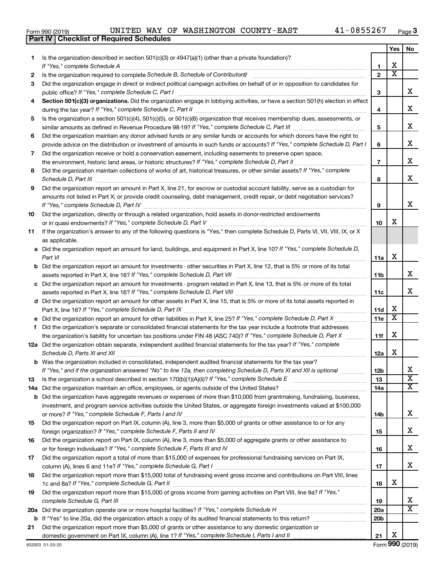|  | Form 990 (2019) |
|--|-----------------|
|  |                 |

**Part IV Checklist of Required Schedules**

|    |                                                                                                                                                                                          |                 | Yes                        | No                      |
|----|------------------------------------------------------------------------------------------------------------------------------------------------------------------------------------------|-----------------|----------------------------|-------------------------|
| 1. | Is the organization described in section 501(c)(3) or 4947(a)(1) (other than a private foundation)?                                                                                      |                 |                            |                         |
|    |                                                                                                                                                                                          | 1               | X<br>$\overline{\text{x}}$ |                         |
| 2  |                                                                                                                                                                                          | $\mathbf{2}$    |                            |                         |
| 3  | Did the organization engage in direct or indirect political campaign activities on behalf of or in opposition to candidates for                                                          |                 |                            | x                       |
| 4  | public office? If "Yes," complete Schedule C, Part I<br>Section 501(c)(3) organizations. Did the organization engage in lobbying activities, or have a section 501(h) election in effect | 3               |                            |                         |
|    |                                                                                                                                                                                          | 4               |                            | x                       |
| 5  | Is the organization a section 501(c)(4), 501(c)(5), or 501(c)(6) organization that receives membership dues, assessments, or                                                             |                 |                            |                         |
|    |                                                                                                                                                                                          | 5               |                            | х                       |
| 6  | Did the organization maintain any donor advised funds or any similar funds or accounts for which donors have the right to                                                                |                 |                            |                         |
|    | provide advice on the distribution or investment of amounts in such funds or accounts? If "Yes," complete Schedule D, Part I                                                             | 6               |                            | х                       |
| 7  | Did the organization receive or hold a conservation easement, including easements to preserve open space,                                                                                |                 |                            |                         |
|    | the environment, historic land areas, or historic structures? If "Yes," complete Schedule D, Part II                                                                                     | $\overline{7}$  |                            | х                       |
| 8  | Did the organization maintain collections of works of art, historical treasures, or other similar assets? If "Yes," complete                                                             |                 |                            |                         |
|    |                                                                                                                                                                                          | 8               |                            | х                       |
| 9  | Did the organization report an amount in Part X, line 21, for escrow or custodial account liability, serve as a custodian for                                                            |                 |                            |                         |
|    | amounts not listed in Part X; or provide credit counseling, debt management, credit repair, or debt negotiation services?                                                                |                 |                            |                         |
|    |                                                                                                                                                                                          | 9               |                            | х                       |
| 10 | Did the organization, directly or through a related organization, hold assets in donor-restricted endowments                                                                             |                 |                            |                         |
|    |                                                                                                                                                                                          | 10              | х                          |                         |
| 11 | If the organization's answer to any of the following questions is "Yes," then complete Schedule D, Parts VI, VII, VIII, IX, or X<br>as applicable.                                       |                 |                            |                         |
|    | a Did the organization report an amount for land, buildings, and equipment in Part X, line 10? If "Yes," complete Schedule D,                                                            |                 |                            |                         |
|    |                                                                                                                                                                                          | 11a             | X                          |                         |
|    | <b>b</b> Did the organization report an amount for investments - other securities in Part X, line 12, that is 5% or more of its total                                                    |                 |                            |                         |
|    |                                                                                                                                                                                          | 11 <sub>b</sub> |                            | х                       |
|    | c Did the organization report an amount for investments - program related in Part X, line 13, that is 5% or more of its total                                                            |                 |                            |                         |
|    |                                                                                                                                                                                          | 11c             |                            | х                       |
|    | d Did the organization report an amount for other assets in Part X, line 15, that is 5% or more of its total assets reported in                                                          |                 |                            |                         |
|    |                                                                                                                                                                                          | 11d             | X                          |                         |
|    |                                                                                                                                                                                          | 11e             | $\overline{\mathbf{x}}$    |                         |
| f  | Did the organization's separate or consolidated financial statements for the tax year include a footnote that addresses                                                                  |                 |                            |                         |
|    | the organization's liability for uncertain tax positions under FIN 48 (ASC 740)? If "Yes," complete Schedule D, Part X                                                                   | 11f             | X                          |                         |
|    | 12a Did the organization obtain separate, independent audited financial statements for the tax year? If "Yes," complete<br>Schedule D, Parts XI and XII                                  |                 | х                          |                         |
|    | b Was the organization included in consolidated, independent audited financial statements for the tax year?                                                                              | 12a             |                            |                         |
|    | If "Yes," and if the organization answered "No" to line 12a, then completing Schedule D, Parts XI and XII is optional                                                                    | 12 <sub>b</sub> |                            |                         |
| 13 |                                                                                                                                                                                          | 13              |                            | $\overline{\textbf{x}}$ |
|    |                                                                                                                                                                                          | 14a             |                            | $\overline{\mathbf{X}}$ |
|    | <b>b</b> Did the organization have aggregate revenues or expenses of more than \$10,000 from grantmaking, fundraising, business,                                                         |                 |                            |                         |
|    | investment, and program service activities outside the United States, or aggregate foreign investments valued at \$100,000                                                               |                 |                            |                         |
|    |                                                                                                                                                                                          | 14b             |                            | x                       |
| 15 | Did the organization report on Part IX, column (A), line 3, more than \$5,000 of grants or other assistance to or for any                                                                |                 |                            |                         |
|    |                                                                                                                                                                                          | 15              |                            | x                       |
| 16 | Did the organization report on Part IX, column (A), line 3, more than \$5,000 of aggregate grants or other assistance to                                                                 |                 |                            |                         |
|    |                                                                                                                                                                                          | 16              |                            | x                       |
| 17 | Did the organization report a total of more than \$15,000 of expenses for professional fundraising services on Part IX,                                                                  |                 |                            | x                       |
| 18 | Did the organization report more than \$15,000 total of fundraising event gross income and contributions on Part VIII, lines                                                             | 17              |                            |                         |
|    |                                                                                                                                                                                          | 18              | х                          |                         |
| 19 | Did the organization report more than \$15,000 of gross income from gaming activities on Part VIII, line 9a? If "Yes,"                                                                   |                 |                            |                         |
|    |                                                                                                                                                                                          | 19              |                            | x                       |
|    |                                                                                                                                                                                          | 20a             |                            | $\overline{\mathtt{x}}$ |
|    |                                                                                                                                                                                          | 20 <sub>b</sub> |                            |                         |
| 21 | Did the organization report more than \$5,000 of grants or other assistance to any domestic organization or                                                                              |                 |                            |                         |
|    |                                                                                                                                                                                          | 21              | х                          |                         |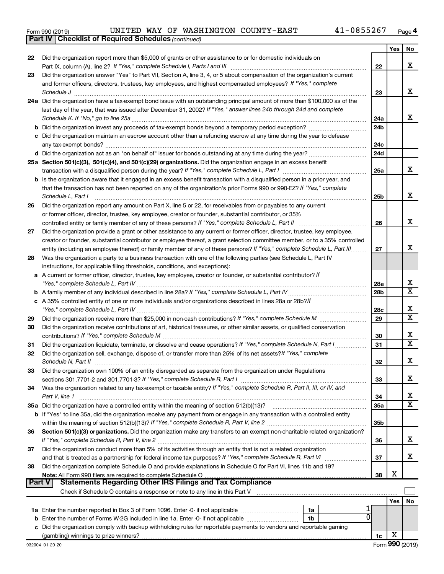|  | Form 990 (2019) |
|--|-----------------|
|  |                 |

*(continued)* **Part IV Checklist of Required Schedules**

|          |                                                                                                                                                                 |                 | Yes | No                      |
|----------|-----------------------------------------------------------------------------------------------------------------------------------------------------------------|-----------------|-----|-------------------------|
| 22       | Did the organization report more than \$5,000 of grants or other assistance to or for domestic individuals on                                                   |                 |     |                         |
|          |                                                                                                                                                                 | 22              |     | X                       |
| 23       | Did the organization answer "Yes" to Part VII, Section A, line 3, 4, or 5 about compensation of the organization's current                                      |                 |     |                         |
|          | and former officers, directors, trustees, key employees, and highest compensated employees? If "Yes," complete                                                  |                 |     |                         |
|          |                                                                                                                                                                 | 23              |     | х                       |
|          | 24a Did the organization have a tax-exempt bond issue with an outstanding principal amount of more than \$100,000 as of the                                     |                 |     |                         |
|          | last day of the year, that was issued after December 31, 2002? If "Yes," answer lines 24b through 24d and complete                                              |                 |     |                         |
|          |                                                                                                                                                                 | 24a             |     | x                       |
|          |                                                                                                                                                                 | 24 <sub>b</sub> |     |                         |
|          | c Did the organization maintain an escrow account other than a refunding escrow at any time during the year to defease                                          |                 |     |                         |
|          |                                                                                                                                                                 | 24c             |     |                         |
|          |                                                                                                                                                                 | 24d             |     |                         |
|          | 25a Section 501(c)(3), 501(c)(4), and 501(c)(29) organizations. Did the organization engage in an excess benefit                                                |                 |     | x                       |
|          |                                                                                                                                                                 | 25a             |     |                         |
|          | b Is the organization aware that it engaged in an excess benefit transaction with a disqualified person in a prior year, and                                    |                 |     |                         |
|          | that the transaction has not been reported on any of the organization's prior Forms 990 or 990-EZ? If "Yes," complete                                           |                 |     | х                       |
|          | Schedule L, Part I                                                                                                                                              | 25b             |     |                         |
| 26       | Did the organization report any amount on Part X, line 5 or 22, for receivables from or payables to any current                                                 |                 |     |                         |
|          | or former officer, director, trustee, key employee, creator or founder, substantial contributor, or 35%                                                         | 26              |     | х                       |
| 27       | Did the organization provide a grant or other assistance to any current or former officer, director, trustee, key employee,                                     |                 |     |                         |
|          | creator or founder, substantial contributor or employee thereof, a grant selection committee member, or to a 35% controlled                                     |                 |     |                         |
|          | entity (including an employee thereof) or family member of any of these persons? If "Yes," complete Schedule L, Part III                                        | 27              |     | х                       |
| 28       | Was the organization a party to a business transaction with one of the following parties (see Schedule L, Part IV                                               |                 |     |                         |
|          | instructions, for applicable filing thresholds, conditions, and exceptions):                                                                                    |                 |     |                         |
|          | a A current or former officer, director, trustee, key employee, creator or founder, or substantial contributor? If                                              |                 |     |                         |
|          |                                                                                                                                                                 | 28a             |     | X                       |
|          |                                                                                                                                                                 | 28 <sub>b</sub> |     | X                       |
|          | c A 35% controlled entity of one or more individuals and/or organizations described in lines 28a or 28b?If                                                      |                 |     |                         |
|          |                                                                                                                                                                 | 28c             |     | х                       |
| 29       |                                                                                                                                                                 | 29              |     | $\overline{\text{x}}$   |
| 30       | Did the organization receive contributions of art, historical treasures, or other similar assets, or qualified conservation                                     |                 |     |                         |
|          |                                                                                                                                                                 | 30              |     | х                       |
| 31       | Did the organization liquidate, terminate, or dissolve and cease operations? If "Yes," complete Schedule N, Part I                                              | 31              |     | X                       |
| 32       | Did the organization sell, exchange, dispose of, or transfer more than 25% of its net assets? If "Yes," complete                                                |                 |     |                         |
|          |                                                                                                                                                                 | 32              |     | х                       |
| 33       | Did the organization own 100% of an entity disregarded as separate from the organization under Regulations                                                      |                 |     |                         |
|          |                                                                                                                                                                 | 33              |     | х                       |
| 34       | Was the organization related to any tax-exempt or taxable entity? If "Yes," complete Schedule R, Part II, III, or IV, and                                       |                 |     |                         |
|          | Part V, line 1                                                                                                                                                  | 34              |     | х                       |
|          |                                                                                                                                                                 | 35a             |     | $\overline{\textbf{X}}$ |
|          | <b>b</b> If "Yes" to line 35a, did the organization receive any payment from or engage in any transaction with a controlled entity                              |                 |     |                         |
|          |                                                                                                                                                                 | 35b             |     |                         |
| 36       | Section 501(c)(3) organizations. Did the organization make any transfers to an exempt non-charitable related organization?                                      |                 |     |                         |
|          |                                                                                                                                                                 | 36              |     | х                       |
| 37       | Did the organization conduct more than 5% of its activities through an entity that is not a related organization                                                |                 |     |                         |
|          | and that is treated as a partnership for federal income tax purposes? If "Yes," complete Schedule R, Part VI                                                    | 37              |     | x                       |
| 38       | Did the organization complete Schedule O and provide explanations in Schedule O for Part VI, lines 11b and 19?                                                  |                 | х   |                         |
| ∣ Part V | <b>Statements Regarding Other IRS Filings and Tax Compliance</b>                                                                                                | 38              |     |                         |
|          |                                                                                                                                                                 |                 |     |                         |
|          | Check if Schedule O contains a response or note to any line in this Part V [11] [12] Check if Schedule O contains a response or note to any line in this Part V |                 | Yes |                         |
|          | 1a                                                                                                                                                              |                 |     | No                      |
|          | 1b                                                                                                                                                              |                 |     |                         |
|          | c Did the organization comply with backup withholding rules for reportable payments to vendors and reportable gaming                                            |                 |     |                         |
|          |                                                                                                                                                                 | 1c              | х   |                         |
|          |                                                                                                                                                                 |                 |     |                         |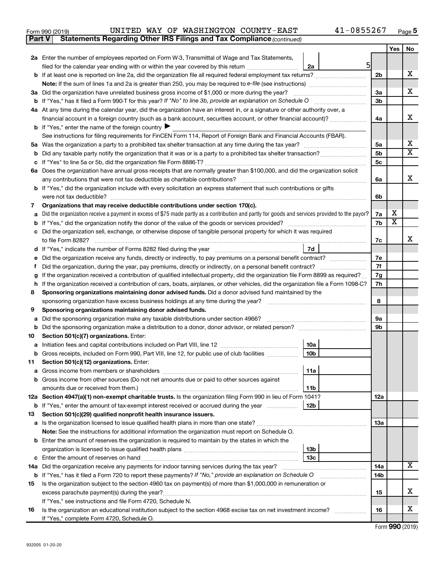| Form 990 (2019) |  |  | UNITED WAY OF WASHINGTON COUNTY-EAST                                                | $41 - 0855267$ | Page |
|-----------------|--|--|-------------------------------------------------------------------------------------|----------------|------|
|                 |  |  | <b>Part V</b> Statements Regarding Other IRS Filings and Tax Compliance (continued) |                |      |

| 2a Enter the number of employees reported on Form W-3, Transmittal of Wage and Tax Statements,<br>51<br>filed for the calendar year ending with or within the year covered by this return <i>[[[[[[[[[[[[[]]]]</i><br>2a<br>х<br><b>b</b> If at least one is reported on line 2a, did the organization file all required federal employment tax returns?<br>2 <sub>b</sub><br>х<br>За<br>3a Did the organization have unrelated business gross income of \$1,000 or more during the year?<br>3 <sub>b</sub><br><b>b</b> If "Yes," has it filed a Form 990-T for this year? If "No" to line 3b, provide an explanation on Schedule O<br>4a At any time during the calendar year, did the organization have an interest in, or a signature or other authority over, a<br>х<br>financial account in a foreign country (such as a bank account, securities account, or other financial account)?<br>4a<br><b>b</b> If "Yes," enter the name of the foreign country $\blacktriangleright$<br>See instructions for filing requirements for FinCEN Form 114, Report of Foreign Bank and Financial Accounts (FBAR).<br>х<br>5a<br>х<br>5b<br>b<br>5c<br>6a Does the organization have annual gross receipts that are normally greater than \$100,000, and did the organization solicit<br>х<br>6a<br><b>b</b> If "Yes," did the organization include with every solicitation an express statement that such contributions or gifts<br>were not tax deductible?<br>6b<br>Organizations that may receive deductible contributions under section 170(c).<br>7<br>х<br>Did the organization receive a payment in excess of \$75 made partly as a contribution and partly for goods and services provided to the payor?<br>7a<br>a<br>X<br><b>b</b> If "Yes," did the organization notify the donor of the value of the goods or services provided?<br>7b<br>c Did the organization sell, exchange, or otherwise dispose of tangible personal property for which it was required<br>х<br>7с<br>7d<br>d<br>7e<br>Did the organization receive any funds, directly or indirectly, to pay premiums on a personal benefit contract?<br>е<br>7f<br>Did the organization, during the year, pay premiums, directly or indirectly, on a personal benefit contract?<br>f<br>If the organization received a contribution of qualified intellectual property, did the organization file Form 8899 as required?<br>7g<br>g<br>If the organization received a contribution of cars, boats, airplanes, or other vehicles, did the organization file a Form 1098-C?<br>7h<br>h.<br>Sponsoring organizations maintaining donor advised funds. Did a donor advised fund maintained by the<br>8<br>8<br>Sponsoring organizations maintaining donor advised funds.<br>9<br>Did the sponsoring organization make any taxable distributions under section 4966?<br>9а<br>a<br>9b<br>Section 501(c)(7) organizations. Enter:<br>10<br>10a<br>10 <sub>b</sub><br>b Gross receipts, included on Form 990, Part VIII, line 12, for public use of club facilities<br>11 Section 501(c)(12) organizations. Enter:<br>  11a<br><b>b</b> Gross income from other sources (Do not net amounts due or paid to other sources against<br>11 <sub>b</sub><br>12a Section 4947(a)(1) non-exempt charitable trusts. Is the organization filing Form 990 in lieu of Form 1041?<br><b>12a</b><br>b If "Yes," enter the amount of tax-exempt interest received or accrued during the year<br>12 <sub>b</sub><br>Section 501(c)(29) qualified nonprofit health insurance issuers.<br>13<br><b>13a</b><br>Note: See the instructions for additional information the organization must report on Schedule O.<br><b>b</b> Enter the amount of reserves the organization is required to maintain by the states in which the<br>13b<br>13 <sub>c</sub><br>х<br>14a Did the organization receive any payments for indoor tanning services during the tax year?<br>14a<br><b>b</b> If "Yes," has it filed a Form 720 to report these payments? If "No," provide an explanation on Schedule O<br>14b<br>Is the organization subject to the section 4960 tax on payment(s) of more than \$1,000,000 in remuneration or<br>15<br>х<br>excess parachute payment(s) during the year?<br>15<br>If "Yes," see instructions and file Form 4720, Schedule N.<br>х<br>Is the organization an educational institution subject to the section 4968 excise tax on net investment income?<br>16<br>16<br>If "Yes," complete Form 4720, Schedule O. |  | Yes | No |
|--------------------------------------------------------------------------------------------------------------------------------------------------------------------------------------------------------------------------------------------------------------------------------------------------------------------------------------------------------------------------------------------------------------------------------------------------------------------------------------------------------------------------------------------------------------------------------------------------------------------------------------------------------------------------------------------------------------------------------------------------------------------------------------------------------------------------------------------------------------------------------------------------------------------------------------------------------------------------------------------------------------------------------------------------------------------------------------------------------------------------------------------------------------------------------------------------------------------------------------------------------------------------------------------------------------------------------------------------------------------------------------------------------------------------------------------------------------------------------------------------------------------------------------------------------------------------------------------------------------------------------------------------------------------------------------------------------------------------------------------------------------------------------------------------------------------------------------------------------------------------------------------------------------------------------------------------------------------------------------------------------------------------------------------------------------------------------------------------------------------------------------------------------------------------------------------------------------------------------------------------------------------------------------------------------------------------------------------------------------------------------------------------------------------------------------------------------------------------------------------------------------------------------------------------------------------------------------------------------------------------------------------------------------------------------------------------------------------------------------------------------------------------------------------------------------------------------------------------------------------------------------------------------------------------------------------------------------------------------------------------------------------------------------------------------------------------------------------------------------------------------------------------------------------------------------------------------------------------------------------------------------------------------------------------------------------------------------------------------------------------------------------------------------------------------------------------------------------------------------------------------------------------------------------------------------------------------------------------------------------------------------------------------------------------------------------------------------------------------------------------------------------------------------------------------------------------------------------------------------------------------------------------------------------------------------------------------------------------------------------------------------------------------------------------------------------------------------------------------------------------------------------------------------------------------------------------------------------------------------------------------------------------------------------------------------------------------------------------------------------------------------------------------------------------------------------------------------------------|--|-----|----|
|                                                                                                                                                                                                                                                                                                                                                                                                                                                                                                                                                                                                                                                                                                                                                                                                                                                                                                                                                                                                                                                                                                                                                                                                                                                                                                                                                                                                                                                                                                                                                                                                                                                                                                                                                                                                                                                                                                                                                                                                                                                                                                                                                                                                                                                                                                                                                                                                                                                                                                                                                                                                                                                                                                                                                                                                                                                                                                                                                                                                                                                                                                                                                                                                                                                                                                                                                                                                                                                                                                                                                                                                                                                                                                                                                                                                                                                                                                                                                                                                                                                                                                                                                                                                                                                                                                                                                                                                                                                                          |  |     |    |
|                                                                                                                                                                                                                                                                                                                                                                                                                                                                                                                                                                                                                                                                                                                                                                                                                                                                                                                                                                                                                                                                                                                                                                                                                                                                                                                                                                                                                                                                                                                                                                                                                                                                                                                                                                                                                                                                                                                                                                                                                                                                                                                                                                                                                                                                                                                                                                                                                                                                                                                                                                                                                                                                                                                                                                                                                                                                                                                                                                                                                                                                                                                                                                                                                                                                                                                                                                                                                                                                                                                                                                                                                                                                                                                                                                                                                                                                                                                                                                                                                                                                                                                                                                                                                                                                                                                                                                                                                                                                          |  |     |    |
|                                                                                                                                                                                                                                                                                                                                                                                                                                                                                                                                                                                                                                                                                                                                                                                                                                                                                                                                                                                                                                                                                                                                                                                                                                                                                                                                                                                                                                                                                                                                                                                                                                                                                                                                                                                                                                                                                                                                                                                                                                                                                                                                                                                                                                                                                                                                                                                                                                                                                                                                                                                                                                                                                                                                                                                                                                                                                                                                                                                                                                                                                                                                                                                                                                                                                                                                                                                                                                                                                                                                                                                                                                                                                                                                                                                                                                                                                                                                                                                                                                                                                                                                                                                                                                                                                                                                                                                                                                                                          |  |     |    |
|                                                                                                                                                                                                                                                                                                                                                                                                                                                                                                                                                                                                                                                                                                                                                                                                                                                                                                                                                                                                                                                                                                                                                                                                                                                                                                                                                                                                                                                                                                                                                                                                                                                                                                                                                                                                                                                                                                                                                                                                                                                                                                                                                                                                                                                                                                                                                                                                                                                                                                                                                                                                                                                                                                                                                                                                                                                                                                                                                                                                                                                                                                                                                                                                                                                                                                                                                                                                                                                                                                                                                                                                                                                                                                                                                                                                                                                                                                                                                                                                                                                                                                                                                                                                                                                                                                                                                                                                                                                                          |  |     |    |
|                                                                                                                                                                                                                                                                                                                                                                                                                                                                                                                                                                                                                                                                                                                                                                                                                                                                                                                                                                                                                                                                                                                                                                                                                                                                                                                                                                                                                                                                                                                                                                                                                                                                                                                                                                                                                                                                                                                                                                                                                                                                                                                                                                                                                                                                                                                                                                                                                                                                                                                                                                                                                                                                                                                                                                                                                                                                                                                                                                                                                                                                                                                                                                                                                                                                                                                                                                                                                                                                                                                                                                                                                                                                                                                                                                                                                                                                                                                                                                                                                                                                                                                                                                                                                                                                                                                                                                                                                                                                          |  |     |    |
|                                                                                                                                                                                                                                                                                                                                                                                                                                                                                                                                                                                                                                                                                                                                                                                                                                                                                                                                                                                                                                                                                                                                                                                                                                                                                                                                                                                                                                                                                                                                                                                                                                                                                                                                                                                                                                                                                                                                                                                                                                                                                                                                                                                                                                                                                                                                                                                                                                                                                                                                                                                                                                                                                                                                                                                                                                                                                                                                                                                                                                                                                                                                                                                                                                                                                                                                                                                                                                                                                                                                                                                                                                                                                                                                                                                                                                                                                                                                                                                                                                                                                                                                                                                                                                                                                                                                                                                                                                                                          |  |     |    |
|                                                                                                                                                                                                                                                                                                                                                                                                                                                                                                                                                                                                                                                                                                                                                                                                                                                                                                                                                                                                                                                                                                                                                                                                                                                                                                                                                                                                                                                                                                                                                                                                                                                                                                                                                                                                                                                                                                                                                                                                                                                                                                                                                                                                                                                                                                                                                                                                                                                                                                                                                                                                                                                                                                                                                                                                                                                                                                                                                                                                                                                                                                                                                                                                                                                                                                                                                                                                                                                                                                                                                                                                                                                                                                                                                                                                                                                                                                                                                                                                                                                                                                                                                                                                                                                                                                                                                                                                                                                                          |  |     |    |
|                                                                                                                                                                                                                                                                                                                                                                                                                                                                                                                                                                                                                                                                                                                                                                                                                                                                                                                                                                                                                                                                                                                                                                                                                                                                                                                                                                                                                                                                                                                                                                                                                                                                                                                                                                                                                                                                                                                                                                                                                                                                                                                                                                                                                                                                                                                                                                                                                                                                                                                                                                                                                                                                                                                                                                                                                                                                                                                                                                                                                                                                                                                                                                                                                                                                                                                                                                                                                                                                                                                                                                                                                                                                                                                                                                                                                                                                                                                                                                                                                                                                                                                                                                                                                                                                                                                                                                                                                                                                          |  |     |    |
|                                                                                                                                                                                                                                                                                                                                                                                                                                                                                                                                                                                                                                                                                                                                                                                                                                                                                                                                                                                                                                                                                                                                                                                                                                                                                                                                                                                                                                                                                                                                                                                                                                                                                                                                                                                                                                                                                                                                                                                                                                                                                                                                                                                                                                                                                                                                                                                                                                                                                                                                                                                                                                                                                                                                                                                                                                                                                                                                                                                                                                                                                                                                                                                                                                                                                                                                                                                                                                                                                                                                                                                                                                                                                                                                                                                                                                                                                                                                                                                                                                                                                                                                                                                                                                                                                                                                                                                                                                                                          |  |     |    |
|                                                                                                                                                                                                                                                                                                                                                                                                                                                                                                                                                                                                                                                                                                                                                                                                                                                                                                                                                                                                                                                                                                                                                                                                                                                                                                                                                                                                                                                                                                                                                                                                                                                                                                                                                                                                                                                                                                                                                                                                                                                                                                                                                                                                                                                                                                                                                                                                                                                                                                                                                                                                                                                                                                                                                                                                                                                                                                                                                                                                                                                                                                                                                                                                                                                                                                                                                                                                                                                                                                                                                                                                                                                                                                                                                                                                                                                                                                                                                                                                                                                                                                                                                                                                                                                                                                                                                                                                                                                                          |  |     |    |
|                                                                                                                                                                                                                                                                                                                                                                                                                                                                                                                                                                                                                                                                                                                                                                                                                                                                                                                                                                                                                                                                                                                                                                                                                                                                                                                                                                                                                                                                                                                                                                                                                                                                                                                                                                                                                                                                                                                                                                                                                                                                                                                                                                                                                                                                                                                                                                                                                                                                                                                                                                                                                                                                                                                                                                                                                                                                                                                                                                                                                                                                                                                                                                                                                                                                                                                                                                                                                                                                                                                                                                                                                                                                                                                                                                                                                                                                                                                                                                                                                                                                                                                                                                                                                                                                                                                                                                                                                                                                          |  |     |    |
|                                                                                                                                                                                                                                                                                                                                                                                                                                                                                                                                                                                                                                                                                                                                                                                                                                                                                                                                                                                                                                                                                                                                                                                                                                                                                                                                                                                                                                                                                                                                                                                                                                                                                                                                                                                                                                                                                                                                                                                                                                                                                                                                                                                                                                                                                                                                                                                                                                                                                                                                                                                                                                                                                                                                                                                                                                                                                                                                                                                                                                                                                                                                                                                                                                                                                                                                                                                                                                                                                                                                                                                                                                                                                                                                                                                                                                                                                                                                                                                                                                                                                                                                                                                                                                                                                                                                                                                                                                                                          |  |     |    |
|                                                                                                                                                                                                                                                                                                                                                                                                                                                                                                                                                                                                                                                                                                                                                                                                                                                                                                                                                                                                                                                                                                                                                                                                                                                                                                                                                                                                                                                                                                                                                                                                                                                                                                                                                                                                                                                                                                                                                                                                                                                                                                                                                                                                                                                                                                                                                                                                                                                                                                                                                                                                                                                                                                                                                                                                                                                                                                                                                                                                                                                                                                                                                                                                                                                                                                                                                                                                                                                                                                                                                                                                                                                                                                                                                                                                                                                                                                                                                                                                                                                                                                                                                                                                                                                                                                                                                                                                                                                                          |  |     |    |
|                                                                                                                                                                                                                                                                                                                                                                                                                                                                                                                                                                                                                                                                                                                                                                                                                                                                                                                                                                                                                                                                                                                                                                                                                                                                                                                                                                                                                                                                                                                                                                                                                                                                                                                                                                                                                                                                                                                                                                                                                                                                                                                                                                                                                                                                                                                                                                                                                                                                                                                                                                                                                                                                                                                                                                                                                                                                                                                                                                                                                                                                                                                                                                                                                                                                                                                                                                                                                                                                                                                                                                                                                                                                                                                                                                                                                                                                                                                                                                                                                                                                                                                                                                                                                                                                                                                                                                                                                                                                          |  |     |    |
|                                                                                                                                                                                                                                                                                                                                                                                                                                                                                                                                                                                                                                                                                                                                                                                                                                                                                                                                                                                                                                                                                                                                                                                                                                                                                                                                                                                                                                                                                                                                                                                                                                                                                                                                                                                                                                                                                                                                                                                                                                                                                                                                                                                                                                                                                                                                                                                                                                                                                                                                                                                                                                                                                                                                                                                                                                                                                                                                                                                                                                                                                                                                                                                                                                                                                                                                                                                                                                                                                                                                                                                                                                                                                                                                                                                                                                                                                                                                                                                                                                                                                                                                                                                                                                                                                                                                                                                                                                                                          |  |     |    |
|                                                                                                                                                                                                                                                                                                                                                                                                                                                                                                                                                                                                                                                                                                                                                                                                                                                                                                                                                                                                                                                                                                                                                                                                                                                                                                                                                                                                                                                                                                                                                                                                                                                                                                                                                                                                                                                                                                                                                                                                                                                                                                                                                                                                                                                                                                                                                                                                                                                                                                                                                                                                                                                                                                                                                                                                                                                                                                                                                                                                                                                                                                                                                                                                                                                                                                                                                                                                                                                                                                                                                                                                                                                                                                                                                                                                                                                                                                                                                                                                                                                                                                                                                                                                                                                                                                                                                                                                                                                                          |  |     |    |
|                                                                                                                                                                                                                                                                                                                                                                                                                                                                                                                                                                                                                                                                                                                                                                                                                                                                                                                                                                                                                                                                                                                                                                                                                                                                                                                                                                                                                                                                                                                                                                                                                                                                                                                                                                                                                                                                                                                                                                                                                                                                                                                                                                                                                                                                                                                                                                                                                                                                                                                                                                                                                                                                                                                                                                                                                                                                                                                                                                                                                                                                                                                                                                                                                                                                                                                                                                                                                                                                                                                                                                                                                                                                                                                                                                                                                                                                                                                                                                                                                                                                                                                                                                                                                                                                                                                                                                                                                                                                          |  |     |    |
|                                                                                                                                                                                                                                                                                                                                                                                                                                                                                                                                                                                                                                                                                                                                                                                                                                                                                                                                                                                                                                                                                                                                                                                                                                                                                                                                                                                                                                                                                                                                                                                                                                                                                                                                                                                                                                                                                                                                                                                                                                                                                                                                                                                                                                                                                                                                                                                                                                                                                                                                                                                                                                                                                                                                                                                                                                                                                                                                                                                                                                                                                                                                                                                                                                                                                                                                                                                                                                                                                                                                                                                                                                                                                                                                                                                                                                                                                                                                                                                                                                                                                                                                                                                                                                                                                                                                                                                                                                                                          |  |     |    |
|                                                                                                                                                                                                                                                                                                                                                                                                                                                                                                                                                                                                                                                                                                                                                                                                                                                                                                                                                                                                                                                                                                                                                                                                                                                                                                                                                                                                                                                                                                                                                                                                                                                                                                                                                                                                                                                                                                                                                                                                                                                                                                                                                                                                                                                                                                                                                                                                                                                                                                                                                                                                                                                                                                                                                                                                                                                                                                                                                                                                                                                                                                                                                                                                                                                                                                                                                                                                                                                                                                                                                                                                                                                                                                                                                                                                                                                                                                                                                                                                                                                                                                                                                                                                                                                                                                                                                                                                                                                                          |  |     |    |
|                                                                                                                                                                                                                                                                                                                                                                                                                                                                                                                                                                                                                                                                                                                                                                                                                                                                                                                                                                                                                                                                                                                                                                                                                                                                                                                                                                                                                                                                                                                                                                                                                                                                                                                                                                                                                                                                                                                                                                                                                                                                                                                                                                                                                                                                                                                                                                                                                                                                                                                                                                                                                                                                                                                                                                                                                                                                                                                                                                                                                                                                                                                                                                                                                                                                                                                                                                                                                                                                                                                                                                                                                                                                                                                                                                                                                                                                                                                                                                                                                                                                                                                                                                                                                                                                                                                                                                                                                                                                          |  |     |    |
|                                                                                                                                                                                                                                                                                                                                                                                                                                                                                                                                                                                                                                                                                                                                                                                                                                                                                                                                                                                                                                                                                                                                                                                                                                                                                                                                                                                                                                                                                                                                                                                                                                                                                                                                                                                                                                                                                                                                                                                                                                                                                                                                                                                                                                                                                                                                                                                                                                                                                                                                                                                                                                                                                                                                                                                                                                                                                                                                                                                                                                                                                                                                                                                                                                                                                                                                                                                                                                                                                                                                                                                                                                                                                                                                                                                                                                                                                                                                                                                                                                                                                                                                                                                                                                                                                                                                                                                                                                                                          |  |     |    |
|                                                                                                                                                                                                                                                                                                                                                                                                                                                                                                                                                                                                                                                                                                                                                                                                                                                                                                                                                                                                                                                                                                                                                                                                                                                                                                                                                                                                                                                                                                                                                                                                                                                                                                                                                                                                                                                                                                                                                                                                                                                                                                                                                                                                                                                                                                                                                                                                                                                                                                                                                                                                                                                                                                                                                                                                                                                                                                                                                                                                                                                                                                                                                                                                                                                                                                                                                                                                                                                                                                                                                                                                                                                                                                                                                                                                                                                                                                                                                                                                                                                                                                                                                                                                                                                                                                                                                                                                                                                                          |  |     |    |
|                                                                                                                                                                                                                                                                                                                                                                                                                                                                                                                                                                                                                                                                                                                                                                                                                                                                                                                                                                                                                                                                                                                                                                                                                                                                                                                                                                                                                                                                                                                                                                                                                                                                                                                                                                                                                                                                                                                                                                                                                                                                                                                                                                                                                                                                                                                                                                                                                                                                                                                                                                                                                                                                                                                                                                                                                                                                                                                                                                                                                                                                                                                                                                                                                                                                                                                                                                                                                                                                                                                                                                                                                                                                                                                                                                                                                                                                                                                                                                                                                                                                                                                                                                                                                                                                                                                                                                                                                                                                          |  |     |    |
|                                                                                                                                                                                                                                                                                                                                                                                                                                                                                                                                                                                                                                                                                                                                                                                                                                                                                                                                                                                                                                                                                                                                                                                                                                                                                                                                                                                                                                                                                                                                                                                                                                                                                                                                                                                                                                                                                                                                                                                                                                                                                                                                                                                                                                                                                                                                                                                                                                                                                                                                                                                                                                                                                                                                                                                                                                                                                                                                                                                                                                                                                                                                                                                                                                                                                                                                                                                                                                                                                                                                                                                                                                                                                                                                                                                                                                                                                                                                                                                                                                                                                                                                                                                                                                                                                                                                                                                                                                                                          |  |     |    |
|                                                                                                                                                                                                                                                                                                                                                                                                                                                                                                                                                                                                                                                                                                                                                                                                                                                                                                                                                                                                                                                                                                                                                                                                                                                                                                                                                                                                                                                                                                                                                                                                                                                                                                                                                                                                                                                                                                                                                                                                                                                                                                                                                                                                                                                                                                                                                                                                                                                                                                                                                                                                                                                                                                                                                                                                                                                                                                                                                                                                                                                                                                                                                                                                                                                                                                                                                                                                                                                                                                                                                                                                                                                                                                                                                                                                                                                                                                                                                                                                                                                                                                                                                                                                                                                                                                                                                                                                                                                                          |  |     |    |
|                                                                                                                                                                                                                                                                                                                                                                                                                                                                                                                                                                                                                                                                                                                                                                                                                                                                                                                                                                                                                                                                                                                                                                                                                                                                                                                                                                                                                                                                                                                                                                                                                                                                                                                                                                                                                                                                                                                                                                                                                                                                                                                                                                                                                                                                                                                                                                                                                                                                                                                                                                                                                                                                                                                                                                                                                                                                                                                                                                                                                                                                                                                                                                                                                                                                                                                                                                                                                                                                                                                                                                                                                                                                                                                                                                                                                                                                                                                                                                                                                                                                                                                                                                                                                                                                                                                                                                                                                                                                          |  |     |    |
|                                                                                                                                                                                                                                                                                                                                                                                                                                                                                                                                                                                                                                                                                                                                                                                                                                                                                                                                                                                                                                                                                                                                                                                                                                                                                                                                                                                                                                                                                                                                                                                                                                                                                                                                                                                                                                                                                                                                                                                                                                                                                                                                                                                                                                                                                                                                                                                                                                                                                                                                                                                                                                                                                                                                                                                                                                                                                                                                                                                                                                                                                                                                                                                                                                                                                                                                                                                                                                                                                                                                                                                                                                                                                                                                                                                                                                                                                                                                                                                                                                                                                                                                                                                                                                                                                                                                                                                                                                                                          |  |     |    |
|                                                                                                                                                                                                                                                                                                                                                                                                                                                                                                                                                                                                                                                                                                                                                                                                                                                                                                                                                                                                                                                                                                                                                                                                                                                                                                                                                                                                                                                                                                                                                                                                                                                                                                                                                                                                                                                                                                                                                                                                                                                                                                                                                                                                                                                                                                                                                                                                                                                                                                                                                                                                                                                                                                                                                                                                                                                                                                                                                                                                                                                                                                                                                                                                                                                                                                                                                                                                                                                                                                                                                                                                                                                                                                                                                                                                                                                                                                                                                                                                                                                                                                                                                                                                                                                                                                                                                                                                                                                                          |  |     |    |
|                                                                                                                                                                                                                                                                                                                                                                                                                                                                                                                                                                                                                                                                                                                                                                                                                                                                                                                                                                                                                                                                                                                                                                                                                                                                                                                                                                                                                                                                                                                                                                                                                                                                                                                                                                                                                                                                                                                                                                                                                                                                                                                                                                                                                                                                                                                                                                                                                                                                                                                                                                                                                                                                                                                                                                                                                                                                                                                                                                                                                                                                                                                                                                                                                                                                                                                                                                                                                                                                                                                                                                                                                                                                                                                                                                                                                                                                                                                                                                                                                                                                                                                                                                                                                                                                                                                                                                                                                                                                          |  |     |    |
|                                                                                                                                                                                                                                                                                                                                                                                                                                                                                                                                                                                                                                                                                                                                                                                                                                                                                                                                                                                                                                                                                                                                                                                                                                                                                                                                                                                                                                                                                                                                                                                                                                                                                                                                                                                                                                                                                                                                                                                                                                                                                                                                                                                                                                                                                                                                                                                                                                                                                                                                                                                                                                                                                                                                                                                                                                                                                                                                                                                                                                                                                                                                                                                                                                                                                                                                                                                                                                                                                                                                                                                                                                                                                                                                                                                                                                                                                                                                                                                                                                                                                                                                                                                                                                                                                                                                                                                                                                                                          |  |     |    |
|                                                                                                                                                                                                                                                                                                                                                                                                                                                                                                                                                                                                                                                                                                                                                                                                                                                                                                                                                                                                                                                                                                                                                                                                                                                                                                                                                                                                                                                                                                                                                                                                                                                                                                                                                                                                                                                                                                                                                                                                                                                                                                                                                                                                                                                                                                                                                                                                                                                                                                                                                                                                                                                                                                                                                                                                                                                                                                                                                                                                                                                                                                                                                                                                                                                                                                                                                                                                                                                                                                                                                                                                                                                                                                                                                                                                                                                                                                                                                                                                                                                                                                                                                                                                                                                                                                                                                                                                                                                                          |  |     |    |
|                                                                                                                                                                                                                                                                                                                                                                                                                                                                                                                                                                                                                                                                                                                                                                                                                                                                                                                                                                                                                                                                                                                                                                                                                                                                                                                                                                                                                                                                                                                                                                                                                                                                                                                                                                                                                                                                                                                                                                                                                                                                                                                                                                                                                                                                                                                                                                                                                                                                                                                                                                                                                                                                                                                                                                                                                                                                                                                                                                                                                                                                                                                                                                                                                                                                                                                                                                                                                                                                                                                                                                                                                                                                                                                                                                                                                                                                                                                                                                                                                                                                                                                                                                                                                                                                                                                                                                                                                                                                          |  |     |    |
|                                                                                                                                                                                                                                                                                                                                                                                                                                                                                                                                                                                                                                                                                                                                                                                                                                                                                                                                                                                                                                                                                                                                                                                                                                                                                                                                                                                                                                                                                                                                                                                                                                                                                                                                                                                                                                                                                                                                                                                                                                                                                                                                                                                                                                                                                                                                                                                                                                                                                                                                                                                                                                                                                                                                                                                                                                                                                                                                                                                                                                                                                                                                                                                                                                                                                                                                                                                                                                                                                                                                                                                                                                                                                                                                                                                                                                                                                                                                                                                                                                                                                                                                                                                                                                                                                                                                                                                                                                                                          |  |     |    |
|                                                                                                                                                                                                                                                                                                                                                                                                                                                                                                                                                                                                                                                                                                                                                                                                                                                                                                                                                                                                                                                                                                                                                                                                                                                                                                                                                                                                                                                                                                                                                                                                                                                                                                                                                                                                                                                                                                                                                                                                                                                                                                                                                                                                                                                                                                                                                                                                                                                                                                                                                                                                                                                                                                                                                                                                                                                                                                                                                                                                                                                                                                                                                                                                                                                                                                                                                                                                                                                                                                                                                                                                                                                                                                                                                                                                                                                                                                                                                                                                                                                                                                                                                                                                                                                                                                                                                                                                                                                                          |  |     |    |
|                                                                                                                                                                                                                                                                                                                                                                                                                                                                                                                                                                                                                                                                                                                                                                                                                                                                                                                                                                                                                                                                                                                                                                                                                                                                                                                                                                                                                                                                                                                                                                                                                                                                                                                                                                                                                                                                                                                                                                                                                                                                                                                                                                                                                                                                                                                                                                                                                                                                                                                                                                                                                                                                                                                                                                                                                                                                                                                                                                                                                                                                                                                                                                                                                                                                                                                                                                                                                                                                                                                                                                                                                                                                                                                                                                                                                                                                                                                                                                                                                                                                                                                                                                                                                                                                                                                                                                                                                                                                          |  |     |    |
|                                                                                                                                                                                                                                                                                                                                                                                                                                                                                                                                                                                                                                                                                                                                                                                                                                                                                                                                                                                                                                                                                                                                                                                                                                                                                                                                                                                                                                                                                                                                                                                                                                                                                                                                                                                                                                                                                                                                                                                                                                                                                                                                                                                                                                                                                                                                                                                                                                                                                                                                                                                                                                                                                                                                                                                                                                                                                                                                                                                                                                                                                                                                                                                                                                                                                                                                                                                                                                                                                                                                                                                                                                                                                                                                                                                                                                                                                                                                                                                                                                                                                                                                                                                                                                                                                                                                                                                                                                                                          |  |     |    |
|                                                                                                                                                                                                                                                                                                                                                                                                                                                                                                                                                                                                                                                                                                                                                                                                                                                                                                                                                                                                                                                                                                                                                                                                                                                                                                                                                                                                                                                                                                                                                                                                                                                                                                                                                                                                                                                                                                                                                                                                                                                                                                                                                                                                                                                                                                                                                                                                                                                                                                                                                                                                                                                                                                                                                                                                                                                                                                                                                                                                                                                                                                                                                                                                                                                                                                                                                                                                                                                                                                                                                                                                                                                                                                                                                                                                                                                                                                                                                                                                                                                                                                                                                                                                                                                                                                                                                                                                                                                                          |  |     |    |
|                                                                                                                                                                                                                                                                                                                                                                                                                                                                                                                                                                                                                                                                                                                                                                                                                                                                                                                                                                                                                                                                                                                                                                                                                                                                                                                                                                                                                                                                                                                                                                                                                                                                                                                                                                                                                                                                                                                                                                                                                                                                                                                                                                                                                                                                                                                                                                                                                                                                                                                                                                                                                                                                                                                                                                                                                                                                                                                                                                                                                                                                                                                                                                                                                                                                                                                                                                                                                                                                                                                                                                                                                                                                                                                                                                                                                                                                                                                                                                                                                                                                                                                                                                                                                                                                                                                                                                                                                                                                          |  |     |    |
|                                                                                                                                                                                                                                                                                                                                                                                                                                                                                                                                                                                                                                                                                                                                                                                                                                                                                                                                                                                                                                                                                                                                                                                                                                                                                                                                                                                                                                                                                                                                                                                                                                                                                                                                                                                                                                                                                                                                                                                                                                                                                                                                                                                                                                                                                                                                                                                                                                                                                                                                                                                                                                                                                                                                                                                                                                                                                                                                                                                                                                                                                                                                                                                                                                                                                                                                                                                                                                                                                                                                                                                                                                                                                                                                                                                                                                                                                                                                                                                                                                                                                                                                                                                                                                                                                                                                                                                                                                                                          |  |     |    |
|                                                                                                                                                                                                                                                                                                                                                                                                                                                                                                                                                                                                                                                                                                                                                                                                                                                                                                                                                                                                                                                                                                                                                                                                                                                                                                                                                                                                                                                                                                                                                                                                                                                                                                                                                                                                                                                                                                                                                                                                                                                                                                                                                                                                                                                                                                                                                                                                                                                                                                                                                                                                                                                                                                                                                                                                                                                                                                                                                                                                                                                                                                                                                                                                                                                                                                                                                                                                                                                                                                                                                                                                                                                                                                                                                                                                                                                                                                                                                                                                                                                                                                                                                                                                                                                                                                                                                                                                                                                                          |  |     |    |
|                                                                                                                                                                                                                                                                                                                                                                                                                                                                                                                                                                                                                                                                                                                                                                                                                                                                                                                                                                                                                                                                                                                                                                                                                                                                                                                                                                                                                                                                                                                                                                                                                                                                                                                                                                                                                                                                                                                                                                                                                                                                                                                                                                                                                                                                                                                                                                                                                                                                                                                                                                                                                                                                                                                                                                                                                                                                                                                                                                                                                                                                                                                                                                                                                                                                                                                                                                                                                                                                                                                                                                                                                                                                                                                                                                                                                                                                                                                                                                                                                                                                                                                                                                                                                                                                                                                                                                                                                                                                          |  |     |    |
|                                                                                                                                                                                                                                                                                                                                                                                                                                                                                                                                                                                                                                                                                                                                                                                                                                                                                                                                                                                                                                                                                                                                                                                                                                                                                                                                                                                                                                                                                                                                                                                                                                                                                                                                                                                                                                                                                                                                                                                                                                                                                                                                                                                                                                                                                                                                                                                                                                                                                                                                                                                                                                                                                                                                                                                                                                                                                                                                                                                                                                                                                                                                                                                                                                                                                                                                                                                                                                                                                                                                                                                                                                                                                                                                                                                                                                                                                                                                                                                                                                                                                                                                                                                                                                                                                                                                                                                                                                                                          |  |     |    |
|                                                                                                                                                                                                                                                                                                                                                                                                                                                                                                                                                                                                                                                                                                                                                                                                                                                                                                                                                                                                                                                                                                                                                                                                                                                                                                                                                                                                                                                                                                                                                                                                                                                                                                                                                                                                                                                                                                                                                                                                                                                                                                                                                                                                                                                                                                                                                                                                                                                                                                                                                                                                                                                                                                                                                                                                                                                                                                                                                                                                                                                                                                                                                                                                                                                                                                                                                                                                                                                                                                                                                                                                                                                                                                                                                                                                                                                                                                                                                                                                                                                                                                                                                                                                                                                                                                                                                                                                                                                                          |  |     |    |
|                                                                                                                                                                                                                                                                                                                                                                                                                                                                                                                                                                                                                                                                                                                                                                                                                                                                                                                                                                                                                                                                                                                                                                                                                                                                                                                                                                                                                                                                                                                                                                                                                                                                                                                                                                                                                                                                                                                                                                                                                                                                                                                                                                                                                                                                                                                                                                                                                                                                                                                                                                                                                                                                                                                                                                                                                                                                                                                                                                                                                                                                                                                                                                                                                                                                                                                                                                                                                                                                                                                                                                                                                                                                                                                                                                                                                                                                                                                                                                                                                                                                                                                                                                                                                                                                                                                                                                                                                                                                          |  |     |    |
|                                                                                                                                                                                                                                                                                                                                                                                                                                                                                                                                                                                                                                                                                                                                                                                                                                                                                                                                                                                                                                                                                                                                                                                                                                                                                                                                                                                                                                                                                                                                                                                                                                                                                                                                                                                                                                                                                                                                                                                                                                                                                                                                                                                                                                                                                                                                                                                                                                                                                                                                                                                                                                                                                                                                                                                                                                                                                                                                                                                                                                                                                                                                                                                                                                                                                                                                                                                                                                                                                                                                                                                                                                                                                                                                                                                                                                                                                                                                                                                                                                                                                                                                                                                                                                                                                                                                                                                                                                                                          |  |     |    |
|                                                                                                                                                                                                                                                                                                                                                                                                                                                                                                                                                                                                                                                                                                                                                                                                                                                                                                                                                                                                                                                                                                                                                                                                                                                                                                                                                                                                                                                                                                                                                                                                                                                                                                                                                                                                                                                                                                                                                                                                                                                                                                                                                                                                                                                                                                                                                                                                                                                                                                                                                                                                                                                                                                                                                                                                                                                                                                                                                                                                                                                                                                                                                                                                                                                                                                                                                                                                                                                                                                                                                                                                                                                                                                                                                                                                                                                                                                                                                                                                                                                                                                                                                                                                                                                                                                                                                                                                                                                                          |  |     |    |
|                                                                                                                                                                                                                                                                                                                                                                                                                                                                                                                                                                                                                                                                                                                                                                                                                                                                                                                                                                                                                                                                                                                                                                                                                                                                                                                                                                                                                                                                                                                                                                                                                                                                                                                                                                                                                                                                                                                                                                                                                                                                                                                                                                                                                                                                                                                                                                                                                                                                                                                                                                                                                                                                                                                                                                                                                                                                                                                                                                                                                                                                                                                                                                                                                                                                                                                                                                                                                                                                                                                                                                                                                                                                                                                                                                                                                                                                                                                                                                                                                                                                                                                                                                                                                                                                                                                                                                                                                                                                          |  |     |    |
|                                                                                                                                                                                                                                                                                                                                                                                                                                                                                                                                                                                                                                                                                                                                                                                                                                                                                                                                                                                                                                                                                                                                                                                                                                                                                                                                                                                                                                                                                                                                                                                                                                                                                                                                                                                                                                                                                                                                                                                                                                                                                                                                                                                                                                                                                                                                                                                                                                                                                                                                                                                                                                                                                                                                                                                                                                                                                                                                                                                                                                                                                                                                                                                                                                                                                                                                                                                                                                                                                                                                                                                                                                                                                                                                                                                                                                                                                                                                                                                                                                                                                                                                                                                                                                                                                                                                                                                                                                                                          |  |     |    |
|                                                                                                                                                                                                                                                                                                                                                                                                                                                                                                                                                                                                                                                                                                                                                                                                                                                                                                                                                                                                                                                                                                                                                                                                                                                                                                                                                                                                                                                                                                                                                                                                                                                                                                                                                                                                                                                                                                                                                                                                                                                                                                                                                                                                                                                                                                                                                                                                                                                                                                                                                                                                                                                                                                                                                                                                                                                                                                                                                                                                                                                                                                                                                                                                                                                                                                                                                                                                                                                                                                                                                                                                                                                                                                                                                                                                                                                                                                                                                                                                                                                                                                                                                                                                                                                                                                                                                                                                                                                                          |  |     |    |
|                                                                                                                                                                                                                                                                                                                                                                                                                                                                                                                                                                                                                                                                                                                                                                                                                                                                                                                                                                                                                                                                                                                                                                                                                                                                                                                                                                                                                                                                                                                                                                                                                                                                                                                                                                                                                                                                                                                                                                                                                                                                                                                                                                                                                                                                                                                                                                                                                                                                                                                                                                                                                                                                                                                                                                                                                                                                                                                                                                                                                                                                                                                                                                                                                                                                                                                                                                                                                                                                                                                                                                                                                                                                                                                                                                                                                                                                                                                                                                                                                                                                                                                                                                                                                                                                                                                                                                                                                                                                          |  |     |    |
|                                                                                                                                                                                                                                                                                                                                                                                                                                                                                                                                                                                                                                                                                                                                                                                                                                                                                                                                                                                                                                                                                                                                                                                                                                                                                                                                                                                                                                                                                                                                                                                                                                                                                                                                                                                                                                                                                                                                                                                                                                                                                                                                                                                                                                                                                                                                                                                                                                                                                                                                                                                                                                                                                                                                                                                                                                                                                                                                                                                                                                                                                                                                                                                                                                                                                                                                                                                                                                                                                                                                                                                                                                                                                                                                                                                                                                                                                                                                                                                                                                                                                                                                                                                                                                                                                                                                                                                                                                                                          |  |     |    |
|                                                                                                                                                                                                                                                                                                                                                                                                                                                                                                                                                                                                                                                                                                                                                                                                                                                                                                                                                                                                                                                                                                                                                                                                                                                                                                                                                                                                                                                                                                                                                                                                                                                                                                                                                                                                                                                                                                                                                                                                                                                                                                                                                                                                                                                                                                                                                                                                                                                                                                                                                                                                                                                                                                                                                                                                                                                                                                                                                                                                                                                                                                                                                                                                                                                                                                                                                                                                                                                                                                                                                                                                                                                                                                                                                                                                                                                                                                                                                                                                                                                                                                                                                                                                                                                                                                                                                                                                                                                                          |  |     |    |

Form (2019) **990**

l,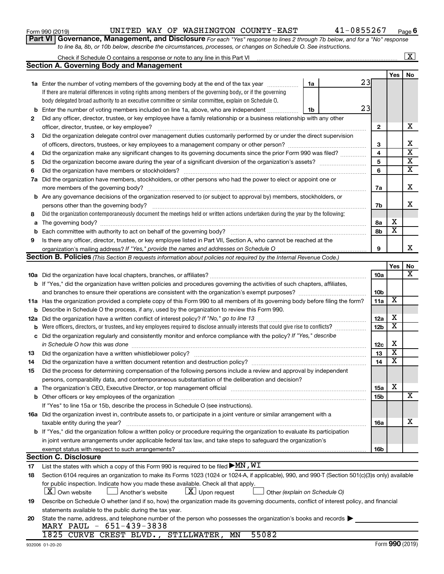932006 01-20-20

|  |  | MARY PAUL $-651-439-3838$ | 20 State the name, address, and telephone number of the person who possesses the organization's books and records |  |  |
|--|--|---------------------------|-------------------------------------------------------------------------------------------------------------------|--|--|
|  |  |                           | 1825 CURVE CREST BLVD., STILLWATER, MN 55082                                                                      |  |  |

|  | Form 990 (2019) |
|--|-----------------|

|     |                                                                                                                                                  |                 |                         | $\mathbf{X}$                |
|-----|--------------------------------------------------------------------------------------------------------------------------------------------------|-----------------|-------------------------|-----------------------------|
|     | <b>Section A. Governing Body and Management</b>                                                                                                  |                 |                         |                             |
|     |                                                                                                                                                  |                 | Yes                     | No                          |
|     | 23<br><b>1a</b> Enter the number of voting members of the governing body at the end of the tax year<br>1a                                        |                 |                         |                             |
|     | If there are material differences in voting rights among members of the governing body, or if the governing                                      |                 |                         |                             |
|     | body delegated broad authority to an executive committee or similar committee, explain on Schedule O.                                            |                 |                         |                             |
| b   | 23<br>Enter the number of voting members included on line 1a, above, who are independent<br>1b                                                   |                 |                         |                             |
| 2   | Did any officer, director, trustee, or key employee have a family relationship or a business relationship with any other                         |                 |                         |                             |
|     | officer, director, trustee, or key employee?                                                                                                     | 2               |                         | х                           |
| 3   | Did the organization delegate control over management duties customarily performed by or under the direct supervision                            |                 |                         |                             |
|     |                                                                                                                                                  | 3               |                         | X                           |
| 4   | Did the organization make any significant changes to its governing documents since the prior Form 990 was filed?                                 | 4               |                         | $\overline{\text{x}}$       |
| 5   |                                                                                                                                                  | 5               |                         | $\overline{\textbf{x}}$     |
| 6   | Did the organization have members or stockholders?                                                                                               | 6               |                         | $\overline{\mathtt{x}}$     |
| 7a  | Did the organization have members, stockholders, or other persons who had the power to elect or appoint one or                                   |                 |                         |                             |
|     | more members of the governing body?                                                                                                              | 7a              |                         | X                           |
|     | <b>b</b> Are any governance decisions of the organization reserved to (or subject to approval by) members, stockholders, or                      |                 |                         |                             |
|     | persons other than the governing body?                                                                                                           | 7b              |                         | X                           |
| 8   | Did the organization contemporaneously document the meetings held or written actions undertaken during the year by the following:                |                 |                         |                             |
|     |                                                                                                                                                  |                 | х                       |                             |
| a   |                                                                                                                                                  | 8а              | $\overline{\textbf{x}}$ |                             |
| b   |                                                                                                                                                  | 8b              |                         |                             |
| 9   | Is there any officer, director, trustee, or key employee listed in Part VII, Section A, who cannot be reached at the                             |                 |                         | x                           |
|     |                                                                                                                                                  | 9               |                         |                             |
|     | <b>Section B. Policies</b> (This Section B requests information about policies not required by the Internal Revenue Code.)                       |                 |                         |                             |
|     |                                                                                                                                                  |                 | Yes                     | No<br>$\overline{\text{X}}$ |
|     |                                                                                                                                                  | 10a             |                         |                             |
|     | <b>b</b> If "Yes," did the organization have written policies and procedures governing the activities of such chapters, affiliates,              |                 |                         |                             |
|     |                                                                                                                                                  | 10 <sub>b</sub> |                         |                             |
|     | 11a Has the organization provided a complete copy of this Form 990 to all members of its governing body before filing the form?                  | 11a             | X                       |                             |
|     | <b>b</b> Describe in Schedule O the process, if any, used by the organization to review this Form 990.                                           |                 |                         |                             |
| 12a | Did the organization have a written conflict of interest policy? If "No," go to line 13                                                          | 12a             | х                       |                             |
| b   | Were officers, directors, or trustees, and key employees required to disclose annually interests that could give rise to conflicts?              | 12 <sub>b</sub> | $\overline{\textbf{x}}$ |                             |
| с   | Did the organization regularly and consistently monitor and enforce compliance with the policy? If "Yes," describe                               |                 |                         |                             |
|     | in Schedule O how this was done                                                                                                                  | 12c             | х                       |                             |
| 13  | Did the organization have a written whistleblower policy?                                                                                        | 13              | $\overline{\textbf{x}}$ |                             |
| 14  |                                                                                                                                                  | 14              | $\overline{\textbf{x}}$ |                             |
| 15  | Did the process for determining compensation of the following persons include a review and approval by independent                               |                 |                         |                             |
|     | persons, comparability data, and contemporaneous substantiation of the deliberation and decision?                                                |                 |                         |                             |
|     |                                                                                                                                                  | 15a             | х                       |                             |
|     |                                                                                                                                                  | <b>15b</b>      |                         | X                           |
|     | If "Yes" to line 15a or 15b, describe the process in Schedule O (see instructions).                                                              |                 |                         |                             |
|     | 16a Did the organization invest in, contribute assets to, or participate in a joint venture or similar arrangement with a                        |                 |                         |                             |
|     | taxable entity during the year?                                                                                                                  | 16a             |                         | х                           |
|     | b If "Yes," did the organization follow a written policy or procedure requiring the organization to evaluate its participation                   |                 |                         |                             |
|     | in joint venture arrangements under applicable federal tax law, and take steps to safeguard the organization's                                   |                 |                         |                             |
|     | exempt status with respect to such arrangements?                                                                                                 | 16b             |                         |                             |
|     | <b>Section C. Disclosure</b>                                                                                                                     |                 |                         |                             |
| 17  | List the states with which a copy of this Form 990 is required to be filed $\blacktriangleright$ MN , WI                                         |                 |                         |                             |
| 18  | Section 6104 requires an organization to make its Forms 1023 (1024 or 1024-A, if applicable), 990, and 990-T (Section 501(c)(3)s only) available |                 |                         |                             |
|     | for public inspection. Indicate how you made these available. Check all that apply.                                                              |                 |                         |                             |
|     | $\lfloor x \rfloor$ Upon request<br>  X   Own website<br>Another's website<br>Other (explain on Schedule O)                                      |                 |                         |                             |
| 19  | Describe on Schedule O whether (and if so, how) the organization made its governing documents, conflict of interest policy, and financial        |                 |                         |                             |
|     | statements available to the public during the tax year.                                                                                          |                 |                         |                             |
| 20  | State the name, address, and telephone number of the person who possesses the organization's books and records                                   |                 |                         |                             |
|     | MARY PAUL $-651-439-3838$                                                                                                                        |                 |                         |                             |

*to line 8a, 8b, or 10b below, describe the circumstances, processes, or changes on Schedule O. See instructions.*

**Part VI** Governance, Management, and Disclosure For each "Yes" response to lines 2 through 7b below, and for a "No" response

**6**

| JNITED WAY OF WASHIN |  |  |  |  |
|----------------------|--|--|--|--|
|----------------------|--|--|--|--|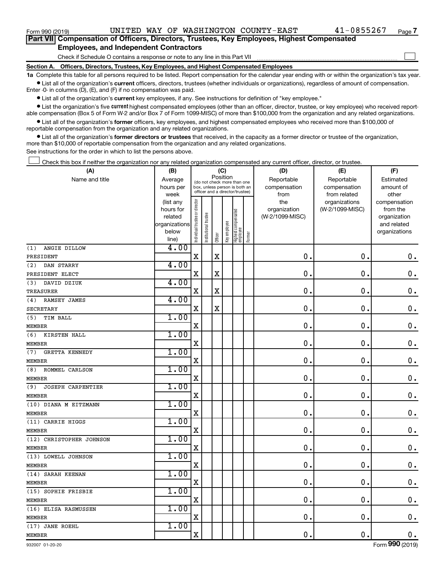$\Box$ 

| Part VII Compensation of Officers, Directors, Trustees, Key Employees, Highest Compensated |  |
|--------------------------------------------------------------------------------------------|--|
| <b>Employees, and Independent Contractors</b>                                              |  |

Check if Schedule O contains a response or note to any line in this Part VII

**Section A. Officers, Directors, Trustees, Key Employees, and Highest Compensated Employees**

**1a**  Complete this table for all persons required to be listed. Report compensation for the calendar year ending with or within the organization's tax year.  $\bullet$  List all of the organization's current officers, directors, trustees (whether individuals or organizations), regardless of amount of compensation.

Enter -0- in columns (D), (E), and (F) if no compensation was paid.

**•** List all of the organization's current key employees, if any. See instructions for definition of "key employee."

• List the organization's five *current* highest compensated employees (other than an officer, director, trustee, or key employee) who received reportable compensation (Box 5 of Form W-2 and/or Box 7 of Form 1099-MISC) of more than \$100,000 from the organization and any related organizations.

 $\bullet$  List all of the organization's former officers, key employees, and highest compensated employees who received more than \$100,000 of reportable compensation from the organization and any related organizations.

**•** List all of the organization's former directors or trustees that received, in the capacity as a former director or trustee of the organization, more than \$10,000 of reportable compensation from the organization and any related organizations.

See instructions for the order in which to list the persons above.

Check this box if neither the organization nor any related organization compensated any current officer, director, or trustee.  $\Box$ 

| Position<br>Reportable<br>Reportable<br>Name and title<br>Average<br>Estimated<br>(do not check more than one<br>compensation<br>hours per<br>box, unless person is both an<br>compensation<br>amount of<br>officer and a director/trustee)<br>week<br>from<br>from related<br>other<br>Individual trustee or director<br>the<br>organizations<br>(list any<br>compensation<br>(W-2/1099-MISC)<br>organization<br>from the<br>hours for<br>Highest compensated<br>employee<br>Institutional trustee<br>related<br>(W-2/1099-MISC)<br>organization<br>Key employee<br>organizations<br>and related<br>below<br>organizations<br>Former<br>Officer<br>line)<br>4.00<br>(1)<br>ANGIE DILLOW<br>$\mathbf x$<br>$\mathbf X$<br>$\mathbf 0$ .<br>0.<br>$\mathbf 0$ .<br>PRESIDENT<br>4.00<br>DAN STARRY<br>(2)<br>$\mathbf 0$<br>$\mathbf X$<br>X<br>0<br>$\mathbf 0$ .<br>PRESIDENT ELECT<br>4.00<br>DAVID DZIUK<br>(3)<br>X<br>0<br>$\mathbf 0$<br>$\mathbf 0$ .<br>$\mathbf X$<br>TREASURER<br>4.00<br>RAMSEY JAMES<br>(4)<br>$\mathbf X$<br>X<br>$\mathbf 0$ .<br>$\mathbf 0$ .<br>$\mathbf 0$ .<br><b>SECRETARY</b><br>1.00<br>TIM BALL<br>(5)<br>$\mathbf 0$ .<br>$\mathbf 0$ .<br>$\mathbf 0$ .<br>$\mathbf X$<br><b>MEMBER</b><br>1.00<br>(6)<br>KIRSTEN HALL<br>$\mathbf X$<br>$\mathbf 0$ .<br>$\mathbf 0$ .<br>$\mathbf 0$ .<br><b>MEMBER</b><br>1.00<br><b>GRETTA KENNEDY</b><br>(7)<br>$\mathbf x$<br>$\mathbf 0$ .<br>0.<br>$\mathbf 0$ .<br><b>MEMBER</b><br>1.00<br>ROMMEL CARLSON<br>(8)<br>$0$ .<br>$\mathbf X$<br>$\mathbf 0$ .<br>$\mathbf 0$ .<br><b>MEMBER</b><br>1.00<br><b>JOSEPH CARPENTIER</b><br>(9)<br>$\mathbf x$<br>$\mathbf 0$ .<br>$\mathbf 0$ .<br>$\mathbf 0$ .<br><b>MEMBER</b><br>1.00<br>(10) DIANA M EITZMANN<br>$\mathbf X$<br>$\mathbf 0$ .<br>$\mathbf 0$ .<br>$\mathbf 0$ .<br><b>MEMBER</b><br>1.00<br>(11) CARRIE HIGGS<br>$\mathbf x$<br>$\mathbf 0$ .<br>$\mathbf 0$ .<br>$\mathbf 0$ .<br><b>MEMBER</b><br>1.00<br>(12) CHRISTOPHER JOHNSON<br>$\mathbf x$<br>$\mathbf 0$ .<br>$\mathbf 0$ .<br>$\mathbf 0$ .<br><b>MEMBER</b><br>1.00<br>(13) LOWELL JOHNSON<br>X<br>$\mathbf 0$ .<br>$\mathbf 0$ .<br>$\boldsymbol{0}$ .<br><b>MEMBER</b><br>1.00<br>(14) SARAH KEENAN<br>$\mathbf X$<br>0.<br>$\mathbf 0$ .<br>$\boldsymbol{0}$ .<br><b>MEMBER</b><br>1.00<br>(15) SOPHIE FRISBIE<br>$\mathbf 0$ .<br>$\mathbf 0$ .<br>X<br>$\boldsymbol{0}$ .<br><b>MEMBER</b><br>1.00<br>(16) ELISA RASMUSSEN<br>$\mathbf X$<br>$\mathbf 0$ .<br>$\mathbf 0$ .<br>$\mathbf 0$ .<br><b>MEMBER</b><br>1.00<br>(17) JANE ROEHL<br>$\mathbf 0$ .<br>$\mathbf 0$ .<br>$\mathbf X$<br>$\mathbf 0$ . | (A)           | (B) |  | (C) |  |  |  | (D) | (E) | (F) |
|-----------------------------------------------------------------------------------------------------------------------------------------------------------------------------------------------------------------------------------------------------------------------------------------------------------------------------------------------------------------------------------------------------------------------------------------------------------------------------------------------------------------------------------------------------------------------------------------------------------------------------------------------------------------------------------------------------------------------------------------------------------------------------------------------------------------------------------------------------------------------------------------------------------------------------------------------------------------------------------------------------------------------------------------------------------------------------------------------------------------------------------------------------------------------------------------------------------------------------------------------------------------------------------------------------------------------------------------------------------------------------------------------------------------------------------------------------------------------------------------------------------------------------------------------------------------------------------------------------------------------------------------------------------------------------------------------------------------------------------------------------------------------------------------------------------------------------------------------------------------------------------------------------------------------------------------------------------------------------------------------------------------------------------------------------------------------------------------------------------------------------------------------------------------------------------------------------------------------------------------------------------------------------------------------------------------------------------------------------------------------------------------------------------------------------------------------------------------------------------------------------------------------------------------------------------------------------------------------------------------------------|---------------|-----|--|-----|--|--|--|-----|-----|-----|
|                                                                                                                                                                                                                                                                                                                                                                                                                                                                                                                                                                                                                                                                                                                                                                                                                                                                                                                                                                                                                                                                                                                                                                                                                                                                                                                                                                                                                                                                                                                                                                                                                                                                                                                                                                                                                                                                                                                                                                                                                                                                                                                                                                                                                                                                                                                                                                                                                                                                                                                                                                                                                             |               |     |  |     |  |  |  |     |     |     |
|                                                                                                                                                                                                                                                                                                                                                                                                                                                                                                                                                                                                                                                                                                                                                                                                                                                                                                                                                                                                                                                                                                                                                                                                                                                                                                                                                                                                                                                                                                                                                                                                                                                                                                                                                                                                                                                                                                                                                                                                                                                                                                                                                                                                                                                                                                                                                                                                                                                                                                                                                                                                                             |               |     |  |     |  |  |  |     |     |     |
|                                                                                                                                                                                                                                                                                                                                                                                                                                                                                                                                                                                                                                                                                                                                                                                                                                                                                                                                                                                                                                                                                                                                                                                                                                                                                                                                                                                                                                                                                                                                                                                                                                                                                                                                                                                                                                                                                                                                                                                                                                                                                                                                                                                                                                                                                                                                                                                                                                                                                                                                                                                                                             |               |     |  |     |  |  |  |     |     |     |
|                                                                                                                                                                                                                                                                                                                                                                                                                                                                                                                                                                                                                                                                                                                                                                                                                                                                                                                                                                                                                                                                                                                                                                                                                                                                                                                                                                                                                                                                                                                                                                                                                                                                                                                                                                                                                                                                                                                                                                                                                                                                                                                                                                                                                                                                                                                                                                                                                                                                                                                                                                                                                             |               |     |  |     |  |  |  |     |     |     |
|                                                                                                                                                                                                                                                                                                                                                                                                                                                                                                                                                                                                                                                                                                                                                                                                                                                                                                                                                                                                                                                                                                                                                                                                                                                                                                                                                                                                                                                                                                                                                                                                                                                                                                                                                                                                                                                                                                                                                                                                                                                                                                                                                                                                                                                                                                                                                                                                                                                                                                                                                                                                                             |               |     |  |     |  |  |  |     |     |     |
|                                                                                                                                                                                                                                                                                                                                                                                                                                                                                                                                                                                                                                                                                                                                                                                                                                                                                                                                                                                                                                                                                                                                                                                                                                                                                                                                                                                                                                                                                                                                                                                                                                                                                                                                                                                                                                                                                                                                                                                                                                                                                                                                                                                                                                                                                                                                                                                                                                                                                                                                                                                                                             |               |     |  |     |  |  |  |     |     |     |
|                                                                                                                                                                                                                                                                                                                                                                                                                                                                                                                                                                                                                                                                                                                                                                                                                                                                                                                                                                                                                                                                                                                                                                                                                                                                                                                                                                                                                                                                                                                                                                                                                                                                                                                                                                                                                                                                                                                                                                                                                                                                                                                                                                                                                                                                                                                                                                                                                                                                                                                                                                                                                             |               |     |  |     |  |  |  |     |     |     |
|                                                                                                                                                                                                                                                                                                                                                                                                                                                                                                                                                                                                                                                                                                                                                                                                                                                                                                                                                                                                                                                                                                                                                                                                                                                                                                                                                                                                                                                                                                                                                                                                                                                                                                                                                                                                                                                                                                                                                                                                                                                                                                                                                                                                                                                                                                                                                                                                                                                                                                                                                                                                                             |               |     |  |     |  |  |  |     |     |     |
|                                                                                                                                                                                                                                                                                                                                                                                                                                                                                                                                                                                                                                                                                                                                                                                                                                                                                                                                                                                                                                                                                                                                                                                                                                                                                                                                                                                                                                                                                                                                                                                                                                                                                                                                                                                                                                                                                                                                                                                                                                                                                                                                                                                                                                                                                                                                                                                                                                                                                                                                                                                                                             |               |     |  |     |  |  |  |     |     |     |
|                                                                                                                                                                                                                                                                                                                                                                                                                                                                                                                                                                                                                                                                                                                                                                                                                                                                                                                                                                                                                                                                                                                                                                                                                                                                                                                                                                                                                                                                                                                                                                                                                                                                                                                                                                                                                                                                                                                                                                                                                                                                                                                                                                                                                                                                                                                                                                                                                                                                                                                                                                                                                             |               |     |  |     |  |  |  |     |     |     |
|                                                                                                                                                                                                                                                                                                                                                                                                                                                                                                                                                                                                                                                                                                                                                                                                                                                                                                                                                                                                                                                                                                                                                                                                                                                                                                                                                                                                                                                                                                                                                                                                                                                                                                                                                                                                                                                                                                                                                                                                                                                                                                                                                                                                                                                                                                                                                                                                                                                                                                                                                                                                                             |               |     |  |     |  |  |  |     |     |     |
|                                                                                                                                                                                                                                                                                                                                                                                                                                                                                                                                                                                                                                                                                                                                                                                                                                                                                                                                                                                                                                                                                                                                                                                                                                                                                                                                                                                                                                                                                                                                                                                                                                                                                                                                                                                                                                                                                                                                                                                                                                                                                                                                                                                                                                                                                                                                                                                                                                                                                                                                                                                                                             |               |     |  |     |  |  |  |     |     |     |
|                                                                                                                                                                                                                                                                                                                                                                                                                                                                                                                                                                                                                                                                                                                                                                                                                                                                                                                                                                                                                                                                                                                                                                                                                                                                                                                                                                                                                                                                                                                                                                                                                                                                                                                                                                                                                                                                                                                                                                                                                                                                                                                                                                                                                                                                                                                                                                                                                                                                                                                                                                                                                             |               |     |  |     |  |  |  |     |     |     |
|                                                                                                                                                                                                                                                                                                                                                                                                                                                                                                                                                                                                                                                                                                                                                                                                                                                                                                                                                                                                                                                                                                                                                                                                                                                                                                                                                                                                                                                                                                                                                                                                                                                                                                                                                                                                                                                                                                                                                                                                                                                                                                                                                                                                                                                                                                                                                                                                                                                                                                                                                                                                                             |               |     |  |     |  |  |  |     |     |     |
|                                                                                                                                                                                                                                                                                                                                                                                                                                                                                                                                                                                                                                                                                                                                                                                                                                                                                                                                                                                                                                                                                                                                                                                                                                                                                                                                                                                                                                                                                                                                                                                                                                                                                                                                                                                                                                                                                                                                                                                                                                                                                                                                                                                                                                                                                                                                                                                                                                                                                                                                                                                                                             |               |     |  |     |  |  |  |     |     |     |
|                                                                                                                                                                                                                                                                                                                                                                                                                                                                                                                                                                                                                                                                                                                                                                                                                                                                                                                                                                                                                                                                                                                                                                                                                                                                                                                                                                                                                                                                                                                                                                                                                                                                                                                                                                                                                                                                                                                                                                                                                                                                                                                                                                                                                                                                                                                                                                                                                                                                                                                                                                                                                             |               |     |  |     |  |  |  |     |     |     |
|                                                                                                                                                                                                                                                                                                                                                                                                                                                                                                                                                                                                                                                                                                                                                                                                                                                                                                                                                                                                                                                                                                                                                                                                                                                                                                                                                                                                                                                                                                                                                                                                                                                                                                                                                                                                                                                                                                                                                                                                                                                                                                                                                                                                                                                                                                                                                                                                                                                                                                                                                                                                                             |               |     |  |     |  |  |  |     |     |     |
|                                                                                                                                                                                                                                                                                                                                                                                                                                                                                                                                                                                                                                                                                                                                                                                                                                                                                                                                                                                                                                                                                                                                                                                                                                                                                                                                                                                                                                                                                                                                                                                                                                                                                                                                                                                                                                                                                                                                                                                                                                                                                                                                                                                                                                                                                                                                                                                                                                                                                                                                                                                                                             |               |     |  |     |  |  |  |     |     |     |
|                                                                                                                                                                                                                                                                                                                                                                                                                                                                                                                                                                                                                                                                                                                                                                                                                                                                                                                                                                                                                                                                                                                                                                                                                                                                                                                                                                                                                                                                                                                                                                                                                                                                                                                                                                                                                                                                                                                                                                                                                                                                                                                                                                                                                                                                                                                                                                                                                                                                                                                                                                                                                             |               |     |  |     |  |  |  |     |     |     |
|                                                                                                                                                                                                                                                                                                                                                                                                                                                                                                                                                                                                                                                                                                                                                                                                                                                                                                                                                                                                                                                                                                                                                                                                                                                                                                                                                                                                                                                                                                                                                                                                                                                                                                                                                                                                                                                                                                                                                                                                                                                                                                                                                                                                                                                                                                                                                                                                                                                                                                                                                                                                                             |               |     |  |     |  |  |  |     |     |     |
|                                                                                                                                                                                                                                                                                                                                                                                                                                                                                                                                                                                                                                                                                                                                                                                                                                                                                                                                                                                                                                                                                                                                                                                                                                                                                                                                                                                                                                                                                                                                                                                                                                                                                                                                                                                                                                                                                                                                                                                                                                                                                                                                                                                                                                                                                                                                                                                                                                                                                                                                                                                                                             |               |     |  |     |  |  |  |     |     |     |
|                                                                                                                                                                                                                                                                                                                                                                                                                                                                                                                                                                                                                                                                                                                                                                                                                                                                                                                                                                                                                                                                                                                                                                                                                                                                                                                                                                                                                                                                                                                                                                                                                                                                                                                                                                                                                                                                                                                                                                                                                                                                                                                                                                                                                                                                                                                                                                                                                                                                                                                                                                                                                             |               |     |  |     |  |  |  |     |     |     |
|                                                                                                                                                                                                                                                                                                                                                                                                                                                                                                                                                                                                                                                                                                                                                                                                                                                                                                                                                                                                                                                                                                                                                                                                                                                                                                                                                                                                                                                                                                                                                                                                                                                                                                                                                                                                                                                                                                                                                                                                                                                                                                                                                                                                                                                                                                                                                                                                                                                                                                                                                                                                                             |               |     |  |     |  |  |  |     |     |     |
|                                                                                                                                                                                                                                                                                                                                                                                                                                                                                                                                                                                                                                                                                                                                                                                                                                                                                                                                                                                                                                                                                                                                                                                                                                                                                                                                                                                                                                                                                                                                                                                                                                                                                                                                                                                                                                                                                                                                                                                                                                                                                                                                                                                                                                                                                                                                                                                                                                                                                                                                                                                                                             |               |     |  |     |  |  |  |     |     |     |
|                                                                                                                                                                                                                                                                                                                                                                                                                                                                                                                                                                                                                                                                                                                                                                                                                                                                                                                                                                                                                                                                                                                                                                                                                                                                                                                                                                                                                                                                                                                                                                                                                                                                                                                                                                                                                                                                                                                                                                                                                                                                                                                                                                                                                                                                                                                                                                                                                                                                                                                                                                                                                             |               |     |  |     |  |  |  |     |     |     |
|                                                                                                                                                                                                                                                                                                                                                                                                                                                                                                                                                                                                                                                                                                                                                                                                                                                                                                                                                                                                                                                                                                                                                                                                                                                                                                                                                                                                                                                                                                                                                                                                                                                                                                                                                                                                                                                                                                                                                                                                                                                                                                                                                                                                                                                                                                                                                                                                                                                                                                                                                                                                                             |               |     |  |     |  |  |  |     |     |     |
|                                                                                                                                                                                                                                                                                                                                                                                                                                                                                                                                                                                                                                                                                                                                                                                                                                                                                                                                                                                                                                                                                                                                                                                                                                                                                                                                                                                                                                                                                                                                                                                                                                                                                                                                                                                                                                                                                                                                                                                                                                                                                                                                                                                                                                                                                                                                                                                                                                                                                                                                                                                                                             |               |     |  |     |  |  |  |     |     |     |
|                                                                                                                                                                                                                                                                                                                                                                                                                                                                                                                                                                                                                                                                                                                                                                                                                                                                                                                                                                                                                                                                                                                                                                                                                                                                                                                                                                                                                                                                                                                                                                                                                                                                                                                                                                                                                                                                                                                                                                                                                                                                                                                                                                                                                                                                                                                                                                                                                                                                                                                                                                                                                             |               |     |  |     |  |  |  |     |     |     |
|                                                                                                                                                                                                                                                                                                                                                                                                                                                                                                                                                                                                                                                                                                                                                                                                                                                                                                                                                                                                                                                                                                                                                                                                                                                                                                                                                                                                                                                                                                                                                                                                                                                                                                                                                                                                                                                                                                                                                                                                                                                                                                                                                                                                                                                                                                                                                                                                                                                                                                                                                                                                                             |               |     |  |     |  |  |  |     |     |     |
|                                                                                                                                                                                                                                                                                                                                                                                                                                                                                                                                                                                                                                                                                                                                                                                                                                                                                                                                                                                                                                                                                                                                                                                                                                                                                                                                                                                                                                                                                                                                                                                                                                                                                                                                                                                                                                                                                                                                                                                                                                                                                                                                                                                                                                                                                                                                                                                                                                                                                                                                                                                                                             |               |     |  |     |  |  |  |     |     |     |
|                                                                                                                                                                                                                                                                                                                                                                                                                                                                                                                                                                                                                                                                                                                                                                                                                                                                                                                                                                                                                                                                                                                                                                                                                                                                                                                                                                                                                                                                                                                                                                                                                                                                                                                                                                                                                                                                                                                                                                                                                                                                                                                                                                                                                                                                                                                                                                                                                                                                                                                                                                                                                             |               |     |  |     |  |  |  |     |     |     |
|                                                                                                                                                                                                                                                                                                                                                                                                                                                                                                                                                                                                                                                                                                                                                                                                                                                                                                                                                                                                                                                                                                                                                                                                                                                                                                                                                                                                                                                                                                                                                                                                                                                                                                                                                                                                                                                                                                                                                                                                                                                                                                                                                                                                                                                                                                                                                                                                                                                                                                                                                                                                                             |               |     |  |     |  |  |  |     |     |     |
|                                                                                                                                                                                                                                                                                                                                                                                                                                                                                                                                                                                                                                                                                                                                                                                                                                                                                                                                                                                                                                                                                                                                                                                                                                                                                                                                                                                                                                                                                                                                                                                                                                                                                                                                                                                                                                                                                                                                                                                                                                                                                                                                                                                                                                                                                                                                                                                                                                                                                                                                                                                                                             |               |     |  |     |  |  |  |     |     |     |
|                                                                                                                                                                                                                                                                                                                                                                                                                                                                                                                                                                                                                                                                                                                                                                                                                                                                                                                                                                                                                                                                                                                                                                                                                                                                                                                                                                                                                                                                                                                                                                                                                                                                                                                                                                                                                                                                                                                                                                                                                                                                                                                                                                                                                                                                                                                                                                                                                                                                                                                                                                                                                             |               |     |  |     |  |  |  |     |     |     |
|                                                                                                                                                                                                                                                                                                                                                                                                                                                                                                                                                                                                                                                                                                                                                                                                                                                                                                                                                                                                                                                                                                                                                                                                                                                                                                                                                                                                                                                                                                                                                                                                                                                                                                                                                                                                                                                                                                                                                                                                                                                                                                                                                                                                                                                                                                                                                                                                                                                                                                                                                                                                                             |               |     |  |     |  |  |  |     |     |     |
|                                                                                                                                                                                                                                                                                                                                                                                                                                                                                                                                                                                                                                                                                                                                                                                                                                                                                                                                                                                                                                                                                                                                                                                                                                                                                                                                                                                                                                                                                                                                                                                                                                                                                                                                                                                                                                                                                                                                                                                                                                                                                                                                                                                                                                                                                                                                                                                                                                                                                                                                                                                                                             |               |     |  |     |  |  |  |     |     |     |
|                                                                                                                                                                                                                                                                                                                                                                                                                                                                                                                                                                                                                                                                                                                                                                                                                                                                                                                                                                                                                                                                                                                                                                                                                                                                                                                                                                                                                                                                                                                                                                                                                                                                                                                                                                                                                                                                                                                                                                                                                                                                                                                                                                                                                                                                                                                                                                                                                                                                                                                                                                                                                             |               |     |  |     |  |  |  |     |     |     |
|                                                                                                                                                                                                                                                                                                                                                                                                                                                                                                                                                                                                                                                                                                                                                                                                                                                                                                                                                                                                                                                                                                                                                                                                                                                                                                                                                                                                                                                                                                                                                                                                                                                                                                                                                                                                                                                                                                                                                                                                                                                                                                                                                                                                                                                                                                                                                                                                                                                                                                                                                                                                                             |               |     |  |     |  |  |  |     |     |     |
|                                                                                                                                                                                                                                                                                                                                                                                                                                                                                                                                                                                                                                                                                                                                                                                                                                                                                                                                                                                                                                                                                                                                                                                                                                                                                                                                                                                                                                                                                                                                                                                                                                                                                                                                                                                                                                                                                                                                                                                                                                                                                                                                                                                                                                                                                                                                                                                                                                                                                                                                                                                                                             |               |     |  |     |  |  |  |     |     |     |
|                                                                                                                                                                                                                                                                                                                                                                                                                                                                                                                                                                                                                                                                                                                                                                                                                                                                                                                                                                                                                                                                                                                                                                                                                                                                                                                                                                                                                                                                                                                                                                                                                                                                                                                                                                                                                                                                                                                                                                                                                                                                                                                                                                                                                                                                                                                                                                                                                                                                                                                                                                                                                             |               |     |  |     |  |  |  |     |     |     |
|                                                                                                                                                                                                                                                                                                                                                                                                                                                                                                                                                                                                                                                                                                                                                                                                                                                                                                                                                                                                                                                                                                                                                                                                                                                                                                                                                                                                                                                                                                                                                                                                                                                                                                                                                                                                                                                                                                                                                                                                                                                                                                                                                                                                                                                                                                                                                                                                                                                                                                                                                                                                                             |               |     |  |     |  |  |  |     |     |     |
|                                                                                                                                                                                                                                                                                                                                                                                                                                                                                                                                                                                                                                                                                                                                                                                                                                                                                                                                                                                                                                                                                                                                                                                                                                                                                                                                                                                                                                                                                                                                                                                                                                                                                                                                                                                                                                                                                                                                                                                                                                                                                                                                                                                                                                                                                                                                                                                                                                                                                                                                                                                                                             | <b>MEMBER</b> |     |  |     |  |  |  |     |     |     |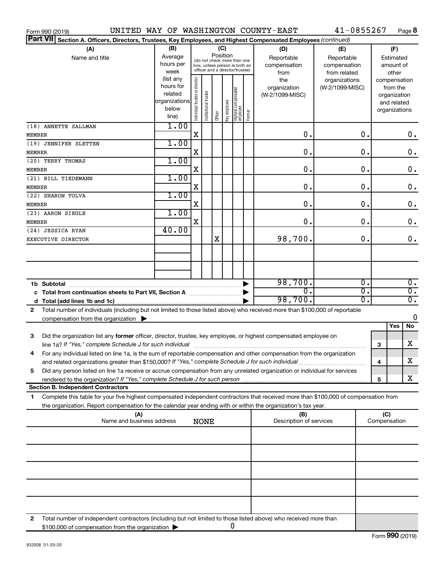| Form 990 (2019)                                                                                                                                                                                                                              |                                                                      |                                                                                                                    |                       |         |                |                                  |        | UNITED WAY OF WASHINGTON COUNTY-EAST      | 41-0855267                                        |               |                     |                                                                          | Page 8                               |
|----------------------------------------------------------------------------------------------------------------------------------------------------------------------------------------------------------------------------------------------|----------------------------------------------------------------------|--------------------------------------------------------------------------------------------------------------------|-----------------------|---------|----------------|----------------------------------|--------|-------------------------------------------|---------------------------------------------------|---------------|---------------------|--------------------------------------------------------------------------|--------------------------------------|
| <b>Part VII</b><br>Section A. Officers, Directors, Trustees, Key Employees, and Highest Compensated Employees (continued)                                                                                                                    |                                                                      |                                                                                                                    |                       |         |                |                                  |        |                                           |                                                   |               |                     |                                                                          |                                      |
| (A)<br>Name and title                                                                                                                                                                                                                        | (B)<br>Average<br>hours per<br>week                                  | (C)<br>Position<br>(do not check more than one<br>box, unless person is both an<br>officer and a director/trustee) |                       |         |                |                                  |        | (D)<br>Reportable<br>compensation<br>from | (E)<br>Reportable<br>compensation<br>from related |               |                     | (F)<br>Estimated<br>amount of<br>other                                   |                                      |
|                                                                                                                                                                                                                                              | (list any<br>hours for<br>related<br>organizations<br>below<br>line) | ndividual trustee or director                                                                                      | Institutional trustee | Officer | ea oppduue Aey | Highest compensated<br> employee | Former | the<br>organization<br>(W-2/1099-MISC)    | organizations<br>(W-2/1099-MISC)                  |               |                     | compensation<br>from the<br>organization<br>and related<br>organizations |                                      |
| (18) ANNETTE SALLMAN<br>MEMBER                                                                                                                                                                                                               | 1.00                                                                 | X                                                                                                                  |                       |         |                |                                  |        | 0.                                        |                                                   | 0.            |                     |                                                                          | 0.                                   |
| (19) JENNIFER SLETTEN<br>MEMBER                                                                                                                                                                                                              | 1.00                                                                 | X                                                                                                                  |                       |         |                |                                  |        | 0.                                        |                                                   | 0.            |                     |                                                                          | $\mathbf 0$ .                        |
| (20) TERRY THOMAS                                                                                                                                                                                                                            | 1.00                                                                 |                                                                                                                    |                       |         |                |                                  |        |                                           |                                                   |               |                     |                                                                          |                                      |
| <b>MEMBER</b><br>(21) BILL TIEDEMANN                                                                                                                                                                                                         | 1.00                                                                 | X                                                                                                                  |                       |         |                |                                  |        | $\mathbf 0$ .                             |                                                   | 0.            |                     |                                                                          | $\mathbf 0$ .                        |
| MEMBER<br>(22) SHARON TOLVA                                                                                                                                                                                                                  | 1.00                                                                 | X                                                                                                                  |                       |         |                |                                  |        | $\mathbf 0$ .                             |                                                   | 0.            |                     |                                                                          | $\mathbf 0$ .                        |
| <b>MEMBER</b>                                                                                                                                                                                                                                | 1.00                                                                 | X                                                                                                                  |                       |         |                |                                  |        | $\mathbf 0$ .                             |                                                   | 0.            |                     |                                                                          | $\mathbf 0$ .                        |
| (23) AARON SIEGLE<br><b>MEMBER</b>                                                                                                                                                                                                           |                                                                      | X                                                                                                                  |                       |         |                |                                  |        | 0.                                        |                                                   | $\mathbf 0$ . |                     |                                                                          | 0.                                   |
| (24) JESSICA RYAN<br>EXECUTIVE DIRECTOR                                                                                                                                                                                                      | 40.00                                                                |                                                                                                                    |                       | X       |                |                                  |        | 98,700.                                   |                                                   | 0.            |                     |                                                                          | 0.                                   |
|                                                                                                                                                                                                                                              |                                                                      |                                                                                                                    |                       |         |                |                                  |        |                                           |                                                   |               |                     |                                                                          |                                      |
| 1b Subtotal                                                                                                                                                                                                                                  |                                                                      |                                                                                                                    |                       |         |                |                                  |        | 98,700.                                   |                                                   | σ.            |                     |                                                                          | $\overline{0}$ .                     |
| c Total from continuation sheets to Part VII, Section A manuscreen continuum                                                                                                                                                                 |                                                                      |                                                                                                                    |                       |         |                |                                  |        | $\overline{0}$<br>98,700.                 |                                                   | σ.<br>σ.      |                     |                                                                          | $\overline{0}$ .<br>$\overline{0}$ . |
| Total number of individuals (including but not limited to those listed above) who received more than \$100,000 of reportable<br>2<br>compensation from the organization $\blacktriangleright$                                                |                                                                      |                                                                                                                    |                       |         |                |                                  |        |                                           |                                                   |               |                     |                                                                          | 0                                    |
|                                                                                                                                                                                                                                              |                                                                      |                                                                                                                    |                       |         |                |                                  |        |                                           |                                                   |               |                     | Yes                                                                      | No                                   |
| 3<br>Did the organization list any former officer, director, trustee, key employee, or highest compensated employee on<br>line 1a? If "Yes," complete Schedule J for such individual manufacture content to the set of the set of the such a |                                                                      |                                                                                                                    |                       |         |                |                                  |        |                                           |                                                   |               | 3                   |                                                                          | X                                    |
| For any individual listed on line 1a, is the sum of reportable compensation and other compensation from the organization<br>and related organizations greater than \$150,000? If "Yes," complete Schedule J for such individual              |                                                                      |                                                                                                                    |                       |         |                |                                  |        |                                           |                                                   |               | 4                   |                                                                          | х                                    |
| Did any person listed on line 1a receive or accrue compensation from any unrelated organization or individual for services<br>5                                                                                                              |                                                                      |                                                                                                                    |                       |         |                |                                  |        |                                           |                                                   |               |                     |                                                                          |                                      |
| <b>Section B. Independent Contractors</b>                                                                                                                                                                                                    |                                                                      |                                                                                                                    |                       |         |                |                                  |        |                                           |                                                   |               | 5                   |                                                                          | х                                    |
| Complete this table for your five highest compensated independent contractors that received more than \$100,000 of compensation from<br>1                                                                                                    |                                                                      |                                                                                                                    |                       |         |                |                                  |        |                                           |                                                   |               |                     |                                                                          |                                      |
| the organization. Report compensation for the calendar year ending with or within the organization's tax year.<br>(A)<br>Name and business address                                                                                           |                                                                      |                                                                                                                    |                       |         |                |                                  |        | (B)<br>Description of services            |                                                   |               | (C)<br>Compensation |                                                                          |                                      |
|                                                                                                                                                                                                                                              |                                                                      |                                                                                                                    | <b>NONE</b>           |         |                |                                  |        |                                           |                                                   |               |                     |                                                                          |                                      |
|                                                                                                                                                                                                                                              |                                                                      |                                                                                                                    |                       |         |                |                                  |        |                                           |                                                   |               |                     |                                                                          |                                      |
|                                                                                                                                                                                                                                              |                                                                      |                                                                                                                    |                       |         |                |                                  |        |                                           |                                                   |               |                     |                                                                          |                                      |
|                                                                                                                                                                                                                                              |                                                                      |                                                                                                                    |                       |         |                |                                  |        |                                           |                                                   |               |                     |                                                                          |                                      |
|                                                                                                                                                                                                                                              |                                                                      |                                                                                                                    |                       |         |                |                                  |        |                                           |                                                   |               |                     |                                                                          |                                      |
|                                                                                                                                                                                                                                              |                                                                      |                                                                                                                    |                       |         |                |                                  |        |                                           |                                                   |               |                     |                                                                          |                                      |
| Total number of independent contractors (including but not limited to those listed above) who received more than<br>2<br>\$100,000 of compensation from the organization                                                                     |                                                                      |                                                                                                                    |                       |         |                | 0                                |        |                                           |                                                   |               |                     |                                                                          |                                      |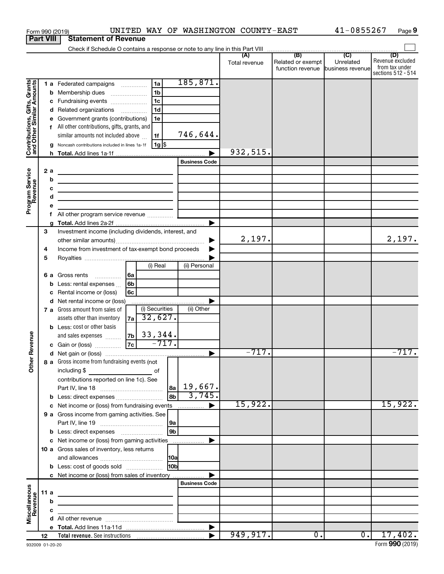|                                                           |                  | Form 990 (2019)                                                                                                      |                                      |                           |                |                      | UNITED WAY OF WASHINGTON COUNTY-EAST |                                    | 41-0855267       | Page 9                               |
|-----------------------------------------------------------|------------------|----------------------------------------------------------------------------------------------------------------------|--------------------------------------|---------------------------|----------------|----------------------|--------------------------------------|------------------------------------|------------------|--------------------------------------|
|                                                           | <b>Part VIII</b> | <b>Statement of Revenue</b>                                                                                          |                                      |                           |                |                      |                                      |                                    |                  |                                      |
|                                                           |                  |                                                                                                                      |                                      |                           |                |                      | (A)                                  | (B)                                | $\overline{C}$   | (D)                                  |
|                                                           |                  |                                                                                                                      |                                      |                           |                |                      | Total revenue                        | Related or exempt                  | Unrelated        | Revenue excluded                     |
|                                                           |                  |                                                                                                                      |                                      |                           |                |                      |                                      | function revenue business revenuel |                  | from tax under<br>sections 512 - 514 |
|                                                           |                  | 1 a Federated campaigns                                                                                              |                                      | 1a                        |                | 185, 871.            |                                      |                                    |                  |                                      |
|                                                           |                  | <b>b</b> Membership dues                                                                                             | $\ldots \ldots \ldots \ldots \ldots$ | 1 <sub>b</sub>            |                |                      |                                      |                                    |                  |                                      |
|                                                           |                  | c Fundraising events                                                                                                 |                                      | 1 <sub>c</sub>            |                |                      |                                      |                                    |                  |                                      |
|                                                           |                  | d Related organizations                                                                                              |                                      | 1 <sub>d</sub>            |                |                      |                                      |                                    |                  |                                      |
| Contributions, Gifts, Grants<br>and Other Similar Amounts |                  | e Government grants (contributions)                                                                                  |                                      | 1е                        |                |                      |                                      |                                    |                  |                                      |
|                                                           |                  | f All other contributions, gifts, grants, and                                                                        |                                      |                           |                |                      |                                      |                                    |                  |                                      |
|                                                           |                  | similar amounts not included above                                                                                   |                                      | 1f                        |                | 746,644.             |                                      |                                    |                  |                                      |
|                                                           |                  | g Noncash contributions included in lines 1a-1f                                                                      |                                      | $1g$ \$                   |                |                      |                                      |                                    |                  |                                      |
|                                                           |                  |                                                                                                                      |                                      |                           |                |                      | 932,515.                             |                                    |                  |                                      |
|                                                           |                  |                                                                                                                      |                                      |                           |                | <b>Business Code</b> |                                      |                                    |                  |                                      |
| Program Service<br>Revenue                                | 2 a              |                                                                                                                      |                                      |                           |                |                      |                                      |                                    |                  |                                      |
|                                                           | b                | <u> 1989 - Johann Harry Barn, mars ar breist ar yn y breist y breist yn y breist ar y breist ar y breist ar y br</u> |                                      |                           |                |                      |                                      |                                    |                  |                                      |
|                                                           | с                |                                                                                                                      |                                      |                           |                |                      |                                      |                                    |                  |                                      |
|                                                           | d                | the contract of the contract of the contract of the contract of                                                      |                                      |                           |                |                      |                                      |                                    |                  |                                      |
|                                                           | f                | All other program service revenue                                                                                    |                                      |                           |                |                      |                                      |                                    |                  |                                      |
|                                                           |                  |                                                                                                                      |                                      |                           |                | ▶                    |                                      |                                    |                  |                                      |
|                                                           | 3                | Investment income (including dividends, interest, and                                                                |                                      |                           |                |                      |                                      |                                    |                  |                                      |
|                                                           |                  |                                                                                                                      |                                      |                           |                | ▶                    | 2,197.                               |                                    |                  | 2,197.                               |
|                                                           | 4                | Income from investment of tax-exempt bond proceeds                                                                   |                                      |                           |                |                      |                                      |                                    |                  |                                      |
|                                                           | 5                |                                                                                                                      |                                      |                           |                |                      |                                      |                                    |                  |                                      |
|                                                           |                  |                                                                                                                      |                                      | (i) Real                  |                | (ii) Personal        |                                      |                                    |                  |                                      |
|                                                           |                  | 6 a Gross rents<br>$\ldots \ldots \ldots$                                                                            | l 6a                                 |                           |                |                      |                                      |                                    |                  |                                      |
|                                                           |                  | <b>b</b> Less: rental expenses $\ldots$                                                                              | 6 <sub>b</sub>                       |                           |                |                      |                                      |                                    |                  |                                      |
|                                                           | c                | Rental income or (loss)                                                                                              | 6c                                   |                           |                |                      |                                      |                                    |                  |                                      |
|                                                           |                  | d Net rental income or (loss)                                                                                        |                                      |                           |                |                      |                                      |                                    |                  |                                      |
|                                                           |                  | 7 a Gross amount from sales of                                                                                       |                                      | (i) Securities<br>32,627. |                | (ii) Other           |                                      |                                    |                  |                                      |
|                                                           |                  | assets other than inventory<br><b>b</b> Less: cost or other basis                                                    | 7a                                   |                           |                |                      |                                      |                                    |                  |                                      |
|                                                           |                  | and sales expenses                                                                                                   | 7 <sub>b</sub>                       |                           |                |                      |                                      |                                    |                  |                                      |
| venue                                                     |                  | c Gain or (loss)                                                                                                     | $\overline{7c}$                      | $\frac{33,344}{-717}$ .   |                |                      |                                      |                                    |                  |                                      |
| č                                                         |                  |                                                                                                                      |                                      |                           |                |                      | $-717.$                              |                                    |                  | $-717.$                              |
| Other                                                     |                  | 8 a Gross income from fundraising events (not                                                                        |                                      |                           |                |                      |                                      |                                    |                  |                                      |
|                                                           |                  |                                                                                                                      |                                      |                           |                |                      |                                      |                                    |                  |                                      |
|                                                           |                  | contributions reported on line 1c). See                                                                              |                                      |                           |                |                      |                                      |                                    |                  |                                      |
|                                                           |                  |                                                                                                                      |                                      |                           | 8a             | 19,667.              |                                      |                                    |                  |                                      |
|                                                           |                  | b Less: direct expenses                                                                                              |                                      |                           | 8b             | 3,745.               |                                      |                                    |                  |                                      |
|                                                           |                  | c Net income or (loss) from fundraising events                                                                       |                                      |                           |                |                      | 15,922.                              |                                    |                  | 15,922.                              |
|                                                           |                  | 9 a Gross income from gaming activities. See                                                                         |                                      |                           |                |                      |                                      |                                    |                  |                                      |
|                                                           |                  |                                                                                                                      |                                      |                           | 9a             |                      |                                      |                                    |                  |                                      |
|                                                           |                  |                                                                                                                      |                                      |                           | 9 <sub>b</sub> |                      |                                      |                                    |                  |                                      |
|                                                           |                  | c Net income or (loss) from gaming activities<br>10 a Gross sales of inventory, less returns                         |                                      |                           |                |                      |                                      |                                    |                  |                                      |
|                                                           |                  |                                                                                                                      |                                      |                           | 10a            |                      |                                      |                                    |                  |                                      |
|                                                           |                  | <b>b</b> Less: cost of goods sold                                                                                    |                                      |                           | 10bl           |                      |                                      |                                    |                  |                                      |
|                                                           |                  | c Net income or (loss) from sales of inventory                                                                       |                                      |                           |                |                      |                                      |                                    |                  |                                      |
|                                                           |                  |                                                                                                                      |                                      |                           |                | <b>Business Code</b> |                                      |                                    |                  |                                      |
|                                                           | 11 a             | the control of the control of the control of the control of the control of                                           |                                      |                           |                |                      |                                      |                                    |                  |                                      |
|                                                           | b                | <u> 1989 - Johann Barn, mars et al. (b. 1989)</u>                                                                    |                                      |                           |                |                      |                                      |                                    |                  |                                      |
| Miscellaneous<br>Revenue                                  | C                | the control of the control of the control of the control of the control of                                           |                                      |                           |                |                      |                                      |                                    |                  |                                      |
|                                                           |                  |                                                                                                                      |                                      |                           |                |                      |                                      |                                    |                  |                                      |
|                                                           |                  |                                                                                                                      |                                      |                           |                | ▶                    |                                      |                                    |                  |                                      |
|                                                           | 12               |                                                                                                                      |                                      |                           |                |                      | 949, 917.                            | 0.                                 | $\overline{0}$ . | 17,402.                              |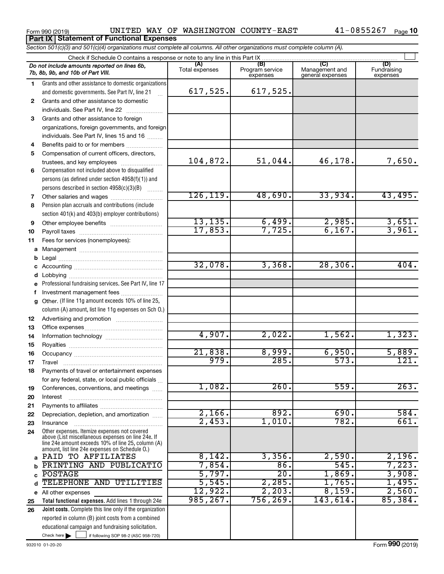Form 990 (2019) UNITED WAY OF WASHINGTON COUNTY-EAST 41-0855267 <sub>Page</sub> **Part IX Statement of Functional Expenses**

*Section 501(c)(3) and 501(c)(4) organizations must complete all columns. All other organizations must complete column (A).*

| Check if Schedule O contains a response or note to any line in this Part IX |                                                                                                                                                                                                            |                       |                                    |                                    |                                |  |  |  |
|-----------------------------------------------------------------------------|------------------------------------------------------------------------------------------------------------------------------------------------------------------------------------------------------------|-----------------------|------------------------------------|------------------------------------|--------------------------------|--|--|--|
|                                                                             | Do not include amounts reported on lines 6b,<br>7b, 8b, 9b, and 10b of Part VIII.                                                                                                                          | (A)<br>Total expenses | (B)<br>Program service<br>expenses | Management and<br>general expenses | (D)<br>Fundraising<br>expenses |  |  |  |
| 1.                                                                          | Grants and other assistance to domestic organizations                                                                                                                                                      |                       |                                    |                                    |                                |  |  |  |
|                                                                             | and domestic governments. See Part IV, line 21                                                                                                                                                             | 617,525.              | 617,525.                           |                                    |                                |  |  |  |
| $\mathbf{2}$                                                                | Grants and other assistance to domestic                                                                                                                                                                    |                       |                                    |                                    |                                |  |  |  |
|                                                                             | individuals. See Part IV, line 22                                                                                                                                                                          |                       |                                    |                                    |                                |  |  |  |
| 3                                                                           | Grants and other assistance to foreign                                                                                                                                                                     |                       |                                    |                                    |                                |  |  |  |
|                                                                             | organizations, foreign governments, and foreign                                                                                                                                                            |                       |                                    |                                    |                                |  |  |  |
|                                                                             | individuals. See Part IV, lines 15 and 16                                                                                                                                                                  |                       |                                    |                                    |                                |  |  |  |
| 4                                                                           | Benefits paid to or for members                                                                                                                                                                            |                       |                                    |                                    |                                |  |  |  |
| 5                                                                           | Compensation of current officers, directors,                                                                                                                                                               |                       |                                    |                                    |                                |  |  |  |
|                                                                             | trustees, and key employees                                                                                                                                                                                | 104,872.              | 51,044.                            | 46,178.                            | 7,650.                         |  |  |  |
| 6                                                                           | Compensation not included above to disqualified                                                                                                                                                            |                       |                                    |                                    |                                |  |  |  |
|                                                                             | persons (as defined under section 4958(f)(1)) and                                                                                                                                                          |                       |                                    |                                    |                                |  |  |  |
|                                                                             | persons described in section 4958(c)(3)(B)                                                                                                                                                                 |                       |                                    |                                    |                                |  |  |  |
| 7                                                                           | Other salaries and wages                                                                                                                                                                                   | 126, 119.             | 48,690.                            | 33,934.                            | 43,495.                        |  |  |  |
| 8                                                                           | Pension plan accruals and contributions (include                                                                                                                                                           |                       |                                    |                                    |                                |  |  |  |
|                                                                             | section 401(k) and 403(b) employer contributions)                                                                                                                                                          |                       |                                    |                                    |                                |  |  |  |
| 9                                                                           |                                                                                                                                                                                                            | 13, 135.              | 6,499.                             | 2,985.                             | 3,651.                         |  |  |  |
| 10                                                                          |                                                                                                                                                                                                            | 17,853.               | 7,725.                             | 6,167.                             | 3,961.                         |  |  |  |
| 11                                                                          | Fees for services (nonemployees):                                                                                                                                                                          |                       |                                    |                                    |                                |  |  |  |
| a                                                                           |                                                                                                                                                                                                            |                       |                                    |                                    |                                |  |  |  |
| b                                                                           |                                                                                                                                                                                                            |                       |                                    |                                    | 404.                           |  |  |  |
| c                                                                           |                                                                                                                                                                                                            | 32,078.               | 3,368.                             | 28, 306.                           |                                |  |  |  |
| d                                                                           | Lobbying                                                                                                                                                                                                   |                       |                                    |                                    |                                |  |  |  |
|                                                                             | Professional fundraising services. See Part IV, line 17                                                                                                                                                    |                       |                                    |                                    |                                |  |  |  |
| f                                                                           | Investment management fees                                                                                                                                                                                 |                       |                                    |                                    |                                |  |  |  |
| q                                                                           | Other. (If line 11g amount exceeds 10% of line 25,<br>column (A) amount, list line 11g expenses on Sch 0.)                                                                                                 |                       |                                    |                                    |                                |  |  |  |
| 12                                                                          |                                                                                                                                                                                                            |                       |                                    |                                    |                                |  |  |  |
| 13                                                                          |                                                                                                                                                                                                            |                       |                                    |                                    |                                |  |  |  |
| 14                                                                          |                                                                                                                                                                                                            | 4,907.                | 2,022.                             | 1,562.                             | 1,323.                         |  |  |  |
| 15                                                                          |                                                                                                                                                                                                            |                       |                                    |                                    |                                |  |  |  |
| 16                                                                          |                                                                                                                                                                                                            | 21,838.               | 8,999.                             | 6,950.                             | 5,889.                         |  |  |  |
| 17                                                                          | Travel                                                                                                                                                                                                     | 979.                  | 285.                               | 573.                               | 121.                           |  |  |  |
| 18                                                                          | Payments of travel or entertainment expenses                                                                                                                                                               |                       |                                    |                                    |                                |  |  |  |
|                                                                             | for any federal, state, or local public officials                                                                                                                                                          |                       |                                    |                                    |                                |  |  |  |
| 19                                                                          | Conferences, conventions, and meetings                                                                                                                                                                     | 1,082.                | 260.                               | 559.                               | 263.                           |  |  |  |
| 20                                                                          | Interest                                                                                                                                                                                                   |                       |                                    |                                    |                                |  |  |  |
| 21                                                                          |                                                                                                                                                                                                            |                       |                                    |                                    |                                |  |  |  |
| 22                                                                          | Depreciation, depletion, and amortization                                                                                                                                                                  | 2,166.                | 892.                               | 690.                               | 584.                           |  |  |  |
| 23                                                                          | Insurance                                                                                                                                                                                                  | 2,453.                | 1,010.                             | 782.                               | 661.                           |  |  |  |
| 24                                                                          | Other expenses. Itemize expenses not covered<br>above (List miscellaneous expenses on line 24e. If<br>line 24e amount exceeds 10% of line 25, column (A)<br>amount, list line 24e expenses on Schedule O.) |                       |                                    |                                    |                                |  |  |  |
| a                                                                           | PAID TO AFFILIATES                                                                                                                                                                                         | 8,142.                | 3,356.                             | 2,590.                             | 2,196.                         |  |  |  |
| b                                                                           | PRINTING AND PUBLICATIO                                                                                                                                                                                    | 7,854.                | 86.                                | 545.                               | 7,223.                         |  |  |  |
| C                                                                           | <b>POSTAGE</b>                                                                                                                                                                                             | 5,797.                | $\overline{20}$                    | 1,869.                             | 3,908.                         |  |  |  |
| d                                                                           | TELEPHONE AND UTILITIES                                                                                                                                                                                    | 5,545.                | 2,285.                             | 1,765.                             | 1,495.                         |  |  |  |
| е                                                                           | All other expenses                                                                                                                                                                                         | 12,922.               | 2,203.                             | 8,159.                             | 2,560.                         |  |  |  |
| 25                                                                          | Total functional expenses. Add lines 1 through 24e                                                                                                                                                         | 985, 267.             | 756, 269.                          | 143,614                            | 85,384.                        |  |  |  |
| 26                                                                          | Joint costs. Complete this line only if the organization                                                                                                                                                   |                       |                                    |                                    |                                |  |  |  |
|                                                                             | reported in column (B) joint costs from a combined                                                                                                                                                         |                       |                                    |                                    |                                |  |  |  |
|                                                                             | educational campaign and fundraising solicitation.                                                                                                                                                         |                       |                                    |                                    |                                |  |  |  |
|                                                                             | Check here<br>if following SOP 98-2 (ASC 958-720)                                                                                                                                                          |                       |                                    |                                    |                                |  |  |  |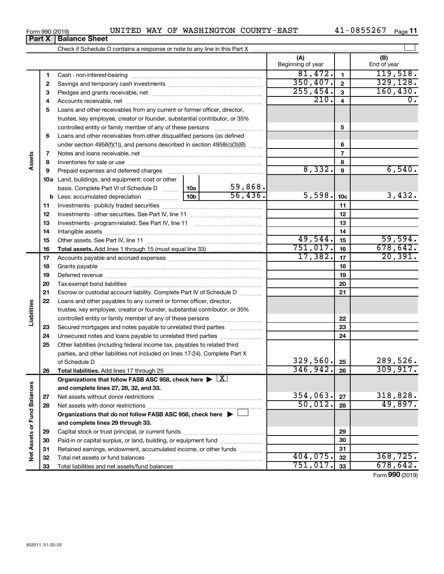| Form 990 (2019) |                               |  |
|-----------------|-------------------------------|--|
|                 | <b>Part X   Balance Sheet</b> |  |

## Form 990 (2019) UNITED WAY OF WASHINGTON COUNTY-EAST 41-0855267 <sub>Page</sub>

41-0855267 Page 11

|                             |    |                                                                                                                                                                                                                                |                 |          | (A)<br>Beginning of year |                         | (B)<br>End of year |
|-----------------------------|----|--------------------------------------------------------------------------------------------------------------------------------------------------------------------------------------------------------------------------------|-----------------|----------|--------------------------|-------------------------|--------------------|
|                             | 1  |                                                                                                                                                                                                                                |                 |          | 81,472.                  | $\mathbf{1}$            | 119,518.           |
|                             | 2  |                                                                                                                                                                                                                                |                 |          | 350, 407.                | $\mathbf{2}$            | 329, 128.          |
|                             | З  |                                                                                                                                                                                                                                |                 |          | 255,454.                 | 3                       | 160, 430.          |
|                             | 4  |                                                                                                                                                                                                                                |                 |          | 210.                     | $\overline{\mathbf{4}}$ | 0.                 |
|                             | 5  | Loans and other receivables from any current or former officer, director,                                                                                                                                                      |                 |          |                          |                         |                    |
|                             |    | trustee, key employee, creator or founder, substantial contributor, or 35%                                                                                                                                                     |                 |          |                          |                         |                    |
|                             |    | controlled entity or family member of any of these persons                                                                                                                                                                     |                 |          |                          | 5                       |                    |
|                             | 6  | Loans and other receivables from other disqualified persons (as defined                                                                                                                                                        |                 |          |                          |                         |                    |
|                             |    | under section 4958(f)(1)), and persons described in section 4958(c)(3)(B)                                                                                                                                                      |                 |          |                          | 6                       |                    |
|                             | 7  |                                                                                                                                                                                                                                |                 |          |                          | $\overline{7}$          |                    |
| Assets                      | 8  |                                                                                                                                                                                                                                |                 |          |                          | 8                       |                    |
|                             | 9  | Prepaid expenses and deferred charges [11] [11] prepaid expenses and deferred charges [11] [11] minimum and the Prepaid expenses and deferred charges [11] minimum and the Prepaid experiment of Prepaid experiment and the Pr |                 |          | 8,332.                   | 9                       | 6,540.             |
|                             |    | 10a Land, buildings, and equipment: cost or other                                                                                                                                                                              |                 |          |                          |                         |                    |
|                             |    | basis. Complete Part VI of Schedule D                                                                                                                                                                                          | 10a             | 59,868.  |                          |                         |                    |
|                             |    | <b>b</b> Less: accumulated depreciation                                                                                                                                                                                        | 10 <sub>b</sub> | 56,436.  | 5,598.                   | 10 <sub>c</sub>         | 3,432.             |
|                             | 11 |                                                                                                                                                                                                                                |                 |          |                          | 11                      |                    |
|                             | 12 |                                                                                                                                                                                                                                |                 |          | 12                       |                         |                    |
|                             | 13 |                                                                                                                                                                                                                                |                 | 13       |                          |                         |                    |
|                             | 14 |                                                                                                                                                                                                                                |                 |          |                          | 14                      |                    |
|                             | 15 |                                                                                                                                                                                                                                |                 | 49,544.  | 15                       | 59,594.                 |                    |
|                             | 16 |                                                                                                                                                                                                                                |                 |          | 751,017.                 | 16                      | 678, 642.          |
|                             | 17 |                                                                                                                                                                                                                                |                 |          | 17,382.                  | 17                      | 20, 391.           |
|                             | 18 |                                                                                                                                                                                                                                |                 | 18       |                          |                         |                    |
|                             | 19 |                                                                                                                                                                                                                                |                 | 19       |                          |                         |                    |
|                             | 20 |                                                                                                                                                                                                                                |                 |          |                          | 20                      |                    |
|                             | 21 | Escrow or custodial account liability. Complete Part IV of Schedule D                                                                                                                                                          |                 |          |                          | 21                      |                    |
|                             | 22 | Loans and other payables to any current or former officer, director,                                                                                                                                                           |                 |          |                          |                         |                    |
| Liabilities                 |    | trustee, key employee, creator or founder, substantial contributor, or 35%                                                                                                                                                     |                 |          |                          |                         |                    |
|                             |    |                                                                                                                                                                                                                                |                 |          |                          | 22                      |                    |
|                             | 23 | Secured mortgages and notes payable to unrelated third parties                                                                                                                                                                 |                 |          |                          | 23                      |                    |
|                             | 24 |                                                                                                                                                                                                                                |                 |          |                          | 24                      |                    |
|                             | 25 | Other liabilities (including federal income tax, payables to related third                                                                                                                                                     |                 |          |                          |                         |                    |
|                             |    | parties, and other liabilities not included on lines 17-24). Complete Part X                                                                                                                                                   |                 |          |                          |                         |                    |
|                             |    |                                                                                                                                                                                                                                |                 |          | 329,560.                 | 25                      | 289,526.           |
|                             | 26 |                                                                                                                                                                                                                                |                 |          | 346, 942.                | 26                      | 309, 917.          |
|                             |    | Organizations that follow FASB ASC 958, check here $\blacktriangleright \lfloor \underline{X} \rfloor$                                                                                                                         |                 |          |                          |                         |                    |
|                             |    | and complete lines 27, 28, 32, and 33.                                                                                                                                                                                         |                 |          | 354,063.                 |                         | 318,828.           |
|                             | 27 |                                                                                                                                                                                                                                |                 |          | 50,012.                  | 27                      | 49,897.            |
|                             | 28 |                                                                                                                                                                                                                                |                 |          |                          | 28                      |                    |
|                             |    | Organizations that do not follow FASB ASC 958, check here $\blacktriangleright$                                                                                                                                                |                 |          |                          |                         |                    |
|                             |    | and complete lines 29 through 33.                                                                                                                                                                                              |                 |          |                          |                         |                    |
|                             | 29 |                                                                                                                                                                                                                                |                 |          |                          | 29                      |                    |
|                             | 30 | Paid-in or capital surplus, or land, building, or equipment fund                                                                                                                                                               |                 |          |                          | 30                      |                    |
| Net Assets or Fund Balances | 31 | Retained earnings, endowment, accumulated income, or other funds                                                                                                                                                               |                 |          | 404,075.                 | 31                      | 368, 725.          |
|                             | 32 |                                                                                                                                                                                                                                |                 | 751,017. | 32<br>33                 | 678, 642.               |                    |
|                             | 33 |                                                                                                                                                                                                                                |                 |          |                          |                         |                    |

Form (2019) **990**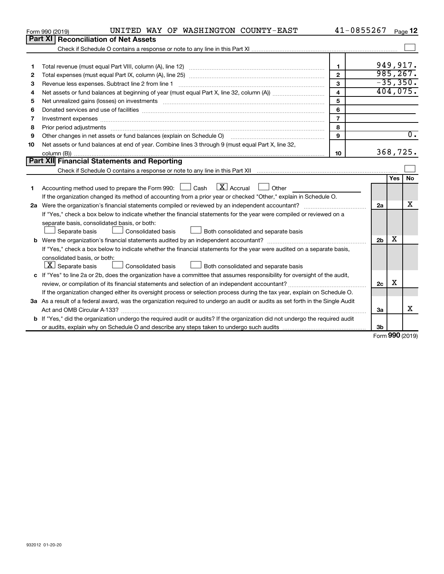|    | UNITED WAY OF WASHINGTON COUNTY-EAST<br>Form 990 (2019)                                                                                                                                                                        | 41-0855267              |                |            | Page 12    |  |  |
|----|--------------------------------------------------------------------------------------------------------------------------------------------------------------------------------------------------------------------------------|-------------------------|----------------|------------|------------|--|--|
|    | Part XI<br><b>Reconciliation of Net Assets</b>                                                                                                                                                                                 |                         |                |            |            |  |  |
|    |                                                                                                                                                                                                                                |                         |                |            |            |  |  |
|    |                                                                                                                                                                                                                                |                         |                |            |            |  |  |
| 1  |                                                                                                                                                                                                                                | $\mathbf{1}$            |                |            | 949,917.   |  |  |
| 2  |                                                                                                                                                                                                                                | $\mathbf{2}$            |                |            | 985, 267.  |  |  |
| З  | Revenue less expenses. Subtract line 2 from line 1                                                                                                                                                                             | 3                       |                |            | $-35,350.$ |  |  |
| 4  |                                                                                                                                                                                                                                | $\overline{\mathbf{4}}$ |                |            | 404,075.   |  |  |
| 5  | Net unrealized gains (losses) on investments [111] matter in the contract of the contract of the contract of the contract of the contract of the contract of the contract of the contract of the contract of the contract of t | 5                       |                |            |            |  |  |
| 6  |                                                                                                                                                                                                                                | 6                       |                |            |            |  |  |
| 7  |                                                                                                                                                                                                                                | $\overline{7}$          |                |            |            |  |  |
| 8  |                                                                                                                                                                                                                                | 8                       |                |            |            |  |  |
| 9  |                                                                                                                                                                                                                                | $\mathbf{Q}$            |                |            | $0$ .      |  |  |
| 10 | Net assets or fund balances at end of year. Combine lines 3 through 9 (must equal Part X, line 32,                                                                                                                             |                         |                |            |            |  |  |
|    |                                                                                                                                                                                                                                | 10                      |                |            | 368,725.   |  |  |
|    | <b>Part XII</b> Financial Statements and Reporting                                                                                                                                                                             |                         |                |            |            |  |  |
|    |                                                                                                                                                                                                                                |                         |                |            |            |  |  |
|    |                                                                                                                                                                                                                                |                         |                | <b>Yes</b> | <b>No</b>  |  |  |
| 1  | Accounting method used to prepare the Form 990: $\Box$ Cash $\Box X$ Accrual<br>Other                                                                                                                                          |                         |                |            |            |  |  |
|    | If the organization changed its method of accounting from a prior year or checked "Other," explain in Schedule O.                                                                                                              |                         |                |            |            |  |  |
|    |                                                                                                                                                                                                                                |                         | 2a             |            | x          |  |  |
|    | If "Yes," check a box below to indicate whether the financial statements for the year were compiled or reviewed on a                                                                                                           |                         |                |            |            |  |  |
|    | separate basis, consolidated basis, or both:                                                                                                                                                                                   |                         |                |            |            |  |  |
|    | Both consolidated and separate basis<br>Separate basis<br>Consolidated basis                                                                                                                                                   |                         |                |            |            |  |  |
|    |                                                                                                                                                                                                                                |                         | 2 <sub>b</sub> | х          |            |  |  |
|    | If "Yes," check a box below to indicate whether the financial statements for the year were audited on a separate basis,                                                                                                        |                         |                |            |            |  |  |
|    | consolidated basis, or both:                                                                                                                                                                                                   |                         |                |            |            |  |  |
|    | $ \mathbf{X} $ Separate basis<br>Consolidated basis<br>Both consolidated and separate basis                                                                                                                                    |                         |                |            |            |  |  |
|    | c If "Yes" to line 2a or 2b, does the organization have a committee that assumes responsibility for oversight of the audit,                                                                                                    |                         |                |            |            |  |  |
|    | review, or compilation of its financial statements and selection of an independent accountant?                                                                                                                                 |                         | 2c             | X          |            |  |  |
|    | If the organization changed either its oversight process or selection process during the tax year, explain on Schedule O.                                                                                                      |                         |                |            |            |  |  |
|    | 3a As a result of a federal award, was the organization required to undergo an audit or audits as set forth in the Single Audit                                                                                                |                         |                |            |            |  |  |
|    | Act and OMB Circular A-133?                                                                                                                                                                                                    |                         | За             |            | x          |  |  |
|    | b If "Yes," did the organization undergo the required audit or audits? If the organization did not undergo the required audit                                                                                                  |                         |                |            |            |  |  |
|    |                                                                                                                                                                                                                                |                         | 3b             | $\sim$     |            |  |  |

Form (2019) **990**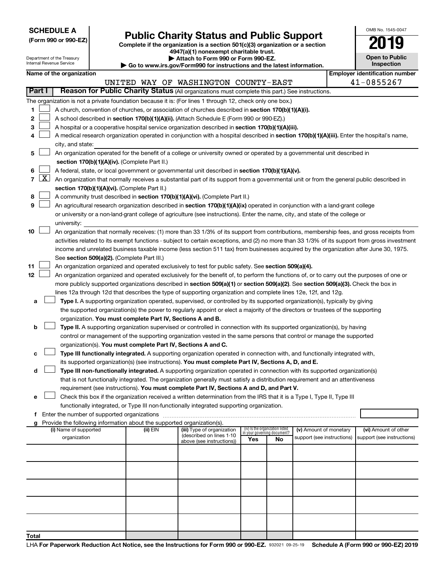| <b>SCHEDULE A</b> |  |
|-------------------|--|
|-------------------|--|

# Form 990 or 990-EZ) **Public Charity Status and Public Support**<br>
Complete if the organization is a section 501(c)(3) organization or a section<br> **2019**

**4947(a)(1) nonexempt charitable trust.**

**| Attach to Form 990 or Form 990-EZ.** 

| OMB No 1545-0047                    |
|-------------------------------------|
| 019                                 |
| <b>Open to Public</b><br>Inspection |

|       | Department of the Treasury<br>Attach to Form 990 or Form 990-EZ.<br>Internal Revenue Service<br>$\blacktriangleright$ Go to www.irs.gov/Form990 for instructions and the latest information. |                          |                                               |                                                                        |                                                                                                                                               | <b>Open to Public</b><br><b>Inspection</b> |                                    |                            |  |                                       |
|-------|----------------------------------------------------------------------------------------------------------------------------------------------------------------------------------------------|--------------------------|-----------------------------------------------|------------------------------------------------------------------------|-----------------------------------------------------------------------------------------------------------------------------------------------|--------------------------------------------|------------------------------------|----------------------------|--|---------------------------------------|
|       |                                                                                                                                                                                              | Name of the organization |                                               |                                                                        |                                                                                                                                               |                                            |                                    |                            |  | <b>Employer identification number</b> |
|       |                                                                                                                                                                                              |                          |                                               |                                                                        | UNITED WAY OF WASHINGTON COUNTY-EAST                                                                                                          |                                            |                                    |                            |  | 41-0855267                            |
|       | Part I                                                                                                                                                                                       |                          |                                               |                                                                        | Reason for Public Charity Status (All organizations must complete this part.) See instructions.                                               |                                            |                                    |                            |  |                                       |
|       |                                                                                                                                                                                              |                          |                                               |                                                                        |                                                                                                                                               |                                            |                                    |                            |  |                                       |
|       |                                                                                                                                                                                              |                          |                                               |                                                                        | The organization is not a private foundation because it is: (For lines 1 through 12, check only one box.)                                     |                                            |                                    |                            |  |                                       |
| 1     |                                                                                                                                                                                              |                          |                                               |                                                                        | A church, convention of churches, or association of churches described in section 170(b)(1)(A)(i).                                            |                                            |                                    |                            |  |                                       |
| 2     |                                                                                                                                                                                              |                          |                                               |                                                                        | A school described in section 170(b)(1)(A)(ii). (Attach Schedule E (Form 990 or 990-EZ).)                                                     |                                            |                                    |                            |  |                                       |
| З     |                                                                                                                                                                                              |                          |                                               |                                                                        | A hospital or a cooperative hospital service organization described in section 170(b)(1)(A)(iii).                                             |                                            |                                    |                            |  |                                       |
| 4     |                                                                                                                                                                                              |                          |                                               |                                                                        | A medical research organization operated in conjunction with a hospital described in section 170(b)(1)(A)(iii). Enter the hospital's name,    |                                            |                                    |                            |  |                                       |
|       |                                                                                                                                                                                              | city, and state:         |                                               |                                                                        |                                                                                                                                               |                                            |                                    |                            |  |                                       |
| 5     |                                                                                                                                                                                              |                          |                                               |                                                                        | An organization operated for the benefit of a college or university owned or operated by a governmental unit described in                     |                                            |                                    |                            |  |                                       |
|       |                                                                                                                                                                                              |                          |                                               | section 170(b)(1)(A)(iv). (Complete Part II.)                          |                                                                                                                                               |                                            |                                    |                            |  |                                       |
| 6     |                                                                                                                                                                                              |                          |                                               |                                                                        | A federal, state, or local government or governmental unit described in section 170(b)(1)(A)(v).                                              |                                            |                                    |                            |  |                                       |
|       | $7 \mid X \mid$                                                                                                                                                                              |                          |                                               |                                                                        | An organization that normally receives a substantial part of its support from a governmental unit or from the general public described in     |                                            |                                    |                            |  |                                       |
|       |                                                                                                                                                                                              |                          |                                               | section 170(b)(1)(A)(vi). (Complete Part II.)                          |                                                                                                                                               |                                            |                                    |                            |  |                                       |
| 8     |                                                                                                                                                                                              |                          |                                               |                                                                        | A community trust described in section 170(b)(1)(A)(vi). (Complete Part II.)                                                                  |                                            |                                    |                            |  |                                       |
| 9     |                                                                                                                                                                                              |                          |                                               |                                                                        | An agricultural research organization described in section 170(b)(1)(A)(ix) operated in conjunction with a land-grant college                 |                                            |                                    |                            |  |                                       |
|       |                                                                                                                                                                                              |                          |                                               |                                                                        | or university or a non-land-grant college of agriculture (see instructions). Enter the name, city, and state of the college or                |                                            |                                    |                            |  |                                       |
|       |                                                                                                                                                                                              | university:              |                                               |                                                                        |                                                                                                                                               |                                            |                                    |                            |  |                                       |
| 10    |                                                                                                                                                                                              |                          |                                               |                                                                        | An organization that normally receives: (1) more than 33 1/3% of its support from contributions, membership fees, and gross receipts from     |                                            |                                    |                            |  |                                       |
|       |                                                                                                                                                                                              |                          |                                               |                                                                        | activities related to its exempt functions - subject to certain exceptions, and (2) no more than 33 1/3% of its support from gross investment |                                            |                                    |                            |  |                                       |
|       |                                                                                                                                                                                              |                          |                                               |                                                                        | income and unrelated business taxable income (less section 511 tax) from businesses acquired by the organization after June 30, 1975.         |                                            |                                    |                            |  |                                       |
|       |                                                                                                                                                                                              |                          |                                               | See section 509(a)(2). (Complete Part III.)                            |                                                                                                                                               |                                            |                                    |                            |  |                                       |
| 11    |                                                                                                                                                                                              |                          |                                               |                                                                        | An organization organized and operated exclusively to test for public safety. See section 509(a)(4).                                          |                                            |                                    |                            |  |                                       |
| 12    |                                                                                                                                                                                              |                          |                                               |                                                                        | An organization organized and operated exclusively for the benefit of, to perform the functions of, or to carry out the purposes of one or    |                                            |                                    |                            |  |                                       |
|       |                                                                                                                                                                                              |                          |                                               |                                                                        | more publicly supported organizations described in section 509(a)(1) or section 509(a)(2). See section 509(a)(3). Check the box in            |                                            |                                    |                            |  |                                       |
|       |                                                                                                                                                                                              |                          |                                               |                                                                        | lines 12a through 12d that describes the type of supporting organization and complete lines 12e, 12f, and 12g.                                |                                            |                                    |                            |  |                                       |
| а     |                                                                                                                                                                                              |                          |                                               |                                                                        | Type I. A supporting organization operated, supervised, or controlled by its supported organization(s), typically by giving                   |                                            |                                    |                            |  |                                       |
|       |                                                                                                                                                                                              |                          |                                               |                                                                        | the supported organization(s) the power to regularly appoint or elect a majority of the directors or trustees of the supporting               |                                            |                                    |                            |  |                                       |
|       |                                                                                                                                                                                              |                          |                                               | organization. You must complete Part IV, Sections A and B.             |                                                                                                                                               |                                            |                                    |                            |  |                                       |
| b     |                                                                                                                                                                                              |                          |                                               |                                                                        | Type II. A supporting organization supervised or controlled in connection with its supported organization(s), by having                       |                                            |                                    |                            |  |                                       |
|       |                                                                                                                                                                                              |                          |                                               |                                                                        | control or management of the supporting organization vested in the same persons that control or manage the supported                          |                                            |                                    |                            |  |                                       |
|       |                                                                                                                                                                                              |                          |                                               | organization(s). You must complete Part IV, Sections A and C.          |                                                                                                                                               |                                            |                                    |                            |  |                                       |
| с     |                                                                                                                                                                                              |                          |                                               |                                                                        | Type III functionally integrated. A supporting organization operated in connection with, and functionally integrated with,                    |                                            |                                    |                            |  |                                       |
|       |                                                                                                                                                                                              |                          |                                               |                                                                        | its supported organization(s) (see instructions). You must complete Part IV, Sections A, D, and E.                                            |                                            |                                    |                            |  |                                       |
| d     |                                                                                                                                                                                              |                          |                                               |                                                                        | Type III non-functionally integrated. A supporting organization operated in connection with its supported organization(s)                     |                                            |                                    |                            |  |                                       |
|       |                                                                                                                                                                                              |                          |                                               |                                                                        | that is not functionally integrated. The organization generally must satisfy a distribution requirement and an attentiveness                  |                                            |                                    |                            |  |                                       |
|       |                                                                                                                                                                                              |                          |                                               |                                                                        | requirement (see instructions). You must complete Part IV, Sections A and D, and Part V.                                                      |                                            |                                    |                            |  |                                       |
| е     |                                                                                                                                                                                              |                          |                                               |                                                                        | Check this box if the organization received a written determination from the IRS that it is a Type I, Type II, Type III                       |                                            |                                    |                            |  |                                       |
|       |                                                                                                                                                                                              |                          |                                               |                                                                        | functionally integrated, or Type III non-functionally integrated supporting organization.                                                     |                                            |                                    |                            |  |                                       |
|       |                                                                                                                                                                                              |                          | f Enter the number of supported organizations |                                                                        |                                                                                                                                               |                                            |                                    |                            |  |                                       |
|       |                                                                                                                                                                                              |                          |                                               | Provide the following information about the supported organization(s). |                                                                                                                                               |                                            |                                    |                            |  |                                       |
|       |                                                                                                                                                                                              | (i) Name of supported    |                                               | $(ii)$ EIN                                                             | (iii) Type of organization                                                                                                                    |                                            | (iv) Is the organization listed    | (v) Amount of monetary     |  | (vi) Amount of other                  |
|       |                                                                                                                                                                                              | organization             |                                               |                                                                        | (described on lines 1-10                                                                                                                      | Yes                                        | in your governing document?<br>No. | support (see instructions) |  | support (see instructions)            |
|       |                                                                                                                                                                                              |                          |                                               |                                                                        | above (see instructions))                                                                                                                     |                                            |                                    |                            |  |                                       |
|       |                                                                                                                                                                                              |                          |                                               |                                                                        |                                                                                                                                               |                                            |                                    |                            |  |                                       |
|       |                                                                                                                                                                                              |                          |                                               |                                                                        |                                                                                                                                               |                                            |                                    |                            |  |                                       |
|       |                                                                                                                                                                                              |                          |                                               |                                                                        |                                                                                                                                               |                                            |                                    |                            |  |                                       |
|       |                                                                                                                                                                                              |                          |                                               |                                                                        |                                                                                                                                               |                                            |                                    |                            |  |                                       |
|       |                                                                                                                                                                                              |                          |                                               |                                                                        |                                                                                                                                               |                                            |                                    |                            |  |                                       |
|       |                                                                                                                                                                                              |                          |                                               |                                                                        |                                                                                                                                               |                                            |                                    |                            |  |                                       |
|       |                                                                                                                                                                                              |                          |                                               |                                                                        |                                                                                                                                               |                                            |                                    |                            |  |                                       |
|       |                                                                                                                                                                                              |                          |                                               |                                                                        |                                                                                                                                               |                                            |                                    |                            |  |                                       |
|       |                                                                                                                                                                                              |                          |                                               |                                                                        |                                                                                                                                               |                                            |                                    |                            |  |                                       |
|       |                                                                                                                                                                                              |                          |                                               |                                                                        |                                                                                                                                               |                                            |                                    |                            |  |                                       |
| Total |                                                                                                                                                                                              |                          |                                               |                                                                        |                                                                                                                                               |                                            |                                    |                            |  |                                       |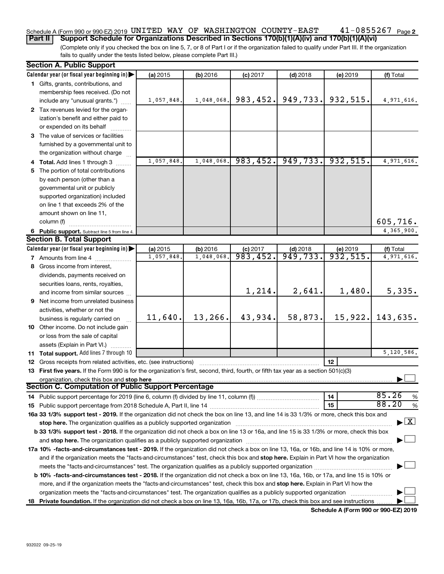### $41 - 0855267$  Page 2 Schedule A (Form 990 or 990-EZ) 2019 UNITED WAY OF WASHINGTON COUNTY-EAST  $41\text{--}0855267$   $_\text{Page}$ **Part II Support Schedule for Organizations Described in Sections 170(b)(1)(A)(iv) and 170(b)(1)(A)(vi)**

(Complete only if you checked the box on line 5, 7, or 8 of Part I or if the organization failed to qualify under Part III. If the organization fails to qualify under the tests listed below, please complete Part III.)

| <b>Section A. Public Support</b>                                                                                                                                                                                               |            |            |            |                       |            |                                    |  |  |
|--------------------------------------------------------------------------------------------------------------------------------------------------------------------------------------------------------------------------------|------------|------------|------------|-----------------------|------------|------------------------------------|--|--|
| Calendar year (or fiscal year beginning in)                                                                                                                                                                                    | (a) 2015   | (b) 2016   | $(c)$ 2017 | $(d)$ 2018            | $(e)$ 2019 | (f) Total                          |  |  |
| 1 Gifts, grants, contributions, and                                                                                                                                                                                            |            |            |            |                       |            |                                    |  |  |
| membership fees received. (Do not                                                                                                                                                                                              |            |            |            |                       |            |                                    |  |  |
| include any "unusual grants.")                                                                                                                                                                                                 | 1,057,848. | 1,048,068. | 983, 452.  | 949,733.              | 932,515.   | 4,971,616.                         |  |  |
| 2 Tax revenues levied for the organ-                                                                                                                                                                                           |            |            |            |                       |            |                                    |  |  |
| ization's benefit and either paid to                                                                                                                                                                                           |            |            |            |                       |            |                                    |  |  |
| or expended on its behalf                                                                                                                                                                                                      |            |            |            |                       |            |                                    |  |  |
| 3 The value of services or facilities                                                                                                                                                                                          |            |            |            |                       |            |                                    |  |  |
| furnished by a governmental unit to                                                                                                                                                                                            |            |            |            |                       |            |                                    |  |  |
| the organization without charge                                                                                                                                                                                                |            |            |            |                       |            |                                    |  |  |
| 4 Total. Add lines 1 through 3                                                                                                                                                                                                 | 1,057,848. | 1,048,068. | 983, 452.  | 949,733.              | 932,515.   | 4,971,616.                         |  |  |
| 5 The portion of total contributions                                                                                                                                                                                           |            |            |            |                       |            |                                    |  |  |
| by each person (other than a                                                                                                                                                                                                   |            |            |            |                       |            |                                    |  |  |
| governmental unit or publicly                                                                                                                                                                                                  |            |            |            |                       |            |                                    |  |  |
| supported organization) included                                                                                                                                                                                               |            |            |            |                       |            |                                    |  |  |
| on line 1 that exceeds 2% of the                                                                                                                                                                                               |            |            |            |                       |            |                                    |  |  |
| amount shown on line 11,                                                                                                                                                                                                       |            |            |            |                       |            |                                    |  |  |
| column (f)                                                                                                                                                                                                                     |            |            |            |                       |            | 605,716.                           |  |  |
| 6 Public support. Subtract line 5 from line 4.                                                                                                                                                                                 |            |            |            |                       |            | 4,365,900.                         |  |  |
| <b>Section B. Total Support</b>                                                                                                                                                                                                |            |            |            |                       |            |                                    |  |  |
| Calendar year (or fiscal year beginning in)                                                                                                                                                                                    | (a) 2015   | (b) 2016   | $(c)$ 2017 | $(d)$ 2018            | (e) 2019   | (f) Total                          |  |  |
| <b>7</b> Amounts from line 4                                                                                                                                                                                                   | 1,057,848  | 1,048,068  | 983,452.   | $\overline{949,733.}$ | 932,515.   | 4,971,616.                         |  |  |
| 8 Gross income from interest,                                                                                                                                                                                                  |            |            |            |                       |            |                                    |  |  |
| dividends, payments received on                                                                                                                                                                                                |            |            |            |                       |            |                                    |  |  |
| securities loans, rents, royalties,                                                                                                                                                                                            |            |            |            |                       |            |                                    |  |  |
| and income from similar sources                                                                                                                                                                                                |            |            | 1,214.     | 2,641.                | 1,480.     | 5,335.                             |  |  |
| <b>9</b> Net income from unrelated business                                                                                                                                                                                    |            |            |            |                       |            |                                    |  |  |
| activities, whether or not the                                                                                                                                                                                                 |            |            |            |                       |            |                                    |  |  |
| business is regularly carried on                                                                                                                                                                                               | 11,640.    | 13,266.    | 43,934.    | 58,873.               | 15,922.    | 143,635.                           |  |  |
| 10 Other income. Do not include gain                                                                                                                                                                                           |            |            |            |                       |            |                                    |  |  |
| or loss from the sale of capital                                                                                                                                                                                               |            |            |            |                       |            |                                    |  |  |
| assets (Explain in Part VI.)                                                                                                                                                                                                   |            |            |            |                       |            |                                    |  |  |
| 11 Total support. Add lines 7 through 10                                                                                                                                                                                       |            |            |            |                       |            | 5,120,586.                         |  |  |
| <b>12</b> Gross receipts from related activities, etc. (see instructions)                                                                                                                                                      |            |            |            |                       | 12         |                                    |  |  |
| 13 First five years. If the Form 990 is for the organization's first, second, third, fourth, or fifth tax year as a section 501(c)(3)                                                                                          |            |            |            |                       |            |                                    |  |  |
| organization, check this box and stop here                                                                                                                                                                                     |            |            |            |                       |            |                                    |  |  |
| <b>Section C. Computation of Public Support Percentage</b>                                                                                                                                                                     |            |            |            |                       |            |                                    |  |  |
|                                                                                                                                                                                                                                |            |            |            |                       | 14         | 85.26<br>%                         |  |  |
|                                                                                                                                                                                                                                |            |            |            |                       | 15         | 88.20<br>%                         |  |  |
| 16a 33 1/3% support test - 2019. If the organization did not check the box on line 13, and line 14 is 33 1/3% or more, check this box and                                                                                      |            |            |            |                       |            |                                    |  |  |
| stop here. The organization qualifies as a publicly supported organization manufactured content and the support of the state of the state of the state of the state of the state of the state of the state of the state of the |            |            |            |                       |            | $\blacktriangleright$ $\mathbf{X}$ |  |  |
| b 33 1/3% support test - 2018. If the organization did not check a box on line 13 or 16a, and line 15 is 33 1/3% or more, check this box                                                                                       |            |            |            |                       |            |                                    |  |  |
|                                                                                                                                                                                                                                |            |            |            |                       |            |                                    |  |  |
| 17a 10% -facts-and-circumstances test - 2019. If the organization did not check a box on line 13, 16a, or 16b, and line 14 is 10% or more,                                                                                     |            |            |            |                       |            |                                    |  |  |
| and if the organization meets the "facts-and-circumstances" test, check this box and stop here. Explain in Part VI how the organization                                                                                        |            |            |            |                       |            |                                    |  |  |
|                                                                                                                                                                                                                                |            |            |            |                       |            |                                    |  |  |
| b 10% -facts-and-circumstances test - 2018. If the organization did not check a box on line 13, 16a, 16b, or 17a, and line 15 is 10% or                                                                                        |            |            |            |                       |            |                                    |  |  |
| more, and if the organization meets the "facts-and-circumstances" test, check this box and stop here. Explain in Part VI how the                                                                                               |            |            |            |                       |            |                                    |  |  |
| organization meets the "facts-and-circumstances" test. The organization qualifies as a publicly supported organization                                                                                                         |            |            |            |                       |            |                                    |  |  |
| 18 Private foundation. If the organization did not check a box on line 13, 16a, 16b, 17a, or 17b, check this box and see instructions                                                                                          |            |            |            |                       |            |                                    |  |  |

**Schedule A (Form 990 or 990-EZ) 2019**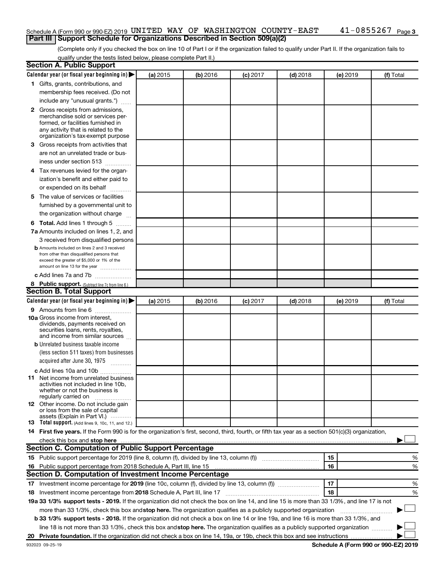## Schedule A (Form 990 or 990-EZ) 2019 UNITED WAY OF WASHINGTON COUNTY-EAST  $41\text{--}0855267$   $_\text{Page}$ **Part III Support Schedule for Organizations Described in Section 509(a)(2)**

(Complete only if you checked the box on line 10 of Part I or if the organization failed to qualify under Part II. If the organization fails to qualify under the tests listed below, please complete Part II.)

| <b>Section A. Public Support</b>                                                                                                                                                                                               |          |          |                 |            |          |           |
|--------------------------------------------------------------------------------------------------------------------------------------------------------------------------------------------------------------------------------|----------|----------|-----------------|------------|----------|-----------|
| Calendar year (or fiscal year beginning in)                                                                                                                                                                                    | (a) 2015 | (b) 2016 | $(c)$ 2017      | $(d)$ 2018 | (e) 2019 | (f) Total |
| 1 Gifts, grants, contributions, and                                                                                                                                                                                            |          |          |                 |            |          |           |
| membership fees received. (Do not                                                                                                                                                                                              |          |          |                 |            |          |           |
| include any "unusual grants.")                                                                                                                                                                                                 |          |          |                 |            |          |           |
| 2 Gross receipts from admissions,                                                                                                                                                                                              |          |          |                 |            |          |           |
| merchandise sold or services per-                                                                                                                                                                                              |          |          |                 |            |          |           |
| formed, or facilities furnished in                                                                                                                                                                                             |          |          |                 |            |          |           |
| any activity that is related to the<br>organization's tax-exempt purpose                                                                                                                                                       |          |          |                 |            |          |           |
| 3 Gross receipts from activities that                                                                                                                                                                                          |          |          |                 |            |          |           |
| are not an unrelated trade or bus-                                                                                                                                                                                             |          |          |                 |            |          |           |
| iness under section 513                                                                                                                                                                                                        |          |          |                 |            |          |           |
| 4 Tax revenues levied for the organ-                                                                                                                                                                                           |          |          |                 |            |          |           |
| ization's benefit and either paid to                                                                                                                                                                                           |          |          |                 |            |          |           |
| or expended on its behalf                                                                                                                                                                                                      |          |          |                 |            |          |           |
| 5 The value of services or facilities                                                                                                                                                                                          |          |          |                 |            |          |           |
| furnished by a governmental unit to                                                                                                                                                                                            |          |          |                 |            |          |           |
| the organization without charge                                                                                                                                                                                                |          |          |                 |            |          |           |
| <b>6 Total.</b> Add lines 1 through 5                                                                                                                                                                                          |          |          |                 |            |          |           |
| 7a Amounts included on lines 1, 2, and                                                                                                                                                                                         |          |          |                 |            |          |           |
| 3 received from disqualified persons                                                                                                                                                                                           |          |          |                 |            |          |           |
| <b>b</b> Amounts included on lines 2 and 3 received                                                                                                                                                                            |          |          |                 |            |          |           |
| from other than disqualified persons that                                                                                                                                                                                      |          |          |                 |            |          |           |
| exceed the greater of \$5,000 or 1% of the<br>amount on line 13 for the year                                                                                                                                                   |          |          |                 |            |          |           |
| c Add lines 7a and 7b                                                                                                                                                                                                          |          |          |                 |            |          |           |
| 8 Public support. (Subtract line 7c from line 6.)                                                                                                                                                                              |          |          |                 |            |          |           |
| <b>Section B. Total Support</b>                                                                                                                                                                                                |          |          |                 |            |          |           |
| Calendar year (or fiscal year beginning in)                                                                                                                                                                                    | (a) 2015 | (b) 2016 | <b>(c)</b> 2017 | $(d)$ 2018 | (e) 2019 | (f) Total |
| <b>9</b> Amounts from line 6                                                                                                                                                                                                   |          |          |                 |            |          |           |
| <b>10a</b> Gross income from interest,                                                                                                                                                                                         |          |          |                 |            |          |           |
| dividends, payments received on                                                                                                                                                                                                |          |          |                 |            |          |           |
| securities loans, rents, royalties,<br>and income from similar sources                                                                                                                                                         |          |          |                 |            |          |           |
| <b>b</b> Unrelated business taxable income                                                                                                                                                                                     |          |          |                 |            |          |           |
| (less section 511 taxes) from businesses                                                                                                                                                                                       |          |          |                 |            |          |           |
| acquired after June 30, 1975                                                                                                                                                                                                   |          |          |                 |            |          |           |
| $\frac{1}{2}$<br>c Add lines 10a and 10b                                                                                                                                                                                       |          |          |                 |            |          |           |
| 11 Net income from unrelated business                                                                                                                                                                                          |          |          |                 |            |          |           |
| activities not included in line 10b.                                                                                                                                                                                           |          |          |                 |            |          |           |
| whether or not the business is                                                                                                                                                                                                 |          |          |                 |            |          |           |
| regularly carried on<br><b>12</b> Other income. Do not include gain                                                                                                                                                            |          |          |                 |            |          |           |
| or loss from the sale of capital                                                                                                                                                                                               |          |          |                 |            |          |           |
| assets (Explain in Part VI.)                                                                                                                                                                                                   |          |          |                 |            |          |           |
| <b>13</b> Total support. (Add lines 9, 10c, 11, and 12.)                                                                                                                                                                       |          |          |                 |            |          |           |
| 14 First five years. If the Form 990 is for the organization's first, second, third, fourth, or fifth tax year as a section 501(c)(3) organization,                                                                            |          |          |                 |            |          |           |
| check this box and stop here measurements are all the state of the state of the state of the state of the state of the state of the state of the state of the state of the state of the state of the state of the state of the |          |          |                 |            |          |           |
| Section C. Computation of Public Support Percentage                                                                                                                                                                            |          |          |                 |            |          |           |
|                                                                                                                                                                                                                                |          |          |                 |            | 15       | %         |
| 16 Public support percentage from 2018 Schedule A, Part III, line 15                                                                                                                                                           |          |          |                 |            | 16       | %         |
| Section D. Computation of Investment Income Percentage                                                                                                                                                                         |          |          |                 |            |          |           |
| 17 Investment income percentage for 2019 (line 10c, column (f), divided by line 13, column (f))                                                                                                                                |          |          |                 |            | 17       | %         |
| 18 Investment income percentage from 2018 Schedule A, Part III, line 17                                                                                                                                                        |          |          |                 |            | 18       | %         |
| 19a 33 1/3% support tests - 2019. If the organization did not check the box on line 14, and line 15 is more than 33 1/3%, and line 17 is not                                                                                   |          |          |                 |            |          |           |
| more than 33 1/3%, check this box and stop here. The organization qualifies as a publicly supported organization                                                                                                               |          |          |                 |            |          |           |
| b 33 1/3% support tests - 2018. If the organization did not check a box on line 14 or line 19a, and line 16 is more than 33 1/3%, and                                                                                          |          |          |                 |            |          |           |
| line 18 is not more than 33 1/3%, check this box and stop here. The organization qualifies as a publicly supported organization                                                                                                |          |          |                 |            |          |           |
|                                                                                                                                                                                                                                |          |          |                 |            |          |           |

**Schedule A (Form 990 or 990-EZ) 2019**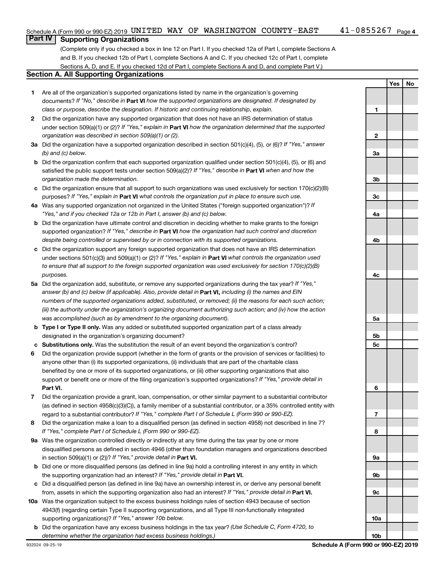# **Part IV Supporting Organizations**

(Complete only if you checked a box in line 12 on Part I. If you checked 12a of Part I, complete Sections A and B. If you checked 12b of Part I, complete Sections A and C. If you checked 12c of Part I, complete Sections A, D, and E. If you checked 12d of Part I, complete Sections A and D, and complete Part V.)

## **Section A. All Supporting Organizations**

- **1** Are all of the organization's supported organizations listed by name in the organization's governing documents? If "No," describe in Part VI how the supported organizations are designated. If designated by *class or purpose, describe the designation. If historic and continuing relationship, explain.*
- **2** Did the organization have any supported organization that does not have an IRS determination of status under section 509(a)(1) or (2)? If "Yes," explain in Part **VI** how the organization determined that the supported *organization was described in section 509(a)(1) or (2).*
- **3a** Did the organization have a supported organization described in section 501(c)(4), (5), or (6)? If "Yes," answer *(b) and (c) below.*
- **b** Did the organization confirm that each supported organization qualified under section 501(c)(4), (5), or (6) and satisfied the public support tests under section 509(a)(2)? If "Yes," describe in Part VI when and how the *organization made the determination.*
- **c** Did the organization ensure that all support to such organizations was used exclusively for section 170(c)(2)(B) purposes? If "Yes," explain in Part VI what controls the organization put in place to ensure such use.
- **4 a** *If* Was any supported organization not organized in the United States ("foreign supported organization")? *"Yes," and if you checked 12a or 12b in Part I, answer (b) and (c) below.*
- **b** Did the organization have ultimate control and discretion in deciding whether to make grants to the foreign supported organization? If "Yes," describe in Part VI how the organization had such control and discretion *despite being controlled or supervised by or in connection with its supported organizations.*
- **c** Did the organization support any foreign supported organization that does not have an IRS determination under sections 501(c)(3) and 509(a)(1) or (2)? If "Yes," explain in Part VI what controls the organization used *to ensure that all support to the foreign supported organization was used exclusively for section 170(c)(2)(B) purposes.*
- **5a** Did the organization add, substitute, or remove any supported organizations during the tax year? If "Yes," answer (b) and (c) below (if applicable). Also, provide detail in **Part VI,** including (i) the names and EIN *numbers of the supported organizations added, substituted, or removed; (ii) the reasons for each such action; (iii) the authority under the organization's organizing document authorizing such action; and (iv) how the action was accomplished (such as by amendment to the organizing document).*
- **b** Type I or Type II only. Was any added or substituted supported organization part of a class already designated in the organization's organizing document?
- **c Substitutions only.**  Was the substitution the result of an event beyond the organization's control?
- **6** Did the organization provide support (whether in the form of grants or the provision of services or facilities) to **Part VI.** support or benefit one or more of the filing organization's supported organizations? If "Yes," provide detail in anyone other than (i) its supported organizations, (ii) individuals that are part of the charitable class benefited by one or more of its supported organizations, or (iii) other supporting organizations that also
- **7** Did the organization provide a grant, loan, compensation, or other similar payment to a substantial contributor regard to a substantial contributor? If "Yes," complete Part I of Schedule L (Form 990 or 990-EZ). (as defined in section 4958(c)(3)(C)), a family member of a substantial contributor, or a 35% controlled entity with
- **8** Did the organization make a loan to a disqualified person (as defined in section 4958) not described in line 7? *If "Yes," complete Part I of Schedule L (Form 990 or 990-EZ).*
- **9 a** Was the organization controlled directly or indirectly at any time during the tax year by one or more in section 509(a)(1) or (2))? If "Yes," provide detail in **Part VI.** disqualified persons as defined in section 4946 (other than foundation managers and organizations described
- **b** Did one or more disqualified persons (as defined in line 9a) hold a controlling interest in any entity in which the supporting organization had an interest? If "Yes," provide detail in Part VI.
- **c** Did a disqualified person (as defined in line 9a) have an ownership interest in, or derive any personal benefit from, assets in which the supporting organization also had an interest? If "Yes," provide detail in Part VI.
- **10 a** Was the organization subject to the excess business holdings rules of section 4943 because of section supporting organizations)? If "Yes," answer 10b below. 4943(f) (regarding certain Type II supporting organizations, and all Type III non-functionally integrated
- **b** Did the organization have any excess business holdings in the tax year? (Use Schedule C, Form 4720, to *determine whether the organization had excess business holdings.)*

**Yes No**

**10b**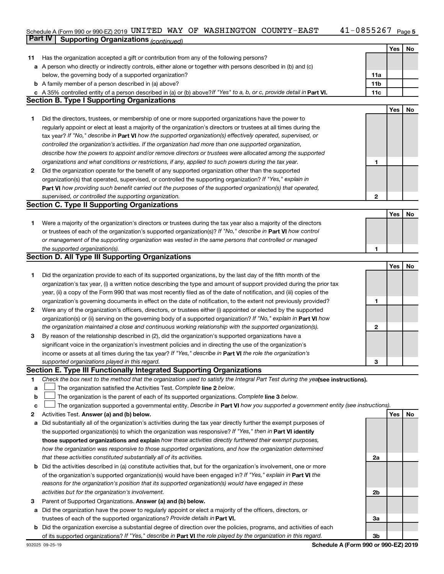#### 41-0855267 Page 5 Schedule A (Form 990 or 990-EZ) 2019 UN L'I'EID WAY UF WASHING'I'ON COUN'I'Y – EAS'I' 4 L – U 8 5 5 46 7 Page UNITED WAY OF WASHINGTON COUNTY-EAST 41-0855267

|    | Part IV<br><b>Supporting Organizations (continued)</b>                                                                          |                 |     |    |
|----|---------------------------------------------------------------------------------------------------------------------------------|-----------------|-----|----|
|    |                                                                                                                                 |                 | Yes | No |
| 11 | Has the organization accepted a gift or contribution from any of the following persons?                                         |                 |     |    |
|    | a A person who directly or indirectly controls, either alone or together with persons described in (b) and (c)                  |                 |     |    |
|    | below, the governing body of a supported organization?                                                                          | 11a             |     |    |
|    | <b>b</b> A family member of a person described in (a) above?                                                                    | 11 <sub>b</sub> |     |    |
|    | c A 35% controlled entity of a person described in (a) or (b) above? If "Yes" to a, b, or c, provide detail in Part VI.         | 11c             |     |    |
|    | <b>Section B. Type I Supporting Organizations</b>                                                                               |                 |     |    |
|    |                                                                                                                                 |                 | Yes | No |
| 1. | Did the directors, trustees, or membership of one or more supported organizations have the power to                             |                 |     |    |
|    | regularly appoint or elect at least a majority of the organization's directors or trustees at all times during the              |                 |     |    |
|    | tax year? If "No," describe in Part VI how the supported organization(s) effectively operated, supervised, or                   |                 |     |    |
|    | controlled the organization's activities. If the organization had more than one supported organization,                         |                 |     |    |
|    | describe how the powers to appoint and/or remove directors or trustees were allocated among the supported                       |                 |     |    |
|    | organizations and what conditions or restrictions, if any, applied to such powers during the tax year.                          | 1               |     |    |
| 2  | Did the organization operate for the benefit of any supported organization other than the supported                             |                 |     |    |
|    | organization(s) that operated, supervised, or controlled the supporting organization? If "Yes," explain in                      |                 |     |    |
|    | Part VI how providing such benefit carried out the purposes of the supported organization(s) that operated,                     |                 |     |    |
|    | supervised, or controlled the supporting organization.                                                                          | $\mathbf{2}$    |     |    |
|    | <b>Section C. Type II Supporting Organizations</b>                                                                              |                 |     |    |
|    |                                                                                                                                 |                 | Yes | No |
| 1. | Were a majority of the organization's directors or trustees during the tax year also a majority of the directors                |                 |     |    |
|    | or trustees of each of the organization's supported organization(s)? If "No," describe in Part VI how control                   |                 |     |    |
|    | or management of the supporting organization was vested in the same persons that controlled or managed                          |                 |     |    |
|    | the supported organization(s).                                                                                                  | 1               |     |    |
|    | <b>Section D. All Type III Supporting Organizations</b>                                                                         |                 |     |    |
|    |                                                                                                                                 |                 | Yes | No |
| 1  | Did the organization provide to each of its supported organizations, by the last day of the fifth month of the                  |                 |     |    |
|    | organization's tax year, (i) a written notice describing the type and amount of support provided during the prior tax           |                 |     |    |
|    | year, (ii) a copy of the Form 990 that was most recently filed as of the date of notification, and (iii) copies of the          |                 |     |    |
|    | organization's governing documents in effect on the date of notification, to the extent not previously provided?                | 1               |     |    |
| 2  | Were any of the organization's officers, directors, or trustees either (i) appointed or elected by the supported                |                 |     |    |
|    | organization(s) or (ii) serving on the governing body of a supported organization? If "No," explain in Part VI how              |                 |     |    |
|    | the organization maintained a close and continuous working relationship with the supported organization(s).                     | 2               |     |    |
| 3  | By reason of the relationship described in (2), did the organization's supported organizations have a                           |                 |     |    |
|    | significant voice in the organization's investment policies and in directing the use of the organization's                      |                 |     |    |
|    | income or assets at all times during the tax year? If "Yes," describe in Part VI the role the organization's                    |                 |     |    |
|    | supported organizations played in this regard.                                                                                  | з               |     |    |
|    | Section E. Type III Functionally Integrated Supporting Organizations                                                            |                 |     |    |
| 1  | Check the box next to the method that the organization used to satisfy the Integral Part Test during the yealsee instructions). |                 |     |    |
| а  | The organization satisfied the Activities Test. Complete line 2 below.                                                          |                 |     |    |
| b  | The organization is the parent of each of its supported organizations. Complete line 3 below.                                   |                 |     |    |
| с  | The organization supported a governmental entity. Describe in Part VI how you supported a government entity (see instructions). |                 |     |    |
| 2  | Activities Test. Answer (a) and (b) below.                                                                                      |                 | Yes | No |
| а  | Did substantially all of the organization's activities during the tax year directly further the exempt purposes of              |                 |     |    |
|    | the supported organization(s) to which the organization was responsive? If "Yes," then in Part VI identify                      |                 |     |    |
|    | those supported organizations and explain how these activities directly furthered their exempt purposes,                        |                 |     |    |
|    | how the organization was responsive to those supported organizations, and how the organization determined                       |                 |     |    |
|    | that these activities constituted substantially all of its activities.                                                          | 2a              |     |    |
| b  | Did the activities described in (a) constitute activities that, but for the organization's involvement, one or more             |                 |     |    |
|    | of the organization's supported organization(s) would have been engaged in? If "Yes," explain in Part VI the                    |                 |     |    |
|    | reasons for the organization's position that its supported organization(s) would have engaged in these                          |                 |     |    |
|    | activities but for the organization's involvement.                                                                              | 2b              |     |    |
| З  | Parent of Supported Organizations. Answer (a) and (b) below.                                                                    |                 |     |    |
|    | a Did the organization have the power to regularly appoint or elect a majority of the officers, directors, or                   |                 |     |    |
|    |                                                                                                                                 |                 |     |    |

**b** Did the organization exercise a substantial degree of direction over the policies, programs, and activities of each trustees of each of the supported organizations? Provide details in Part VI. of its supported organizations? If "Yes," describe in Part VI the role played by the organization in this regard.

**Schedule A (Form 990 or 990-EZ) 2019**

**3a**

**3b**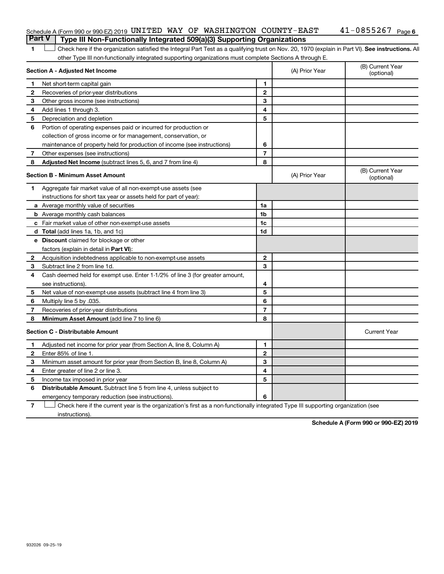| 1            | Check here if the organization satisfied the Integral Part Test as a qualifying trust on Nov. 20, 1970 (explain in Part VI). See instructions. All |                          |                |                                |
|--------------|----------------------------------------------------------------------------------------------------------------------------------------------------|--------------------------|----------------|--------------------------------|
|              | other Type III non-functionally integrated supporting organizations must complete Sections A through E.                                            |                          |                |                                |
|              | Section A - Adjusted Net Income                                                                                                                    |                          | (A) Prior Year | (B) Current Year<br>(optional) |
| 1.           | Net short-term capital gain                                                                                                                        | 1                        |                |                                |
| 2            | Recoveries of prior-year distributions                                                                                                             | $\mathbf{2}$             |                |                                |
| 3            | Other gross income (see instructions)                                                                                                              | 3                        |                |                                |
| 4            | Add lines 1 through 3.                                                                                                                             | 4                        |                |                                |
| 5            | Depreciation and depletion                                                                                                                         | 5                        |                |                                |
| 6            | Portion of operating expenses paid or incurred for production or                                                                                   |                          |                |                                |
|              | collection of gross income or for management, conservation, or                                                                                     |                          |                |                                |
|              | maintenance of property held for production of income (see instructions)                                                                           | 6                        |                |                                |
| 7            | Other expenses (see instructions)                                                                                                                  | $\overline{\phantom{a}}$ |                |                                |
| 8            | Adjusted Net Income (subtract lines 5, 6, and 7 from line 4)                                                                                       | 8                        |                |                                |
|              | Section B - Minimum Asset Amount                                                                                                                   |                          | (A) Prior Year | (B) Current Year<br>(optional) |
| 1            | Aggregate fair market value of all non-exempt-use assets (see                                                                                      |                          |                |                                |
|              | instructions for short tax year or assets held for part of year):                                                                                  |                          |                |                                |
|              | a Average monthly value of securities                                                                                                              | 1a                       |                |                                |
|              | <b>b</b> Average monthly cash balances                                                                                                             | 1b                       |                |                                |
|              | c Fair market value of other non-exempt-use assets                                                                                                 | 1c                       |                |                                |
|              | d Total (add lines 1a, 1b, and 1c)                                                                                                                 | 1d                       |                |                                |
|              | e Discount claimed for blockage or other                                                                                                           |                          |                |                                |
|              | factors (explain in detail in Part VI):                                                                                                            |                          |                |                                |
| $\mathbf{2}$ | Acquisition indebtedness applicable to non-exempt-use assets                                                                                       | $\mathbf{2}$             |                |                                |
| 3            | Subtract line 2 from line 1d.                                                                                                                      | 3                        |                |                                |
| 4            | Cash deemed held for exempt use. Enter 1-1/2% of line 3 (for greater amount,                                                                       |                          |                |                                |
|              | see instructions)                                                                                                                                  | 4                        |                |                                |
| 5            | Net value of non-exempt-use assets (subtract line 4 from line 3)                                                                                   | 5                        |                |                                |
| 6            | Multiply line 5 by .035.                                                                                                                           | 6                        |                |                                |
| 7            | Recoveries of prior-year distributions                                                                                                             | $\overline{7}$           |                |                                |
| 8            | Minimum Asset Amount (add line 7 to line 6)                                                                                                        | 8                        |                |                                |
|              | <b>Section C - Distributable Amount</b>                                                                                                            |                          |                | <b>Current Year</b>            |
|              | Adjusted net income for prior year (from Section A, line 8, Column A)                                                                              | 1                        |                |                                |
| 2            | Enter 85% of line 1.                                                                                                                               | $\mathbf{2}$             |                |                                |
| З            | Minimum asset amount for prior year (from Section B, line 8, Column A)                                                                             | 3                        |                |                                |

### 41-0855267 Page 6 Schedule A (Form 990 or 990-EZ) 2019 UNITED WAY OF WASHINGTON COUNTY-EAST  $41\text{--}0855267$   $_\text{Page}$ **Part V Type III Non-Functionally Integrated 509(a)(3) Supporting Organizations**

**7** emergency temporary reduction (see instructions). Check here if the current year is the organization's first as a non-functionally integrated Type III supporting organization (see † instructions).

Distributable Amount. Subtract line 5 from line 4, unless subject to

**4 5**

**6**

**Schedule A (Form 990 or 990-EZ) 2019**

**4 5 6**

Enter greater of line 2 or line 3. Income tax imposed in prior year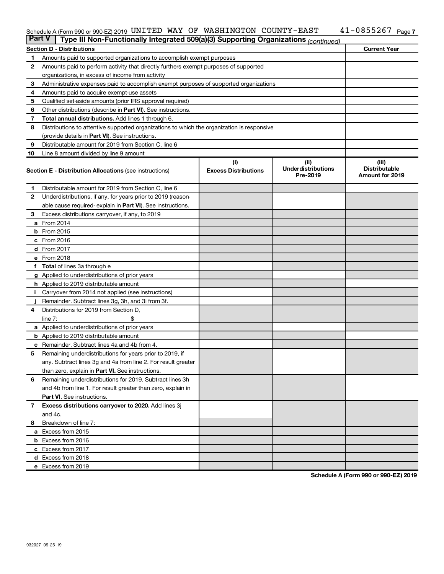### Schedule A (Form 990 or 990-EZ) 2019 UN L'I'EID WAY UF WASHING'I'ON COUN'I'Y – EAS'I' 4 L – U 8 5 5 46 7 Page UNITED WAY OF WASHINGTON COUNTY-EAST 41-0855267

| <b>Part V</b> | Type III Non-Functionally Integrated 509(a)(3) Supporting Organizations (continued)        |                             |                                       |                                                |  |  |  |  |  |  |  |  |  |  |  |
|---------------|--------------------------------------------------------------------------------------------|-----------------------------|---------------------------------------|------------------------------------------------|--|--|--|--|--|--|--|--|--|--|--|
|               | <b>Section D - Distributions</b>                                                           |                             |                                       | <b>Current Year</b>                            |  |  |  |  |  |  |  |  |  |  |  |
| 1             | Amounts paid to supported organizations to accomplish exempt purposes                      |                             |                                       |                                                |  |  |  |  |  |  |  |  |  |  |  |
| 2             | Amounts paid to perform activity that directly furthers exempt purposes of supported       |                             |                                       |                                                |  |  |  |  |  |  |  |  |  |  |  |
|               | organizations, in excess of income from activity                                           |                             |                                       |                                                |  |  |  |  |  |  |  |  |  |  |  |
| 3             | Administrative expenses paid to accomplish exempt purposes of supported organizations      |                             |                                       |                                                |  |  |  |  |  |  |  |  |  |  |  |
| 4             | Amounts paid to acquire exempt-use assets                                                  |                             |                                       |                                                |  |  |  |  |  |  |  |  |  |  |  |
| 5             | Qualified set-aside amounts (prior IRS approval required)                                  |                             |                                       |                                                |  |  |  |  |  |  |  |  |  |  |  |
| 6             | Other distributions (describe in Part VI). See instructions.                               |                             |                                       |                                                |  |  |  |  |  |  |  |  |  |  |  |
| 7             | <b>Total annual distributions.</b> Add lines 1 through 6.                                  |                             |                                       |                                                |  |  |  |  |  |  |  |  |  |  |  |
| 8             | Distributions to attentive supported organizations to which the organization is responsive |                             |                                       |                                                |  |  |  |  |  |  |  |  |  |  |  |
|               | (provide details in Part VI). See instructions.                                            |                             |                                       |                                                |  |  |  |  |  |  |  |  |  |  |  |
| 9             | Distributable amount for 2019 from Section C, line 6                                       |                             |                                       |                                                |  |  |  |  |  |  |  |  |  |  |  |
| 10            | Line 8 amount divided by line 9 amount                                                     |                             |                                       |                                                |  |  |  |  |  |  |  |  |  |  |  |
| (i)<br>(ii)   |                                                                                            |                             |                                       |                                                |  |  |  |  |  |  |  |  |  |  |  |
|               | <b>Section E - Distribution Allocations (see instructions)</b>                             | <b>Excess Distributions</b> | <b>Underdistributions</b><br>Pre-2019 | <b>Distributable</b><br><b>Amount for 2019</b> |  |  |  |  |  |  |  |  |  |  |  |
| 1.            | Distributable amount for 2019 from Section C, line 6                                       |                             |                                       |                                                |  |  |  |  |  |  |  |  |  |  |  |
| $\mathbf{2}$  | Underdistributions, if any, for years prior to 2019 (reason-                               |                             |                                       |                                                |  |  |  |  |  |  |  |  |  |  |  |
|               | able cause required- explain in Part VI). See instructions.                                |                             |                                       |                                                |  |  |  |  |  |  |  |  |  |  |  |
| 3             | Excess distributions carryover, if any, to 2019                                            |                             |                                       |                                                |  |  |  |  |  |  |  |  |  |  |  |
|               | a From 2014                                                                                |                             |                                       |                                                |  |  |  |  |  |  |  |  |  |  |  |
|               | <b>b</b> From 2015                                                                         |                             |                                       |                                                |  |  |  |  |  |  |  |  |  |  |  |
|               | c From 2016                                                                                |                             |                                       |                                                |  |  |  |  |  |  |  |  |  |  |  |
|               | d From 2017                                                                                |                             |                                       |                                                |  |  |  |  |  |  |  |  |  |  |  |
|               | e From 2018                                                                                |                             |                                       |                                                |  |  |  |  |  |  |  |  |  |  |  |
|               | f Total of lines 3a through e                                                              |                             |                                       |                                                |  |  |  |  |  |  |  |  |  |  |  |
|               | <b>g</b> Applied to underdistributions of prior years                                      |                             |                                       |                                                |  |  |  |  |  |  |  |  |  |  |  |
|               | <b>h</b> Applied to 2019 distributable amount                                              |                             |                                       |                                                |  |  |  |  |  |  |  |  |  |  |  |
|               | Carryover from 2014 not applied (see instructions)                                         |                             |                                       |                                                |  |  |  |  |  |  |  |  |  |  |  |
|               | Remainder. Subtract lines 3g, 3h, and 3i from 3f.                                          |                             |                                       |                                                |  |  |  |  |  |  |  |  |  |  |  |
| 4             | Distributions for 2019 from Section D,                                                     |                             |                                       |                                                |  |  |  |  |  |  |  |  |  |  |  |
|               | $line 7$ :                                                                                 |                             |                                       |                                                |  |  |  |  |  |  |  |  |  |  |  |
|               | <b>a</b> Applied to underdistributions of prior years                                      |                             |                                       |                                                |  |  |  |  |  |  |  |  |  |  |  |
|               | <b>b</b> Applied to 2019 distributable amount                                              |                             |                                       |                                                |  |  |  |  |  |  |  |  |  |  |  |
| с             | Remainder. Subtract lines 4a and 4b from 4.                                                |                             |                                       |                                                |  |  |  |  |  |  |  |  |  |  |  |
| 5             | Remaining underdistributions for years prior to 2019, if                                   |                             |                                       |                                                |  |  |  |  |  |  |  |  |  |  |  |
|               | any. Subtract lines 3g and 4a from line 2. For result greater                              |                             |                                       |                                                |  |  |  |  |  |  |  |  |  |  |  |
|               | than zero, explain in Part VI. See instructions.                                           |                             |                                       |                                                |  |  |  |  |  |  |  |  |  |  |  |
| 6             | Remaining underdistributions for 2019. Subtract lines 3h                                   |                             |                                       |                                                |  |  |  |  |  |  |  |  |  |  |  |
|               | and 4b from line 1. For result greater than zero, explain in                               |                             |                                       |                                                |  |  |  |  |  |  |  |  |  |  |  |
|               | <b>Part VI.</b> See instructions.                                                          |                             |                                       |                                                |  |  |  |  |  |  |  |  |  |  |  |
| $\mathbf{7}$  | Excess distributions carryover to 2020. Add lines 3j                                       |                             |                                       |                                                |  |  |  |  |  |  |  |  |  |  |  |
|               | and 4c.                                                                                    |                             |                                       |                                                |  |  |  |  |  |  |  |  |  |  |  |
| 8             | Breakdown of line 7:                                                                       |                             |                                       |                                                |  |  |  |  |  |  |  |  |  |  |  |
|               | a Excess from 2015                                                                         |                             |                                       |                                                |  |  |  |  |  |  |  |  |  |  |  |
|               | <b>b</b> Excess from 2016                                                                  |                             |                                       |                                                |  |  |  |  |  |  |  |  |  |  |  |
|               | c Excess from 2017                                                                         |                             |                                       |                                                |  |  |  |  |  |  |  |  |  |  |  |
|               | d Excess from 2018                                                                         |                             |                                       |                                                |  |  |  |  |  |  |  |  |  |  |  |
|               | e Excess from 2019                                                                         |                             |                                       |                                                |  |  |  |  |  |  |  |  |  |  |  |

**Schedule A (Form 990 or 990-EZ) 2019**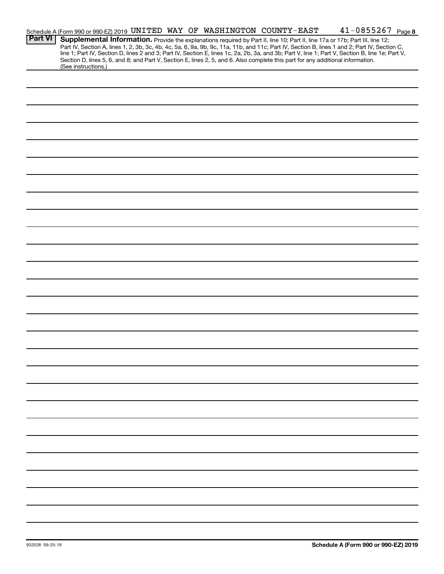|                | Schedule A (Form 990 or 990-EZ) 2019 UNITED WAY OF WASHINGTON COUNTY-EAST |  |  |  |  | $41 - 0855267$ Page 8                                                                                                                                                                                                                                                                                                                                                                                                             |  |
|----------------|---------------------------------------------------------------------------|--|--|--|--|-----------------------------------------------------------------------------------------------------------------------------------------------------------------------------------------------------------------------------------------------------------------------------------------------------------------------------------------------------------------------------------------------------------------------------------|--|
| <b>Part VI</b> |                                                                           |  |  |  |  | Supplemental Information. Provide the explanations required by Part II, line 10; Part II, line 17a or 17b; Part III, line 12;<br>Part IV, Section A, lines 1, 2, 3b, 3c, 4b, 4c, 5a, 6, 9a, 9b, 9c, 11a, 11b, and 11c; Part IV, Section B, lines 1 and 2; Part IV, Section C,<br>line 1; Part IV, Section D, lines 2 and 3; Part IV, Section E, lines 1c, 2a, 2b, 3a, and 3b; Part V, line 1; Part V, Section B, line 1e; Part V, |  |
|                | (See instructions.)                                                       |  |  |  |  | Section D, lines 5, 6, and 8; and Part V, Section E, lines 2, 5, and 6. Also complete this part for any additional information.                                                                                                                                                                                                                                                                                                   |  |
|                |                                                                           |  |  |  |  |                                                                                                                                                                                                                                                                                                                                                                                                                                   |  |
|                |                                                                           |  |  |  |  |                                                                                                                                                                                                                                                                                                                                                                                                                                   |  |
|                |                                                                           |  |  |  |  |                                                                                                                                                                                                                                                                                                                                                                                                                                   |  |
|                |                                                                           |  |  |  |  |                                                                                                                                                                                                                                                                                                                                                                                                                                   |  |
|                |                                                                           |  |  |  |  |                                                                                                                                                                                                                                                                                                                                                                                                                                   |  |
|                |                                                                           |  |  |  |  |                                                                                                                                                                                                                                                                                                                                                                                                                                   |  |
|                |                                                                           |  |  |  |  |                                                                                                                                                                                                                                                                                                                                                                                                                                   |  |
|                |                                                                           |  |  |  |  |                                                                                                                                                                                                                                                                                                                                                                                                                                   |  |
|                |                                                                           |  |  |  |  |                                                                                                                                                                                                                                                                                                                                                                                                                                   |  |
|                |                                                                           |  |  |  |  |                                                                                                                                                                                                                                                                                                                                                                                                                                   |  |
|                |                                                                           |  |  |  |  |                                                                                                                                                                                                                                                                                                                                                                                                                                   |  |
|                |                                                                           |  |  |  |  |                                                                                                                                                                                                                                                                                                                                                                                                                                   |  |
|                |                                                                           |  |  |  |  |                                                                                                                                                                                                                                                                                                                                                                                                                                   |  |
|                |                                                                           |  |  |  |  |                                                                                                                                                                                                                                                                                                                                                                                                                                   |  |
|                |                                                                           |  |  |  |  |                                                                                                                                                                                                                                                                                                                                                                                                                                   |  |
|                |                                                                           |  |  |  |  |                                                                                                                                                                                                                                                                                                                                                                                                                                   |  |
|                |                                                                           |  |  |  |  |                                                                                                                                                                                                                                                                                                                                                                                                                                   |  |
|                |                                                                           |  |  |  |  |                                                                                                                                                                                                                                                                                                                                                                                                                                   |  |
|                |                                                                           |  |  |  |  |                                                                                                                                                                                                                                                                                                                                                                                                                                   |  |
|                |                                                                           |  |  |  |  |                                                                                                                                                                                                                                                                                                                                                                                                                                   |  |
|                |                                                                           |  |  |  |  |                                                                                                                                                                                                                                                                                                                                                                                                                                   |  |
|                |                                                                           |  |  |  |  |                                                                                                                                                                                                                                                                                                                                                                                                                                   |  |
|                |                                                                           |  |  |  |  |                                                                                                                                                                                                                                                                                                                                                                                                                                   |  |
|                |                                                                           |  |  |  |  |                                                                                                                                                                                                                                                                                                                                                                                                                                   |  |
|                |                                                                           |  |  |  |  |                                                                                                                                                                                                                                                                                                                                                                                                                                   |  |
|                |                                                                           |  |  |  |  |                                                                                                                                                                                                                                                                                                                                                                                                                                   |  |
|                |                                                                           |  |  |  |  |                                                                                                                                                                                                                                                                                                                                                                                                                                   |  |
|                |                                                                           |  |  |  |  |                                                                                                                                                                                                                                                                                                                                                                                                                                   |  |
|                |                                                                           |  |  |  |  |                                                                                                                                                                                                                                                                                                                                                                                                                                   |  |
|                |                                                                           |  |  |  |  |                                                                                                                                                                                                                                                                                                                                                                                                                                   |  |
|                |                                                                           |  |  |  |  |                                                                                                                                                                                                                                                                                                                                                                                                                                   |  |
|                |                                                                           |  |  |  |  |                                                                                                                                                                                                                                                                                                                                                                                                                                   |  |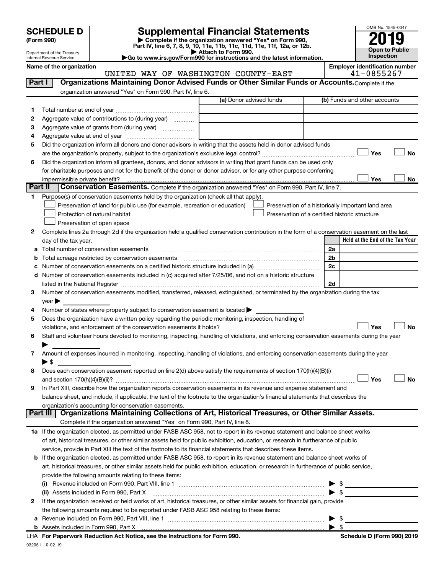Department of the Treasury Internal Revenue Service

| (Form 990) |  |
|------------|--|
|------------|--|

# **SCHEDULE D Supplemental Financial Statements**<br> **Form 990 2019**<br> **Part IV** line 6.7.8.9.10, 11a, 11b, 11d, 11d, 11d, 11d, 11d, 12a, 0r, 12b

**(Form 990) | Complete if the organization answered "Yes" on Form 990, Part IV, line 6, 7, 8, 9, 10, 11a, 11b, 11c, 11d, 11e, 11f, 12a, or 12b.**

**| Attach to Form 990. |Go to www.irs.gov/Form990 for instructions and the latest information.**



Name of the organization<br> **UNITED WAY OF WASHINGTON COUNTY-EAST Employer identification number**<br>
41-0855267 UNITED WAY OF WASHINGTON COUNTY-EAST

| Part I  | Organizations Maintaining Donor Advised Funds or Other Similar Funds or Accounts. Complete if the                                                                                                                             |                         |                                                    |
|---------|-------------------------------------------------------------------------------------------------------------------------------------------------------------------------------------------------------------------------------|-------------------------|----------------------------------------------------|
|         | organization answered "Yes" on Form 990, Part IV, line 6.                                                                                                                                                                     |                         |                                                    |
|         |                                                                                                                                                                                                                               | (a) Donor advised funds | (b) Funds and other accounts                       |
| 1.      |                                                                                                                                                                                                                               |                         |                                                    |
| 2       | Aggregate value of contributions to (during year)                                                                                                                                                                             |                         |                                                    |
| з       | Aggregate value of grants from (during year)                                                                                                                                                                                  |                         |                                                    |
| 4       |                                                                                                                                                                                                                               |                         |                                                    |
| 5       | Did the organization inform all donors and donor advisors in writing that the assets held in donor advised funds                                                                                                              |                         |                                                    |
|         |                                                                                                                                                                                                                               |                         | Yes<br><b>No</b>                                   |
| 6       | Did the organization inform all grantees, donors, and donor advisors in writing that grant funds can be used only                                                                                                             |                         |                                                    |
|         | for charitable purposes and not for the benefit of the donor or donor advisor, or for any other purpose conferring                                                                                                            |                         |                                                    |
|         | impermissible private benefit?                                                                                                                                                                                                |                         | Yes<br>No                                          |
| Part II | <b>Conservation Easements.</b> Complete if the organization answered "Yes" on Form 990, Part IV, line 7.                                                                                                                      |                         |                                                    |
| 1.      | Purpose(s) of conservation easements held by the organization (check all that apply).                                                                                                                                         |                         |                                                    |
|         | Preservation of land for public use (for example, recreation or education)                                                                                                                                                    |                         | Preservation of a historically important land area |
|         | Protection of natural habitat                                                                                                                                                                                                 |                         | Preservation of a certified historic structure     |
|         | Preservation of open space                                                                                                                                                                                                    |                         |                                                    |
| 2       | Complete lines 2a through 2d if the organization held a qualified conservation contribution in the form of a conservation easement on the last                                                                                |                         |                                                    |
|         | day of the tax year.                                                                                                                                                                                                          |                         | Held at the End of the Tax Year                    |
|         |                                                                                                                                                                                                                               |                         | 2a                                                 |
|         | <b>b</b> Total acreage restricted by conservation easements                                                                                                                                                                   |                         | 2b                                                 |
|         |                                                                                                                                                                                                                               |                         | 2c                                                 |
|         | d Number of conservation easements included in (c) acquired after 7/25/06, and not on a historic structure                                                                                                                    |                         |                                                    |
|         | listed in the National Register [11, 1200] [12] The National Register [11, 1200] [12] The National Register [11, 1200] [12] The National Register [11, 1200] [12] The National Register [11, 1200] [12] The National Register |                         | 2d                                                 |
| 3.      | Number of conservation easements modified, transferred, released, extinguished, or terminated by the organization during the tax                                                                                              |                         |                                                    |
|         | $\vee$ ear $\blacktriangleright$                                                                                                                                                                                              |                         |                                                    |
| 4       | Number of states where property subject to conservation easement is located >                                                                                                                                                 |                         |                                                    |
| 5       | Does the organization have a written policy regarding the periodic monitoring, inspection, handling of                                                                                                                        |                         |                                                    |
|         | violations, and enforcement of the conservation easements it holds?                                                                                                                                                           |                         | Yes<br><b>No</b>                                   |
| 6       | Staff and volunteer hours devoted to monitoring, inspecting, handling of violations, and enforcing conservation easements during the year                                                                                     |                         |                                                    |
| 7       | Amount of expenses incurred in monitoring, inspecting, handling of violations, and enforcing conservation easements during the year                                                                                           |                         |                                                    |
|         | $\blacktriangleright$ \$                                                                                                                                                                                                      |                         |                                                    |
| 8       | Does each conservation easement reported on line 2(d) above satisfy the requirements of section 170(h)(4)(B)(i)                                                                                                               |                         |                                                    |
|         |                                                                                                                                                                                                                               |                         | Yes<br>No                                          |
| 9       | In Part XIII, describe how the organization reports conservation easements in its revenue and expense statement and                                                                                                           |                         |                                                    |
|         | balance sheet, and include, if applicable, the text of the footnote to the organization's financial statements that describes the                                                                                             |                         |                                                    |
|         | organization's accounting for conservation easements.                                                                                                                                                                         |                         |                                                    |
|         | Organizations Maintaining Collections of Art, Historical Treasures, or Other Similar Assets.<br>Part III                                                                                                                      |                         |                                                    |
|         | Complete if the organization answered "Yes" on Form 990, Part IV, line 8.                                                                                                                                                     |                         |                                                    |
|         | 1a If the organization elected, as permitted under FASB ASC 958, not to report in its revenue statement and balance sheet works                                                                                               |                         |                                                    |
|         | of art, historical treasures, or other similar assets held for public exhibition, education, or research in furtherance of public                                                                                             |                         |                                                    |
|         | service, provide in Part XIII the text of the footnote to its financial statements that describes these items.                                                                                                                |                         |                                                    |
|         | <b>b</b> If the organization elected, as permitted under FASB ASC 958, to report in its revenue statement and balance sheet works of                                                                                          |                         |                                                    |
|         | art, historical treasures, or other similar assets held for public exhibition, education, or research in furtherance of public service,                                                                                       |                         |                                                    |
|         | provide the following amounts relating to these items:                                                                                                                                                                        |                         |                                                    |
|         |                                                                                                                                                                                                                               |                         |                                                    |
|         | (ii) Assets included in Form 990, Part X                                                                                                                                                                                      |                         | $\blacktriangleright$ s                            |
| 2       | If the organization received or held works of art, historical treasures, or other similar assets for financial gain, provide                                                                                                  |                         |                                                    |
|         | the following amounts required to be reported under FASB ASC 958 relating to these items:                                                                                                                                     |                         |                                                    |
|         |                                                                                                                                                                                                                               |                         |                                                    |
|         |                                                                                                                                                                                                                               |                         | $\blacktriangleright$ s                            |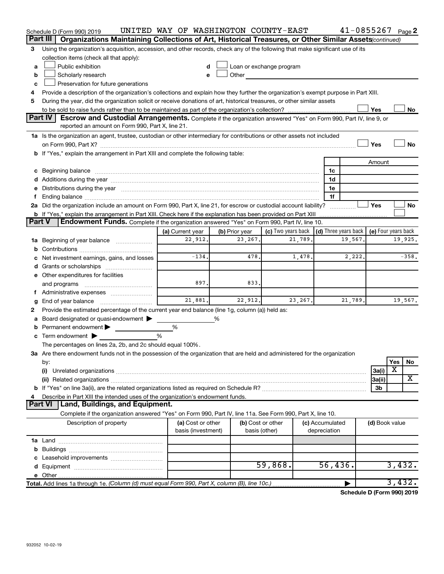|        | Schedule D (Form 990) 2019                                                                                                                                                                                                     | UNITED WAY OF WASHINGTON COUNTY-EAST    |                |                                    |                                 | $41 - 0855267$ Page 2 |                |                     |
|--------|--------------------------------------------------------------------------------------------------------------------------------------------------------------------------------------------------------------------------------|-----------------------------------------|----------------|------------------------------------|---------------------------------|-----------------------|----------------|---------------------|
|        | Part III<br>Organizations Maintaining Collections of Art, Historical Treasures, or Other Similar Assets (continued)                                                                                                            |                                         |                |                                    |                                 |                       |                |                     |
| 3      | Using the organization's acquisition, accession, and other records, check any of the following that make significant use of its                                                                                                |                                         |                |                                    |                                 |                       |                |                     |
|        | collection items (check all that apply):                                                                                                                                                                                       |                                         |                |                                    |                                 |                       |                |                     |
| a      | Public exhibition                                                                                                                                                                                                              |                                         |                | Loan or exchange program           |                                 |                       |                |                     |
| b      | Scholarly research                                                                                                                                                                                                             | e                                       | Other          |                                    |                                 |                       |                |                     |
| c      | Preservation for future generations                                                                                                                                                                                            |                                         |                |                                    |                                 |                       |                |                     |
|        | Provide a description of the organization's collections and explain how they further the organization's exempt purpose in Part XIII.                                                                                           |                                         |                |                                    |                                 |                       |                |                     |
| 5      | During the year, did the organization solicit or receive donations of art, historical treasures, or other similar assets                                                                                                       |                                         |                |                                    |                                 |                       |                |                     |
|        |                                                                                                                                                                                                                                |                                         |                |                                    |                                 |                       | Yes            | No                  |
|        | <b>Part IV</b><br><b>Escrow and Custodial Arrangements.</b> Complete if the organization answered "Yes" on Form 990, Part IV, line 9, or                                                                                       |                                         |                |                                    |                                 |                       |                |                     |
|        | reported an amount on Form 990, Part X, line 21.                                                                                                                                                                               |                                         |                |                                    |                                 |                       |                |                     |
|        | 1a Is the organization an agent, trustee, custodian or other intermediary for contributions or other assets not included                                                                                                       |                                         |                |                                    |                                 |                       |                |                     |
|        |                                                                                                                                                                                                                                |                                         |                |                                    |                                 |                       | Yes            | No                  |
|        | b If "Yes," explain the arrangement in Part XIII and complete the following table:                                                                                                                                             |                                         |                |                                    |                                 |                       |                |                     |
|        |                                                                                                                                                                                                                                |                                         |                |                                    |                                 |                       | Amount         |                     |
|        |                                                                                                                                                                                                                                |                                         |                |                                    | 1c                              |                       |                |                     |
|        |                                                                                                                                                                                                                                |                                         |                |                                    | 1d                              |                       |                |                     |
|        | e Distributions during the year manufactured and contain an account of the year manufactured and the year manufactured and the year manufactured and the year manufactured and the year manufactured and the year manufactured |                                         |                |                                    | 1e                              |                       |                |                     |
|        |                                                                                                                                                                                                                                |                                         |                |                                    |                                 | 1f                    |                |                     |
|        | 2a Did the organization include an amount on Form 990, Part X, line 21, for escrow or custodial account liability?                                                                                                             |                                         |                |                                    |                                 | .                     | Yes            | No                  |
| Part V | <b>b</b> If "Yes," explain the arrangement in Part XIII. Check here if the explanation has been provided on Part XIII                                                                                                          |                                         |                |                                    |                                 |                       |                |                     |
|        | Endowment Funds. Complete if the organization answered "Yes" on Form 990, Part IV, line 10.                                                                                                                                    |                                         |                |                                    |                                 |                       |                |                     |
|        |                                                                                                                                                                                                                                | (a) Current year                        | (b) Prior year | (c) Two years back                 |                                 | (d) Three years back  |                | (e) Four years back |
|        | <b>1a</b> Beginning of year balance                                                                                                                                                                                            | 22,912.                                 | 23, 267.       | 21,789.                            |                                 | 19,567.               |                | 19,925.             |
|        |                                                                                                                                                                                                                                | $-134.$                                 | 478.           |                                    |                                 |                       |                | $-358.$             |
|        | Net investment earnings, gains, and losses                                                                                                                                                                                     |                                         |                | 1,478.                             |                                 | 2,222.                |                |                     |
|        |                                                                                                                                                                                                                                |                                         |                |                                    |                                 |                       |                |                     |
|        | e Other expenditures for facilities                                                                                                                                                                                            | 897.                                    | 833.           |                                    |                                 |                       |                |                     |
|        | and programs                                                                                                                                                                                                                   |                                         |                |                                    |                                 |                       |                |                     |
|        |                                                                                                                                                                                                                                | 21,881.                                 | 22,912.        | 23, 267.                           |                                 | 21,789.               |                | 19,567.             |
| g      | Provide the estimated percentage of the current year end balance (line 1g, column (a)) held as:                                                                                                                                |                                         |                |                                    |                                 |                       |                |                     |
| 2      | Board designated or quasi-endowment                                                                                                                                                                                            |                                         | %              |                                    |                                 |                       |                |                     |
|        | <b>b</b> Permanent endowment $\blacktriangleright$                                                                                                                                                                             | %                                       |                |                                    |                                 |                       |                |                     |
|        | c Term endowment $\blacktriangleright$                                                                                                                                                                                         | %                                       |                |                                    |                                 |                       |                |                     |
|        | The percentages on lines 2a, 2b, and 2c should equal 100%.                                                                                                                                                                     |                                         |                |                                    |                                 |                       |                |                     |
|        | 3a Are there endowment funds not in the possession of the organization that are held and administered for the organization                                                                                                     |                                         |                |                                    |                                 |                       |                |                     |
|        | by:                                                                                                                                                                                                                            |                                         |                |                                    |                                 |                       |                | Yes<br><b>No</b>    |
|        | (i)                                                                                                                                                                                                                            |                                         |                |                                    |                                 |                       | 3a(i)          | х                   |
|        |                                                                                                                                                                                                                                |                                         |                |                                    |                                 |                       | 3a(ii)         | X                   |
|        |                                                                                                                                                                                                                                |                                         |                |                                    |                                 |                       | 3b             |                     |
|        | Describe in Part XIII the intended uses of the organization's endowment funds.                                                                                                                                                 |                                         |                |                                    |                                 |                       |                |                     |
|        | Land, Buildings, and Equipment.<br><b>Part VI</b>                                                                                                                                                                              |                                         |                |                                    |                                 |                       |                |                     |
|        | Complete if the organization answered "Yes" on Form 990, Part IV, line 11a. See Form 990, Part X, line 10.                                                                                                                     |                                         |                |                                    |                                 |                       |                |                     |
|        | Description of property                                                                                                                                                                                                        | (a) Cost or other<br>basis (investment) |                | (b) Cost or other<br>basis (other) | (c) Accumulated<br>depreciation |                       | (d) Book value |                     |
|        |                                                                                                                                                                                                                                |                                         |                |                                    |                                 |                       |                |                     |
|        |                                                                                                                                                                                                                                |                                         |                |                                    |                                 |                       |                |                     |
|        |                                                                                                                                                                                                                                |                                         |                |                                    |                                 |                       |                |                     |
|        |                                                                                                                                                                                                                                |                                         |                | 59,868.                            |                                 | 56,436.               |                | 3,432.              |
|        |                                                                                                                                                                                                                                |                                         |                |                                    |                                 |                       |                |                     |
|        | Total. Add lines 1a through 1e. (Column (d) must equal Form 990, Part X, column (B), line 10c.)                                                                                                                                |                                         |                |                                    |                                 |                       |                | 3,432.              |
|        |                                                                                                                                                                                                                                |                                         |                |                                    |                                 |                       |                |                     |

**Schedule D (Form 990) 2019**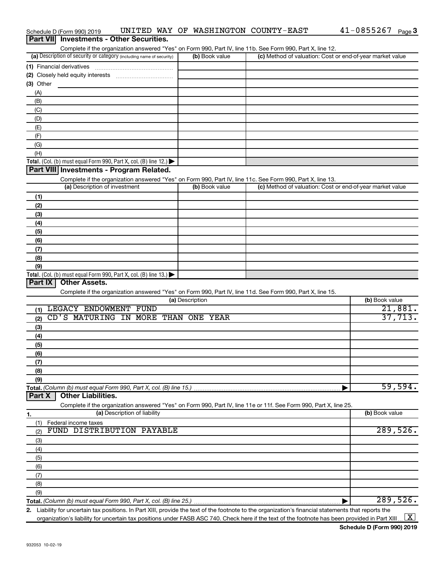|            | Part VII Investments - Other Securities.                                                                                                                          |                 |                                                           |                |
|------------|-------------------------------------------------------------------------------------------------------------------------------------------------------------------|-----------------|-----------------------------------------------------------|----------------|
|            | Complete if the organization answered "Yes" on Form 990, Part IV, line 11b. See Form 990, Part X, line 12.                                                        |                 |                                                           |                |
|            | (a) Description of security or category (including name of security)                                                                                              | (b) Book value  | (c) Method of valuation: Cost or end-of-year market value |                |
|            | (1) Financial derivatives                                                                                                                                         |                 |                                                           |                |
|            |                                                                                                                                                                   |                 |                                                           |                |
| (3) Other  |                                                                                                                                                                   |                 |                                                           |                |
| (A)        |                                                                                                                                                                   |                 |                                                           |                |
| (B)        |                                                                                                                                                                   |                 |                                                           |                |
| (C)        |                                                                                                                                                                   |                 |                                                           |                |
| (D)        |                                                                                                                                                                   |                 |                                                           |                |
| (E)        |                                                                                                                                                                   |                 |                                                           |                |
| (F)        |                                                                                                                                                                   |                 |                                                           |                |
| (G)<br>(H) |                                                                                                                                                                   |                 |                                                           |                |
|            | <b>Total.</b> (Col. (b) must equal Form 990, Part X, col. (B) line 12.)                                                                                           |                 |                                                           |                |
|            | Part VIII Investments - Program Related.                                                                                                                          |                 |                                                           |                |
|            | Complete if the organization answered "Yes" on Form 990, Part IV, line 11c. See Form 990, Part X, line 13.                                                        |                 |                                                           |                |
|            | (a) Description of investment                                                                                                                                     | (b) Book value  | (c) Method of valuation: Cost or end-of-year market value |                |
| (1)        |                                                                                                                                                                   |                 |                                                           |                |
| (2)        |                                                                                                                                                                   |                 |                                                           |                |
| (3)        |                                                                                                                                                                   |                 |                                                           |                |
| (4)        |                                                                                                                                                                   |                 |                                                           |                |
| (5)        |                                                                                                                                                                   |                 |                                                           |                |
| (6)        |                                                                                                                                                                   |                 |                                                           |                |
| (7)        |                                                                                                                                                                   |                 |                                                           |                |
| (8)        |                                                                                                                                                                   |                 |                                                           |                |
| (9)        |                                                                                                                                                                   |                 |                                                           |                |
|            | <b>Total.</b> (Col. (b) must equal Form 990, Part X, col. (B) line 13.)                                                                                           |                 |                                                           |                |
| Part IX    | <b>Other Assets.</b>                                                                                                                                              |                 |                                                           |                |
|            | Complete if the organization answered "Yes" on Form 990, Part IV, line 11d. See Form 990, Part X, line 15.                                                        |                 |                                                           |                |
|            |                                                                                                                                                                   | (a) Description |                                                           | (b) Book value |
| (1)        | LEGACY ENDOWMENT FUND                                                                                                                                             |                 |                                                           | 21,881.        |
| (2)        | CD'S MATURING IN MORE THAN ONE YEAR                                                                                                                               |                 |                                                           | 37,713.        |
| (3)        |                                                                                                                                                                   |                 |                                                           |                |
| (4)        |                                                                                                                                                                   |                 |                                                           |                |
| (5)        |                                                                                                                                                                   |                 |                                                           |                |
| (6)        |                                                                                                                                                                   |                 |                                                           |                |
| (7)        |                                                                                                                                                                   |                 |                                                           |                |
| (8)        |                                                                                                                                                                   |                 |                                                           |                |
| (9)        |                                                                                                                                                                   |                 |                                                           |                |
|            | Total. (Column (b) must equal Form 990, Part X, col. (B) line 15.)                                                                                                |                 |                                                           | 59,594.        |
| Part X     | <b>Other Liabilities.</b>                                                                                                                                         |                 |                                                           |                |
|            | Complete if the organization answered "Yes" on Form 990, Part IV, line 11e or 11f. See Form 990, Part X, line 25.<br>(a) Description of liability                 |                 |                                                           | (b) Book value |
| 1.         |                                                                                                                                                                   |                 |                                                           |                |
| (1)        | Federal income taxes<br>FUND DISTRIBUTION PAYABLE                                                                                                                 |                 |                                                           | 289,526.       |
| (2)        |                                                                                                                                                                   |                 |                                                           |                |
| (3)        |                                                                                                                                                                   |                 |                                                           |                |
| (4)        |                                                                                                                                                                   |                 |                                                           |                |
| (5)        |                                                                                                                                                                   |                 |                                                           |                |
| (6)        |                                                                                                                                                                   |                 |                                                           |                |
| (7)        |                                                                                                                                                                   |                 |                                                           |                |
| (8)        |                                                                                                                                                                   |                 |                                                           |                |
| (9)        |                                                                                                                                                                   |                 |                                                           | 289,526.       |
|            | 2. Liability for uncertain tax positions. In Part XIII, provide the text of the footnote to the organization's financial statements that reports the              |                 |                                                           |                |
|            | organization's liability for uncertain tax positions under FASB ASC 740. Check here if the text of the footnote has been provided in Part XIII $\boxed{\text{X}}$ |                 |                                                           |                |

Schedule D (Form 990) 2019  $\;$  UNITED WAY OF WASHINGTON COUNTY-EAST  $\;$  41-0855267  $\;$  Page

41-0855267 Page 3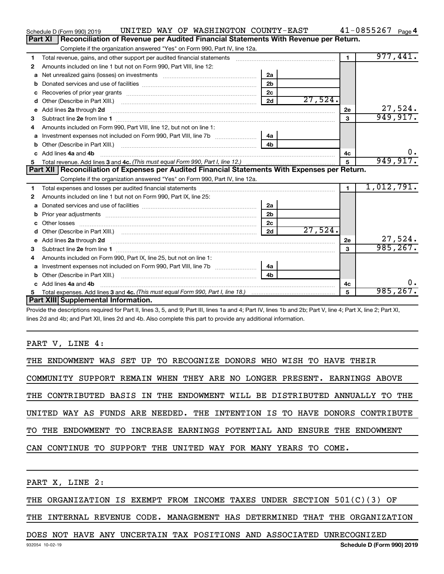|    | UNITED WAY OF WASHINGTON COUNTY-EAST<br>Schedule D (Form 990) 2019                                                                                                                                                                  |                |           |                | $41 - 0855267$ Page 4 |
|----|-------------------------------------------------------------------------------------------------------------------------------------------------------------------------------------------------------------------------------------|----------------|-----------|----------------|-----------------------|
|    | Reconciliation of Revenue per Audited Financial Statements With Revenue per Return.<br>Part XI                                                                                                                                      |                |           |                |                       |
|    | Complete if the organization answered "Yes" on Form 990, Part IV, line 12a.                                                                                                                                                         |                |           |                |                       |
| 1  | Total revenue, gains, and other support per audited financial statements                                                                                                                                                            |                |           | $\blacksquare$ | 977,441.              |
| 2  | Amounts included on line 1 but not on Form 990, Part VIII, line 12:                                                                                                                                                                 |                |           |                |                       |
| a  | Net unrealized gains (losses) on investments [111] [12] matter and all products and all products are not all p                                                                                                                      | 2a             |           |                |                       |
|    |                                                                                                                                                                                                                                     | 2 <sub>b</sub> |           |                |                       |
| c  |                                                                                                                                                                                                                                     | 2 <sub>c</sub> |           |                |                       |
| d  |                                                                                                                                                                                                                                     | 2d             | 27,524.   |                |                       |
| е  | Add lines 2a through 2d                                                                                                                                                                                                             |                |           | 2е             | 27,524.               |
| з  |                                                                                                                                                                                                                                     |                |           | 3              | 949,917.              |
| 4  | Amounts included on Form 990, Part VIII, line 12, but not on line 1:                                                                                                                                                                |                |           |                |                       |
|    |                                                                                                                                                                                                                                     | 4a             |           |                |                       |
| b  |                                                                                                                                                                                                                                     | 4 <sub>h</sub> |           |                |                       |
| c. | Add lines 4a and 4b                                                                                                                                                                                                                 |                |           | 4с             | 0.                    |
|    |                                                                                                                                                                                                                                     | 5              | 949, 917. |                |                       |
|    |                                                                                                                                                                                                                                     |                |           |                |                       |
|    | Part XII   Reconciliation of Expenses per Audited Financial Statements With Expenses per Return.                                                                                                                                    |                |           |                |                       |
|    | Complete if the organization answered "Yes" on Form 990, Part IV, line 12a.                                                                                                                                                         |                |           |                |                       |
| 1  |                                                                                                                                                                                                                                     |                |           | $\mathbf{1}$   | 1,012,791.            |
| 2  | Amounts included on line 1 but not on Form 990, Part IX, line 25:                                                                                                                                                                   |                |           |                |                       |
| a  |                                                                                                                                                                                                                                     | 2a             |           |                |                       |
| b  |                                                                                                                                                                                                                                     | 2 <sub>b</sub> |           |                |                       |
|    |                                                                                                                                                                                                                                     | 2 <sub>c</sub> |           |                |                       |
| d  |                                                                                                                                                                                                                                     | 2d             | 27,524.   |                |                       |
|    | Add lines 2a through 2d <b>[10]</b> University material contracts and the set of the set of the set of the set of the set of the set of the set of the set of the set of the set of the set of the set of the set of the set of the |                |           | 2e             | 27,524.               |
| 3  |                                                                                                                                                                                                                                     |                |           | 3              | 985, 267.             |
| 4  | Amounts included on Form 990, Part IX, line 25, but not on line 1:                                                                                                                                                                  |                |           |                |                       |
|    |                                                                                                                                                                                                                                     | 4a             |           |                |                       |
| b  |                                                                                                                                                                                                                                     | 4 <sub>b</sub> |           |                |                       |
|    | Add lines 4a and 4b                                                                                                                                                                                                                 |                |           | 4c             | 0.                    |
|    | Part XIII Supplemental Information.                                                                                                                                                                                                 |                |           | 5              | 985, 267.             |

Provide the descriptions required for Part II, lines 3, 5, and 9; Part III, lines 1a and 4; Part IV, lines 1b and 2b; Part V, line 4; Part X, line 2; Part XI, lines 2d and 4b; and Part XII, lines 2d and 4b. Also complete this part to provide any additional information.

## PART V, LINE 4:

|  |  |  |  | THE ENDOWMENT WAS SET UP TO RECOGNIZE DONORS WHO WISH TO HAVE THEIR        |  |  |  |  |  |  |
|--|--|--|--|----------------------------------------------------------------------------|--|--|--|--|--|--|
|  |  |  |  | COMMUNITY SUPPORT REMAIN WHEN THEY ARE NO LONGER PRESENT. EARNINGS ABOVE   |  |  |  |  |  |  |
|  |  |  |  | THE CONTRIBUTED BASIS IN THE ENDOWMENT WILL BE DISTRIBUTED ANNUALLY TO THE |  |  |  |  |  |  |
|  |  |  |  | UNITED WAY AS FUNDS ARE NEEDED. THE INTENTION IS TO HAVE DONORS CONTRIBUTE |  |  |  |  |  |  |
|  |  |  |  | TO THE ENDOWMENT TO INCREASE EARNINGS POTENTIAL AND ENSURE THE ENDOWMENT   |  |  |  |  |  |  |
|  |  |  |  | CAN CONTINUE TO SUPPORT THE UNITED WAY FOR MANY YEARS TO COME.             |  |  |  |  |  |  |

PART X, LINE 2:

THE ORGANIZATION IS EXEMPT FROM INCOME TAXES UNDER SECTION 501(C)(3) OF

THE INTERNAL REVENUE CODE. MANAGEMENT HAS DETERMINED THAT THE ORGANIZATION

# DOES NOT HAVE ANY UNCERTAIN TAX POSITIONS AND ASSOCIATED UNRECOGNIZED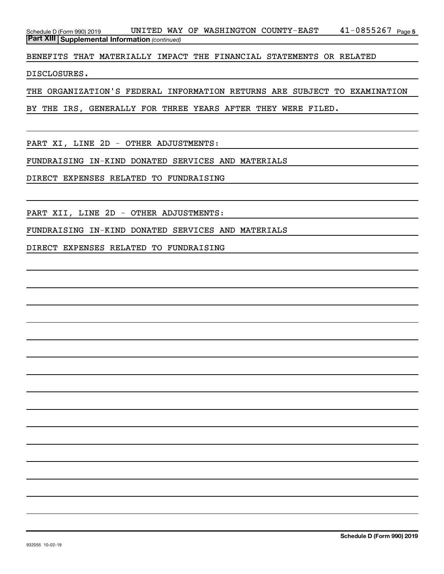41-0855267 Page 5 *(continued)* **Part XIII Supplemental Information**  Schedule D (Form 990) 2019  $\,$  UNITED WAY OF WASHINGTON COUNTY-EAST  $\,$  41-0855267  $_{\rm Page}$ 

BENEFITS THAT MATERIALLY IMPACT THE FINANCIAL STATEMENTS OR RELATED

DISCLOSURES.

THE ORGANIZATION'S FEDERAL INFORMATION RETURNS ARE SUBJECT TO EXAMINATION

BY THE IRS, GENERALLY FOR THREE YEARS AFTER THEY WERE FILED.

PART XI, LINE 2D - OTHER ADJUSTMENTS:

FUNDRAISING IN-KIND DONATED SERVICES AND MATERIALS

DIRECT EXPENSES RELATED TO FUNDRAISING

PART XII, LINE 2D - OTHER ADJUSTMENTS:

FUNDRAISING IN-KIND DONATED SERVICES AND MATERIALS

DIRECT EXPENSES RELATED TO FUNDRAISING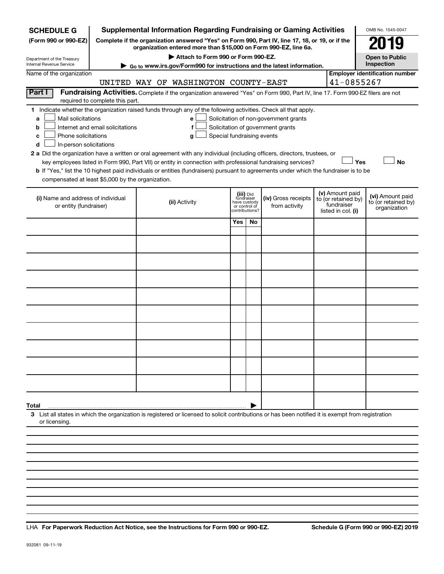| <b>SCHEDULE G</b>                                            |                                                                                                                                                     | <b>Supplemental Information Regarding Fundraising or Gaming Activities</b>                                                                                                                                                                |                                                          |    |                                      |  |                                   | OMB No. 1545-0047                                   |  |  |  |
|--------------------------------------------------------------|-----------------------------------------------------------------------------------------------------------------------------------------------------|-------------------------------------------------------------------------------------------------------------------------------------------------------------------------------------------------------------------------------------------|----------------------------------------------------------|----|--------------------------------------|--|-----------------------------------|-----------------------------------------------------|--|--|--|
| (Form 990 or 990-EZ)                                         |                                                                                                                                                     | Complete if the organization answered "Yes" on Form 990, Part IV, line 17, 18, or 19, or if the<br>organization entered more than \$15,000 on Form 990-EZ, line 6a.                                                                       |                                                          |    |                                      |  |                                   | 019                                                 |  |  |  |
| Department of the Treasury                                   |                                                                                                                                                     | Attach to Form 990 or Form 990-EZ.                                                                                                                                                                                                        |                                                          |    |                                      |  |                                   | <b>Open to Public</b>                               |  |  |  |
| Internal Revenue Service<br>Name of the organization         |                                                                                                                                                     | Go to www.irs.gov/Form990 for instructions and the latest information.                                                                                                                                                                    |                                                          |    |                                      |  |                                   | Inspection<br><b>Employer identification number</b> |  |  |  |
|                                                              |                                                                                                                                                     | UNITED WAY OF WASHINGTON COUNTY-EAST                                                                                                                                                                                                      |                                                          |    |                                      |  | 41-0855267                        |                                                     |  |  |  |
| Part I                                                       |                                                                                                                                                     | Fundraising Activities. Complete if the organization answered "Yes" on Form 990, Part IV, line 17. Form 990-EZ filers are not                                                                                                             |                                                          |    |                                      |  |                                   |                                                     |  |  |  |
|                                                              | required to complete this part.                                                                                                                     |                                                                                                                                                                                                                                           |                                                          |    |                                      |  |                                   |                                                     |  |  |  |
|                                                              |                                                                                                                                                     | 1 Indicate whether the organization raised funds through any of the following activities. Check all that apply.                                                                                                                           |                                                          |    |                                      |  |                                   |                                                     |  |  |  |
| b                                                            | Mail solicitations<br>Solicitation of non-government grants<br>a<br>e<br>Solicitation of government grants<br>Internet and email solicitations<br>f |                                                                                                                                                                                                                                           |                                                          |    |                                      |  |                                   |                                                     |  |  |  |
| Phone solicitations<br>с                                     |                                                                                                                                                     | Special fundraising events<br>g                                                                                                                                                                                                           |                                                          |    |                                      |  |                                   |                                                     |  |  |  |
| In-person solicitations<br>d                                 |                                                                                                                                                     |                                                                                                                                                                                                                                           |                                                          |    |                                      |  |                                   |                                                     |  |  |  |
|                                                              |                                                                                                                                                     | 2 a Did the organization have a written or oral agreement with any individual (including officers, directors, trustees, or<br>key employees listed in Form 990, Part VII) or entity in connection with professional fundraising services? |                                                          |    |                                      |  | Yes                               | <b>No</b>                                           |  |  |  |
|                                                              |                                                                                                                                                     | b If "Yes," list the 10 highest paid individuals or entities (fundraisers) pursuant to agreements under which the fundraiser is to be                                                                                                     |                                                          |    |                                      |  |                                   |                                                     |  |  |  |
| compensated at least \$5,000 by the organization.            |                                                                                                                                                     |                                                                                                                                                                                                                                           |                                                          |    |                                      |  |                                   |                                                     |  |  |  |
|                                                              |                                                                                                                                                     |                                                                                                                                                                                                                                           |                                                          |    |                                      |  | (v) Amount paid                   |                                                     |  |  |  |
| (i) Name and address of individual<br>or entity (fundraiser) |                                                                                                                                                     | (ii) Activity                                                                                                                                                                                                                             | (iii) Did<br>fundraiser<br>have custody<br>or control of |    | (iv) Gross receipts<br>from activity |  | to (or retained by)<br>fundraiser | (vi) Amount paid<br>to (or retained by)             |  |  |  |
|                                                              |                                                                                                                                                     |                                                                                                                                                                                                                                           | contributions?                                           |    |                                      |  | listed in col. (i)                | organization                                        |  |  |  |
|                                                              |                                                                                                                                                     |                                                                                                                                                                                                                                           | Yes                                                      | No |                                      |  |                                   |                                                     |  |  |  |
|                                                              |                                                                                                                                                     |                                                                                                                                                                                                                                           |                                                          |    |                                      |  |                                   |                                                     |  |  |  |
|                                                              |                                                                                                                                                     |                                                                                                                                                                                                                                           |                                                          |    |                                      |  |                                   |                                                     |  |  |  |
|                                                              |                                                                                                                                                     |                                                                                                                                                                                                                                           |                                                          |    |                                      |  |                                   |                                                     |  |  |  |
|                                                              |                                                                                                                                                     |                                                                                                                                                                                                                                           |                                                          |    |                                      |  |                                   |                                                     |  |  |  |
|                                                              |                                                                                                                                                     |                                                                                                                                                                                                                                           |                                                          |    |                                      |  |                                   |                                                     |  |  |  |
|                                                              |                                                                                                                                                     |                                                                                                                                                                                                                                           |                                                          |    |                                      |  |                                   |                                                     |  |  |  |
|                                                              |                                                                                                                                                     |                                                                                                                                                                                                                                           |                                                          |    |                                      |  |                                   |                                                     |  |  |  |
|                                                              |                                                                                                                                                     |                                                                                                                                                                                                                                           |                                                          |    |                                      |  |                                   |                                                     |  |  |  |
|                                                              |                                                                                                                                                     |                                                                                                                                                                                                                                           |                                                          |    |                                      |  |                                   |                                                     |  |  |  |
|                                                              |                                                                                                                                                     |                                                                                                                                                                                                                                           |                                                          |    |                                      |  |                                   |                                                     |  |  |  |
|                                                              |                                                                                                                                                     |                                                                                                                                                                                                                                           |                                                          |    |                                      |  |                                   |                                                     |  |  |  |
|                                                              |                                                                                                                                                     |                                                                                                                                                                                                                                           |                                                          |    |                                      |  |                                   |                                                     |  |  |  |
|                                                              |                                                                                                                                                     |                                                                                                                                                                                                                                           |                                                          |    |                                      |  |                                   |                                                     |  |  |  |
|                                                              |                                                                                                                                                     |                                                                                                                                                                                                                                           |                                                          |    |                                      |  |                                   |                                                     |  |  |  |
|                                                              |                                                                                                                                                     |                                                                                                                                                                                                                                           |                                                          |    |                                      |  |                                   |                                                     |  |  |  |
| Total                                                        |                                                                                                                                                     |                                                                                                                                                                                                                                           |                                                          |    |                                      |  |                                   |                                                     |  |  |  |
| or licensing                                                 |                                                                                                                                                     | 3 List all states in which the organization is registered or licensed to solicit contributions or has been notified it is exempt from registration                                                                                        |                                                          |    |                                      |  |                                   |                                                     |  |  |  |
|                                                              |                                                                                                                                                     |                                                                                                                                                                                                                                           |                                                          |    |                                      |  |                                   |                                                     |  |  |  |
|                                                              |                                                                                                                                                     |                                                                                                                                                                                                                                           |                                                          |    |                                      |  |                                   |                                                     |  |  |  |
|                                                              |                                                                                                                                                     |                                                                                                                                                                                                                                           |                                                          |    |                                      |  |                                   |                                                     |  |  |  |

**For Paperwork Reduction Act Notice, see the Instructions for Form 990 or 990-EZ. Schedule G (Form 990 or 990-EZ) 2019** LHA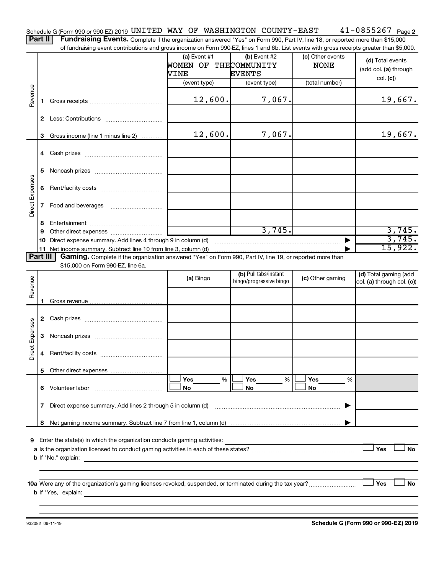41-0855267 Page 2 Schedule G (Form 990 or 990-EZ) 2019 <code>UNITED WAY OF WASHINGTON COUNTY-EAST</code>  $41\text{--}0855267$  <code>Page</code> Part II | Fundraising Events. Complete if the organization answered "Yes" on Form 990, Part IV, line 18, or reported more than \$15,000

of fundraising event contributions and gross income on Form 990-EZ, lines 1 and 6b. List events with gross receipts greater than \$5,000.

|                 |                                                                                                                      | 3 Gross income (line 1 minus line 2)                                                                     | 12,600.   | 7,067.                                           |                  | 19,667.                                             |  |  |  |  |  |
|-----------------|----------------------------------------------------------------------------------------------------------------------|----------------------------------------------------------------------------------------------------------|-----------|--------------------------------------------------|------------------|-----------------------------------------------------|--|--|--|--|--|
|                 |                                                                                                                      |                                                                                                          |           |                                                  |                  |                                                     |  |  |  |  |  |
|                 |                                                                                                                      |                                                                                                          |           |                                                  |                  |                                                     |  |  |  |  |  |
|                 | 5                                                                                                                    |                                                                                                          |           |                                                  |                  |                                                     |  |  |  |  |  |
|                 | 6                                                                                                                    |                                                                                                          |           |                                                  |                  |                                                     |  |  |  |  |  |
| Direct Expenses | 7                                                                                                                    | Food and beverages                                                                                       |           |                                                  |                  |                                                     |  |  |  |  |  |
|                 | 8                                                                                                                    |                                                                                                          |           |                                                  |                  |                                                     |  |  |  |  |  |
|                 | 9                                                                                                                    |                                                                                                          |           | 3,745.                                           |                  | 3,745.<br>3,745.                                    |  |  |  |  |  |
|                 | 10                                                                                                                   | Direct expense summary. Add lines 4 through 9 in column (d)                                              |           |                                                  |                  | 15,922.                                             |  |  |  |  |  |
|                 | Part III<br>Gaming. Complete if the organization answered "Yes" on Form 990, Part IV, line 19, or reported more than |                                                                                                          |           |                                                  |                  |                                                     |  |  |  |  |  |
|                 |                                                                                                                      | \$15,000 on Form 990-EZ, line 6a.                                                                        |           |                                                  |                  |                                                     |  |  |  |  |  |
| Revenue         |                                                                                                                      |                                                                                                          | (a) Bingo | (b) Pull tabs/instant<br>bingo/progressive bingo | (c) Other gaming | (d) Total gaming (add<br>col. (a) through col. (c)) |  |  |  |  |  |
|                 |                                                                                                                      |                                                                                                          |           |                                                  |                  |                                                     |  |  |  |  |  |
|                 |                                                                                                                      |                                                                                                          |           |                                                  |                  |                                                     |  |  |  |  |  |
|                 |                                                                                                                      |                                                                                                          |           |                                                  |                  |                                                     |  |  |  |  |  |
|                 |                                                                                                                      |                                                                                                          |           |                                                  |                  |                                                     |  |  |  |  |  |
|                 | 3                                                                                                                    |                                                                                                          |           |                                                  |                  |                                                     |  |  |  |  |  |
| Direct Expenses | 4                                                                                                                    |                                                                                                          |           |                                                  |                  |                                                     |  |  |  |  |  |
|                 |                                                                                                                      |                                                                                                          |           |                                                  |                  |                                                     |  |  |  |  |  |
|                 |                                                                                                                      |                                                                                                          | Yes<br>%  | Yes<br>%                                         | Yes<br>%         |                                                     |  |  |  |  |  |
|                 | 6.                                                                                                                   | Volunteer labor                                                                                          | No        | No                                               | No               |                                                     |  |  |  |  |  |
|                 | 7                                                                                                                    | Direct expense summary. Add lines 2 through 5 in column (d)                                              |           |                                                  |                  |                                                     |  |  |  |  |  |
|                 | 8                                                                                                                    |                                                                                                          |           |                                                  |                  |                                                     |  |  |  |  |  |
|                 |                                                                                                                      |                                                                                                          |           |                                                  |                  |                                                     |  |  |  |  |  |
| 9               |                                                                                                                      | Enter the state(s) in which the organization conducts gaming activities:                                 |           |                                                  |                  |                                                     |  |  |  |  |  |
|                 |                                                                                                                      |                                                                                                          |           |                                                  |                  | Yes<br>No                                           |  |  |  |  |  |
|                 |                                                                                                                      | <b>b</b> If "No," explain:<br>the control of the control of the control of the control of the control of |           |                                                  |                  |                                                     |  |  |  |  |  |
|                 |                                                                                                                      |                                                                                                          |           |                                                  |                  |                                                     |  |  |  |  |  |
|                 |                                                                                                                      |                                                                                                          |           |                                                  |                  | Yes<br>No                                           |  |  |  |  |  |
|                 |                                                                                                                      | <b>b</b> If "Yes," explain:                                                                              |           |                                                  |                  |                                                     |  |  |  |  |  |
|                 |                                                                                                                      |                                                                                                          |           |                                                  |                  |                                                     |  |  |  |  |  |

932082 09-11-19

**Schedule G (Form 990 or 990-EZ) 2019**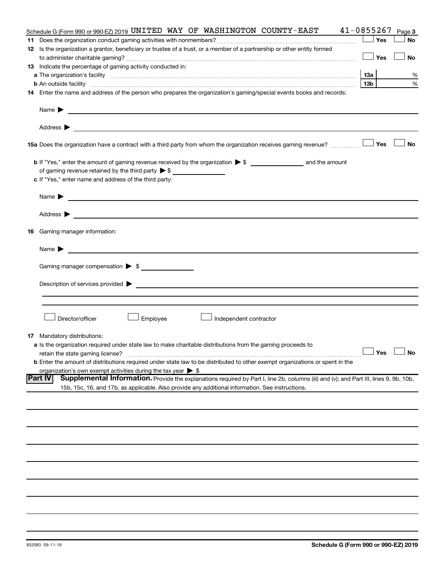| Schedule G (Form 990 or 990-EZ) 2019 UNITED WAY OF WASHINGTON COUNTY-EAST                                                                                                                                                      | 41-0855267          | Page 3    |
|--------------------------------------------------------------------------------------------------------------------------------------------------------------------------------------------------------------------------------|---------------------|-----------|
|                                                                                                                                                                                                                                | Yes                 | <b>No</b> |
| 12 Is the organization a grantor, beneficiary or trustee of a trust, or a member of a partnership or other entity formed                                                                                                       |                     |           |
|                                                                                                                                                                                                                                | ⊥ Yes               | <b>No</b> |
| 13 Indicate the percentage of gaming activity conducted in:                                                                                                                                                                    |                     |           |
|                                                                                                                                                                                                                                | 13a                 | %         |
| <b>b</b> An outside facility <i>www.communicality www.communicality.communicality www.communicality www.communicality.communicality www.communicality.com</i>                                                                  | 13 <sub>b</sub>     | %         |
| 14 Enter the name and address of the person who prepares the organization's gaming/special events books and records:                                                                                                           |                     |           |
| Name $\blacktriangleright$<br><u> 1989 - Johann Barbara, martin a bhaile ann an t-</u>                                                                                                                                         |                     |           |
|                                                                                                                                                                                                                                |                     |           |
| 15 Yes The organization have a contract with a third party from whom the organization receives gaming revenue?                                                                                                                 |                     | <b>No</b> |
|                                                                                                                                                                                                                                |                     |           |
| of gaming revenue retained by the third party $\triangleright$ \$                                                                                                                                                              |                     |           |
| c If "Yes," enter name and address of the third party:                                                                                                                                                                         |                     |           |
|                                                                                                                                                                                                                                |                     |           |
| Name $\blacktriangleright$                                                                                                                                                                                                     |                     |           |
|                                                                                                                                                                                                                                |                     |           |
| <b>16</b> Gaming manager information:                                                                                                                                                                                          |                     |           |
| <u> 1989 - Johann Harry Harry Harry Harry Harry Harry Harry Harry Harry Harry Harry Harry Harry Harry Harry Harry</u><br>Name $\blacktriangleright$                                                                            |                     |           |
| Gaming manager compensation > \$                                                                                                                                                                                               |                     |           |
|                                                                                                                                                                                                                                |                     |           |
| Description of services provided states and the contract of the contract of the contract of the contract of the contract of the contract of the contract of the contract of the contract of the contract of the contract of th |                     |           |
|                                                                                                                                                                                                                                |                     |           |
|                                                                                                                                                                                                                                |                     |           |
| Director/officer<br>Employee<br>Independent contractor                                                                                                                                                                         |                     |           |
| <b>17</b> Mandatory distributions:                                                                                                                                                                                             |                     |           |
| a Is the organization required under state law to make charitable distributions from the gaming proceeds to                                                                                                                    |                     |           |
| retain the state gaming license?                                                                                                                                                                                               | $\Box$ Yes $\ \bot$ | $\Box$ No |
| <b>b</b> Enter the amount of distributions required under state law to be distributed to other exempt organizations or spent in the                                                                                            |                     |           |
| organization's own exempt activities during the tax year $\triangleright$ \$                                                                                                                                                   |                     |           |
| Part IV<br>Supplemental Information. Provide the explanations required by Part I, line 2b, columns (iii) and (v); and Part III, lines 9, 9b, 10b,                                                                              |                     |           |
| 15b, 15c, 16, and 17b, as applicable. Also provide any additional information. See instructions.                                                                                                                               |                     |           |
|                                                                                                                                                                                                                                |                     |           |
|                                                                                                                                                                                                                                |                     |           |
|                                                                                                                                                                                                                                |                     |           |
|                                                                                                                                                                                                                                |                     |           |
|                                                                                                                                                                                                                                |                     |           |
|                                                                                                                                                                                                                                |                     |           |
|                                                                                                                                                                                                                                |                     |           |
|                                                                                                                                                                                                                                |                     |           |
|                                                                                                                                                                                                                                |                     |           |
|                                                                                                                                                                                                                                |                     |           |
|                                                                                                                                                                                                                                |                     |           |
|                                                                                                                                                                                                                                |                     |           |
|                                                                                                                                                                                                                                |                     |           |
|                                                                                                                                                                                                                                |                     |           |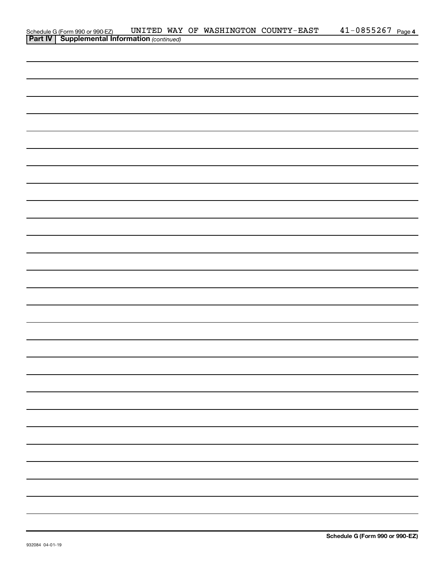|                                                                                                     |  | UNITED WAY OF WASHINGTON COUNTY-EAST | $41 - 0855267$ Page 4 |
|-----------------------------------------------------------------------------------------------------|--|--------------------------------------|-----------------------|
| Schedule G (Form 990 or 990-EZ) UNITED WAY<br><b>Part IV   Supplemental Information</b> (continued) |  |                                      |                       |
|                                                                                                     |  |                                      |                       |
|                                                                                                     |  |                                      |                       |
|                                                                                                     |  |                                      |                       |
|                                                                                                     |  |                                      |                       |
|                                                                                                     |  |                                      |                       |
|                                                                                                     |  |                                      |                       |
|                                                                                                     |  |                                      |                       |
|                                                                                                     |  |                                      |                       |
|                                                                                                     |  |                                      |                       |
|                                                                                                     |  |                                      |                       |
|                                                                                                     |  |                                      |                       |
|                                                                                                     |  |                                      |                       |
|                                                                                                     |  |                                      |                       |
|                                                                                                     |  |                                      |                       |
|                                                                                                     |  |                                      |                       |
|                                                                                                     |  |                                      |                       |
|                                                                                                     |  |                                      |                       |
|                                                                                                     |  |                                      |                       |
|                                                                                                     |  |                                      |                       |
|                                                                                                     |  |                                      |                       |
|                                                                                                     |  |                                      |                       |
|                                                                                                     |  |                                      |                       |
|                                                                                                     |  |                                      |                       |
|                                                                                                     |  |                                      |                       |
|                                                                                                     |  |                                      |                       |
|                                                                                                     |  |                                      |                       |
|                                                                                                     |  |                                      |                       |
|                                                                                                     |  |                                      |                       |
|                                                                                                     |  |                                      |                       |
|                                                                                                     |  |                                      |                       |
|                                                                                                     |  |                                      |                       |
|                                                                                                     |  |                                      |                       |
|                                                                                                     |  |                                      |                       |
|                                                                                                     |  |                                      |                       |
|                                                                                                     |  |                                      |                       |
|                                                                                                     |  |                                      |                       |
|                                                                                                     |  |                                      |                       |
|                                                                                                     |  |                                      |                       |
|                                                                                                     |  |                                      |                       |
|                                                                                                     |  |                                      |                       |
|                                                                                                     |  |                                      |                       |
|                                                                                                     |  |                                      |                       |
|                                                                                                     |  |                                      |                       |
|                                                                                                     |  |                                      |                       |
|                                                                                                     |  |                                      |                       |
|                                                                                                     |  |                                      |                       |
|                                                                                                     |  |                                      |                       |
|                                                                                                     |  |                                      |                       |
|                                                                                                     |  |                                      |                       |
|                                                                                                     |  |                                      |                       |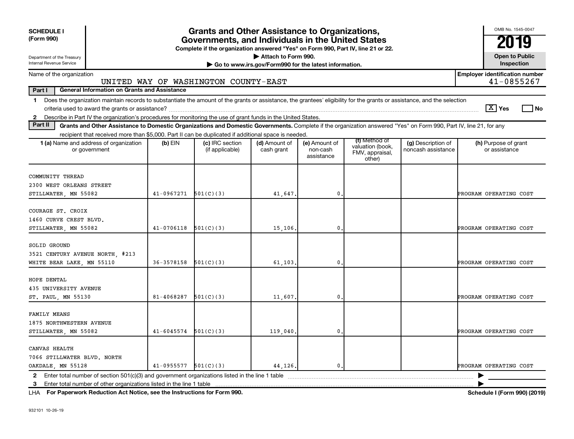| <b>SCHEDULE I</b><br>(Form 990)                                                                                                                                                                                                                                                                                                          |                                                                                                                                                                             | <b>Grants and Other Assistance to Organizations,</b><br>Governments, and Individuals in the United States<br>Complete if the organization answered "Yes" on Form 990, Part IV, line 21 or 22. |                                      |                                                                              |                                         |                                                                |                                          |                                                     |  |  |  |  |  |
|------------------------------------------------------------------------------------------------------------------------------------------------------------------------------------------------------------------------------------------------------------------------------------------------------------------------------------------|-----------------------------------------------------------------------------------------------------------------------------------------------------------------------------|-----------------------------------------------------------------------------------------------------------------------------------------------------------------------------------------------|--------------------------------------|------------------------------------------------------------------------------|-----------------------------------------|----------------------------------------------------------------|------------------------------------------|-----------------------------------------------------|--|--|--|--|--|
| Department of the Treasury<br>Internal Revenue Service                                                                                                                                                                                                                                                                                   |                                                                                                                                                                             |                                                                                                                                                                                               |                                      | Attach to Form 990.<br>Go to www.irs.gov/Form990 for the latest information. |                                         |                                                                |                                          | <b>Open to Public</b><br>Inspection                 |  |  |  |  |  |
| Name of the organization                                                                                                                                                                                                                                                                                                                 |                                                                                                                                                                             |                                                                                                                                                                                               | UNITED WAY OF WASHINGTON COUNTY-EAST |                                                                              |                                         |                                                                |                                          | <b>Employer identification number</b><br>41-0855267 |  |  |  |  |  |
| Part I<br><b>General Information on Grants and Assistance</b>                                                                                                                                                                                                                                                                            |                                                                                                                                                                             |                                                                                                                                                                                               |                                      |                                                                              |                                         |                                                                |                                          |                                                     |  |  |  |  |  |
| Does the organization maintain records to substantiate the amount of the grants or assistance, the grantees' eligibility for the grants or assistance, and the selection<br>$\mathbf 1$<br>$ \mathbf{X} $ Yes<br>l No<br>2 Describe in Part IV the organization's procedures for monitoring the use of grant funds in the United States. |                                                                                                                                                                             |                                                                                                                                                                                               |                                      |                                                                              |                                         |                                                                |                                          |                                                     |  |  |  |  |  |
| Part II                                                                                                                                                                                                                                                                                                                                  | Grants and Other Assistance to Domestic Organizations and Domestic Governments. Complete if the organization answered "Yes" on Form 990, Part IV, line 21, for any          |                                                                                                                                                                                               |                                      |                                                                              |                                         |                                                                |                                          |                                                     |  |  |  |  |  |
|                                                                                                                                                                                                                                                                                                                                          | recipient that received more than \$5,000. Part II can be duplicated if additional space is needed.                                                                         |                                                                                                                                                                                               |                                      |                                                                              |                                         |                                                                |                                          |                                                     |  |  |  |  |  |
|                                                                                                                                                                                                                                                                                                                                          | 1 (a) Name and address of organization<br>or government                                                                                                                     | $(b)$ EIN                                                                                                                                                                                     | (c) IRC section<br>(if applicable)   | (d) Amount of<br>cash grant                                                  | (e) Amount of<br>non-cash<br>assistance | (f) Method of<br>valuation (book.<br>FMV, appraisal,<br>other) | (g) Description of<br>noncash assistance | (h) Purpose of grant<br>or assistance               |  |  |  |  |  |
| COMMUNITY THREAD<br>2300 WEST ORLEANS STREET<br>STILLWATER, MN 55082                                                                                                                                                                                                                                                                     |                                                                                                                                                                             | $41-0967271$ 501(C)(3)                                                                                                                                                                        |                                      | 41,647.                                                                      | $\mathbf{0}$                            |                                                                |                                          | PROGRAM OPERATING COST                              |  |  |  |  |  |
| COURAGE ST. CROIX<br>1460 CURVE CREST BLVD.<br>STILLWATER, MN 55082                                                                                                                                                                                                                                                                      |                                                                                                                                                                             | $41-0706118$ $501(C)(3)$                                                                                                                                                                      |                                      | 15,106.                                                                      | $\mathbf{0}$                            |                                                                |                                          | PROGRAM OPERATING COST                              |  |  |  |  |  |
| SOLID GROUND<br>WHITE BEAR LAKE, MN 55110                                                                                                                                                                                                                                                                                                | 3521 CENTURY AVENUE NORTH, #213                                                                                                                                             | $36-3578158$ $501(C)(3)$                                                                                                                                                                      |                                      | 61,103.                                                                      | $\mathbf{0}$                            |                                                                |                                          | PROGRAM OPERATING COST                              |  |  |  |  |  |
| HOPE DENTAL<br>435 UNIVERSITY AVENUE<br>ST. PAUL, MN 55130                                                                                                                                                                                                                                                                               |                                                                                                                                                                             | 81-4068287                                                                                                                                                                                    | 501(C)(3)                            | 11,607.                                                                      | $\mathbf{0}$                            |                                                                |                                          | PROGRAM OPERATING COST                              |  |  |  |  |  |
| FAMILY MEANS<br>1875 NORTHWESTERN AVENUE<br>STILLWATER, MN 55082                                                                                                                                                                                                                                                                         |                                                                                                                                                                             | $41-6045574$ $501(C)(3)$                                                                                                                                                                      |                                      | 119,040                                                                      | $\mathbf{0}$                            |                                                                |                                          | PROGRAM OPERATING COST                              |  |  |  |  |  |
| CANVAS HEALTH<br>7066 STILLWATER BLVD. NORTH<br>OAKDALE, MN 55128                                                                                                                                                                                                                                                                        |                                                                                                                                                                             | $41-0955577$ $501(C)(3)$                                                                                                                                                                      |                                      | 44,126.                                                                      | $\mathbf{0}$ .                          |                                                                |                                          | PROGRAM OPERATING COST                              |  |  |  |  |  |
|                                                                                                                                                                                                                                                                                                                                          | 2 Enter total number of section 501(c)(3) and government organizations listed in the line 1 table<br>3 Enter total number of other organizations listed in the line 1 table |                                                                                                                                                                                               |                                      |                                                                              |                                         |                                                                |                                          |                                                     |  |  |  |  |  |
|                                                                                                                                                                                                                                                                                                                                          |                                                                                                                                                                             |                                                                                                                                                                                               |                                      |                                                                              |                                         |                                                                |                                          |                                                     |  |  |  |  |  |

**For Paperwork Reduction Act Notice, see the Instructions for Form 990. Schedule I (Form 990) (2019)** LHA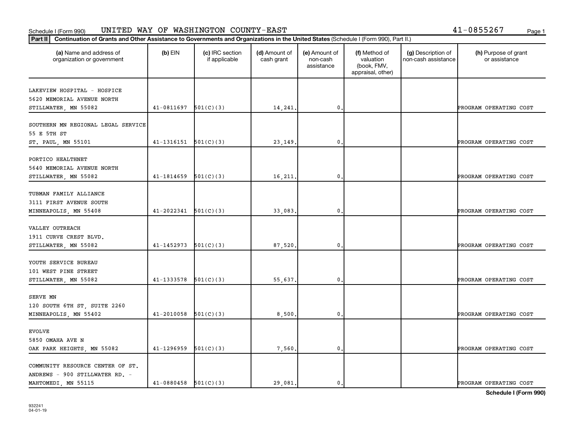#### Schedule I (Form 990) Page 1 UNITED WAY OF WASHINGTON COUNTY-EAST 41-0855267

| 41-0855267 |  |  |  | Page |
|------------|--|--|--|------|
|            |  |  |  |      |

| (a) Name and address of<br>organization or government                   | $(b)$ EIN                | (c) IRC section<br>if applicable | (d) Amount of<br>cash grant | (e) Amount of<br>non-cash<br>assistance | (f) Method of<br>valuation<br>(book, FMV,<br>appraisal, other) | (g) Description of<br>non-cash assistance | (h) Purpose of grant<br>or assistance |
|-------------------------------------------------------------------------|--------------------------|----------------------------------|-----------------------------|-----------------------------------------|----------------------------------------------------------------|-------------------------------------------|---------------------------------------|
| LAKEVIEW HOSPITAL - HOSPICE<br>5620 MEMORIAL AVENUE NORTH               |                          |                                  |                             |                                         |                                                                |                                           |                                       |
| STILLWATER, MN 55082                                                    | 41-0811697               | 501(C)(3)                        | 14,241.                     | $\mathbf{0}$                            |                                                                |                                           | PROGRAM OPERATING COST                |
| SOUTHERN MN REGIONAL LEGAL SERVICE<br>55 E 5TH ST                       | 41-1316151               | 501(C)(3)                        |                             | $\mathbf{0}$                            |                                                                |                                           |                                       |
| ST. PAUL, MN 55101                                                      |                          |                                  | 23, 149.                    |                                         |                                                                |                                           | PROGRAM OPERATING COST                |
| PORTICO HEALTHNET<br>5640 MEMORIAL AVENUE NORTH<br>STILLWATER, MN 55082 | 41-1814659               | 501(C)(3)                        | 16,211.                     | $\mathbf 0$ .                           |                                                                |                                           | PROGRAM OPERATING COST                |
|                                                                         |                          |                                  |                             |                                         |                                                                |                                           |                                       |
| TUBMAN FAMILY ALLIANCE<br>3111 FIRST AVENUE SOUTH                       |                          |                                  |                             |                                         |                                                                |                                           |                                       |
| MINNEAPOLIS, MN 55408                                                   | 41-2022341               | 501(C)(3)                        | 33,083.                     | $\mathbf{0}$                            |                                                                |                                           | PROGRAM OPERATING COST                |
| VALLEY OUTREACH<br>1911 CURVE CREST BLVD.                               |                          |                                  |                             |                                         |                                                                |                                           |                                       |
| STILLWATER, MN 55082                                                    | 41-1452973               | 501(C)(3)                        | 87,520                      | $\mathbf{0}$                            |                                                                |                                           | PROGRAM OPERATING COST                |
| YOUTH SERVICE BUREAU<br>101 WEST PINE STREET<br>STILLWATER, MN 55082    | $41-1333578$ $501(C)(3)$ |                                  | 55,637.                     | $\mathbf{0}$                            |                                                                |                                           | PROGRAM OPERATING COST                |
|                                                                         |                          |                                  |                             |                                         |                                                                |                                           |                                       |
| SERVE MN<br>120 SOUTH 6TH ST, SUITE 2260                                |                          |                                  |                             |                                         |                                                                |                                           |                                       |
| MINNEAPOLIS, MN 55402                                                   | $41 - 2010058$           | 501(C)(3)                        | 8,500.                      | $\mathbf 0$                             |                                                                |                                           | PROGRAM OPERATING COST                |
| <b>EVOLVE</b><br>5850 OMAHA AVE N                                       |                          |                                  |                             |                                         |                                                                |                                           |                                       |
| OAK PARK HEIGHTS, MN 55082                                              | 41-1296959               | 501(C)(3)                        | 7,560                       | $\mathbf{0}$                            |                                                                |                                           | PROGRAM OPERATING COST                |
| COMMUNITY RESOURCE CENTER OF ST.<br>ANDREWS - 900 STILLWATER RD. -      |                          |                                  |                             |                                         |                                                                |                                           |                                       |
| MAHTOMEDI, MN 55115                                                     | $41-0880458$ $501(C)(3)$ |                                  | 29,081.                     | $\mathbf{0}$ .                          |                                                                |                                           | PROGRAM OPERATING COST                |

**Schedule I (Form 990)**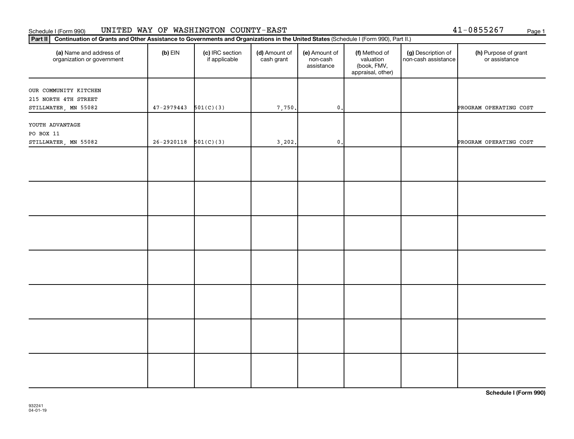## Schedule I (Form 990) UNITED WAY OF WASHINGTON COUNTY-EAST Page 1

|  |  | 41-0855267 | Page |
|--|--|------------|------|
|  |  |            |      |

| Part II   Continuation of Grants and Other Assistance to Governments and Organizations in the United States (Schedule I (Form 990), Part II.) |                        |                                  |                             |                                         |                                                                |                                           |                                       |
|-----------------------------------------------------------------------------------------------------------------------------------------------|------------------------|----------------------------------|-----------------------------|-----------------------------------------|----------------------------------------------------------------|-------------------------------------------|---------------------------------------|
| (a) Name and address of<br>organization or government                                                                                         | $(b)$ EIN              | (c) IRC section<br>if applicable | (d) Amount of<br>cash grant | (e) Amount of<br>non-cash<br>assistance | (f) Method of<br>valuation<br>(book, FMV,<br>appraisal, other) | (g) Description of<br>non-cash assistance | (h) Purpose of grant<br>or assistance |
| OUR COMMUNITY KITCHEN                                                                                                                         |                        |                                  |                             |                                         |                                                                |                                           |                                       |
| 215 NORTH 4TH STREET                                                                                                                          |                        |                                  |                             |                                         |                                                                |                                           |                                       |
| STILLWATER, MN 55082                                                                                                                          | $47 - 2979443$         | 501(C)(3)                        | 7,750.                      | $\mathbf{0}$                            |                                                                |                                           | PROGRAM OPERATING COST                |
| YOUTH ADVANTAGE<br>PO BOX 11                                                                                                                  |                        |                                  |                             |                                         |                                                                |                                           |                                       |
| STILLWATER, MN 55082                                                                                                                          | $26-2920118$ 501(C)(3) |                                  | 3,202.                      | $\mathfrak o$ .                         |                                                                |                                           | PROGRAM OPERATING COST                |
|                                                                                                                                               |                        |                                  |                             |                                         |                                                                |                                           |                                       |
|                                                                                                                                               |                        |                                  |                             |                                         |                                                                |                                           |                                       |
|                                                                                                                                               |                        |                                  |                             |                                         |                                                                |                                           |                                       |
|                                                                                                                                               |                        |                                  |                             |                                         |                                                                |                                           |                                       |
|                                                                                                                                               |                        |                                  |                             |                                         |                                                                |                                           |                                       |
|                                                                                                                                               |                        |                                  |                             |                                         |                                                                |                                           |                                       |
|                                                                                                                                               |                        |                                  |                             |                                         |                                                                |                                           |                                       |
|                                                                                                                                               |                        |                                  |                             |                                         |                                                                |                                           |                                       |
|                                                                                                                                               |                        |                                  |                             |                                         |                                                                |                                           |                                       |
|                                                                                                                                               |                        |                                  |                             |                                         |                                                                |                                           |                                       |
|                                                                                                                                               |                        |                                  |                             |                                         |                                                                |                                           |                                       |
|                                                                                                                                               |                        |                                  |                             |                                         |                                                                |                                           |                                       |
|                                                                                                                                               |                        |                                  |                             |                                         |                                                                |                                           |                                       |
|                                                                                                                                               |                        |                                  |                             |                                         |                                                                |                                           |                                       |
|                                                                                                                                               |                        |                                  |                             |                                         |                                                                |                                           |                                       |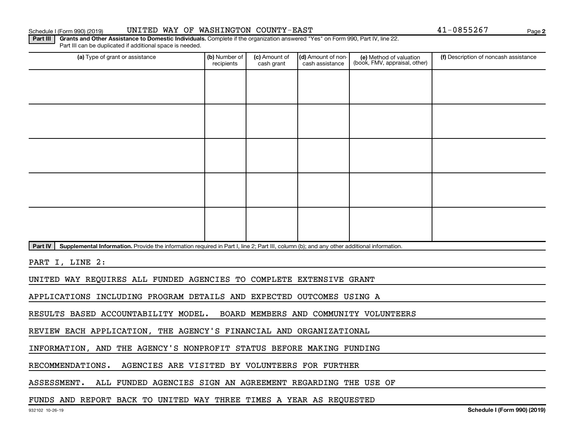## Schedule I (Form 990) (2019) UNITED WAY OF WASHINGTON COUNTY-EAST Page

**2**

Part III | Grants and Other Assistance to Domestic Individuals. Complete if the organization answered "Yes" on Form 990, Part IV, line 22. Part III can be duplicated if additional space is needed.

| (a) Type of grant or assistance                                                                                                                      | (b) Number of<br>recipients | (c) Amount of<br>cash grant | (d) Amount of non-<br>cash assistance | (e) Method of valuation<br>(book, FMV, appraisal, other) | (f) Description of noncash assistance |
|------------------------------------------------------------------------------------------------------------------------------------------------------|-----------------------------|-----------------------------|---------------------------------------|----------------------------------------------------------|---------------------------------------|
|                                                                                                                                                      |                             |                             |                                       |                                                          |                                       |
|                                                                                                                                                      |                             |                             |                                       |                                                          |                                       |
|                                                                                                                                                      |                             |                             |                                       |                                                          |                                       |
|                                                                                                                                                      |                             |                             |                                       |                                                          |                                       |
|                                                                                                                                                      |                             |                             |                                       |                                                          |                                       |
|                                                                                                                                                      |                             |                             |                                       |                                                          |                                       |
|                                                                                                                                                      |                             |                             |                                       |                                                          |                                       |
|                                                                                                                                                      |                             |                             |                                       |                                                          |                                       |
|                                                                                                                                                      |                             |                             |                                       |                                                          |                                       |
|                                                                                                                                                      |                             |                             |                                       |                                                          |                                       |
| Part IV<br>Supplemental Information. Provide the information required in Part I, line 2; Part III, column (b); and any other additional information. |                             |                             |                                       |                                                          |                                       |

PART I, LINE 2:

UNITED WAY REQUIRES ALL FUNDED AGENCIES TO COMPLETE EXTENSIVE GRANT

APPLICATIONS INCLUDING PROGRAM DETAILS AND EXPECTED OUTCOMES USING A

RESULTS BASED ACCOUNTABILITY MODEL. BOARD MEMBERS AND COMMUNITY VOLUNTEERS

REVIEW EACH APPLICATION, THE AGENCY'S FINANCIAL AND ORGANIZATIONAL

INFORMATION, AND THE AGENCY'S NONPROFIT STATUS BEFORE MAKING FUNDING

RECOMMENDATIONS. AGENCIES ARE VISITED BY VOLUNTEERS FOR FURTHER

ASSESSMENT. ALL FUNDED AGENCIES SIGN AN AGREEMENT REGARDING THE USE OF

## FUNDS AND REPORT BACK TO UNITED WAY THREE TIMES A YEAR AS REQUESTED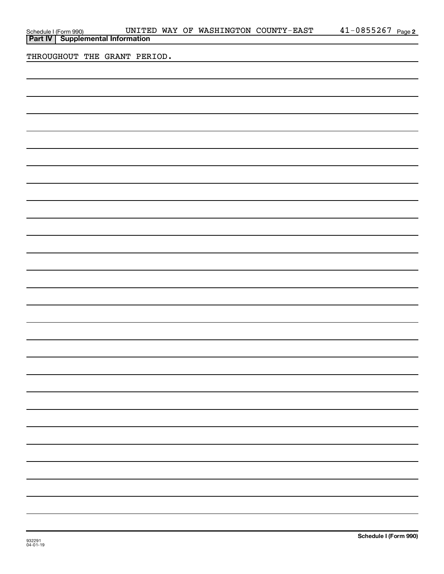| Schedule I (Form 990) UNITE<br><b>Part IV</b> Supplemental Information |  |  |  | UNITED WAY OF WASHINGTON COUNTY-EAST | $41 - 0855267$ Page 2 |  |
|------------------------------------------------------------------------|--|--|--|--------------------------------------|-----------------------|--|
|                                                                        |  |  |  |                                      |                       |  |
| THROUGHOUT THE GRANT PERIOD.                                           |  |  |  |                                      |                       |  |
|                                                                        |  |  |  |                                      |                       |  |
|                                                                        |  |  |  |                                      |                       |  |
|                                                                        |  |  |  |                                      |                       |  |
|                                                                        |  |  |  |                                      |                       |  |
|                                                                        |  |  |  |                                      |                       |  |
|                                                                        |  |  |  |                                      |                       |  |
|                                                                        |  |  |  |                                      |                       |  |
|                                                                        |  |  |  |                                      |                       |  |
|                                                                        |  |  |  |                                      |                       |  |
|                                                                        |  |  |  |                                      |                       |  |
|                                                                        |  |  |  |                                      |                       |  |
|                                                                        |  |  |  |                                      |                       |  |
|                                                                        |  |  |  |                                      |                       |  |
|                                                                        |  |  |  |                                      |                       |  |
|                                                                        |  |  |  |                                      |                       |  |
|                                                                        |  |  |  |                                      |                       |  |
|                                                                        |  |  |  |                                      |                       |  |
|                                                                        |  |  |  |                                      |                       |  |
|                                                                        |  |  |  |                                      |                       |  |
|                                                                        |  |  |  |                                      |                       |  |
|                                                                        |  |  |  |                                      |                       |  |
|                                                                        |  |  |  |                                      |                       |  |
|                                                                        |  |  |  |                                      |                       |  |
|                                                                        |  |  |  |                                      |                       |  |
|                                                                        |  |  |  |                                      |                       |  |
|                                                                        |  |  |  |                                      |                       |  |
|                                                                        |  |  |  |                                      |                       |  |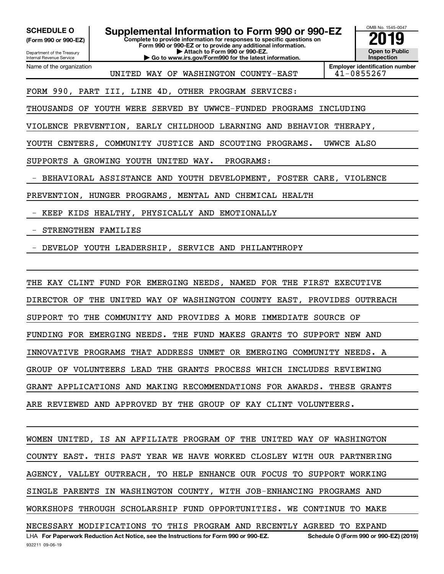Department of the Treasury **(Form 990 or 990-EZ)**

Name of the organization

Internal Revenue Service

SCHEDULE O **Supplemental Information to Form 990 or 990-EZ** 2019<br>(Form 990 or 990-EZ)

**Complete to provide information for responses to specific questions on Form 990 or 990-EZ or to provide any additional information. | Attach to Form 990 or 990-EZ.**

**| Go to www.irs.gov/Form990 for the latest information.**



UNITED WAY OF WASHINGTON COUNTY-EAST 41-0855267

**Employer identification number**

## FORM 990, PART III, LINE 4D, OTHER PROGRAM SERVICES:

THOUSANDS OF YOUTH WERE SERVED BY UWWCE-FUNDED PROGRAMS INCLUDING

VIOLENCE PREVENTION, EARLY CHILDHOOD LEARNING AND BEHAVIOR THERAPY,

YOUTH CENTERS, COMMUNITY JUSTICE AND SCOUTING PROGRAMS. UWWCE ALSO

SUPPORTS A GROWING YOUTH UNITED WAY. PROGRAMS:

- BEHAVIORAL ASSISTANCE AND YOUTH DEVELOPMENT, FOSTER CARE, VIOLENCE

PREVENTION, HUNGER PROGRAMS, MENTAL AND CHEMICAL HEALTH

- KEEP KIDS HEALTHY, PHYSICALLY AND EMOTIONALLY

# - STRENGTHEN FAMILIES

- DEVELOP YOUTH LEADERSHIP, SERVICE AND PHILANTHROPY

THE KAY CLINT FUND FOR EMERGING NEEDS, NAMED FOR THE FIRST EXECUTIVE DIRECTOR OF THE UNITED WAY OF WASHINGTON COUNTY EAST, PROVIDES OUTREACH SUPPORT TO THE COMMUNITY AND PROVIDES A MORE IMMEDIATE SOURCE OF FUNDING FOR EMERGING NEEDS. THE FUND MAKES GRANTS TO SUPPORT NEW AND INNOVATIVE PROGRAMS THAT ADDRESS UNMET OR EMERGING COMMUNITY NEEDS. A GROUP OF VOLUNTEERS LEAD THE GRANTS PROCESS WHICH INCLUDES REVIEWING GRANT APPLICATIONS AND MAKING RECOMMENDATIONS FOR AWARDS. THESE GRANTS ARE REVIEWED AND APPROVED BY THE GROUP OF KAY CLINT VOLUNTEERS.

LHA For Paperwork Reduction Act Notice, see the Instructions for Form 990 or 990-EZ. Schedule O (Form 990 or 990-EZ) (2019) WOMEN UNITED, IS AN AFFILIATE PROGRAM OF THE UNITED WAY OF WASHINGTON COUNTY EAST. THIS PAST YEAR WE HAVE WORKED CLOSLEY WITH OUR PARTNERING AGENCY, VALLEY OUTREACH, TO HELP ENHANCE OUR FOCUS TO SUPPORT WORKING SINGLE PARENTS IN WASHINGTON COUNTY, WITH JOB-ENHANCING PROGRAMS AND WORKSHOPS THROUGH SCHOLARSHIP FUND OPPORTUNITIES. WE CONTINUE TO MAKE NECESSARY MODIFICATIONS TO THIS PROGRAM AND RECENTLY AGREED TO EXPAND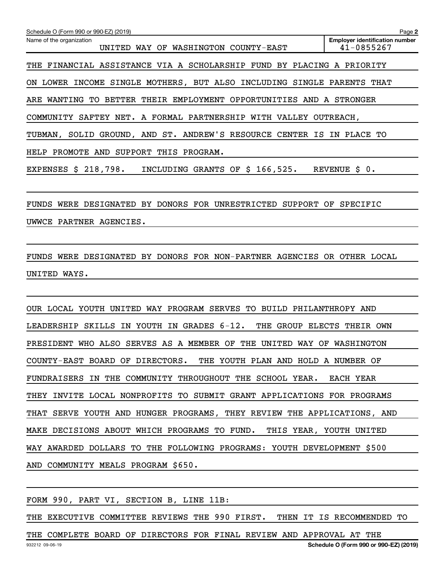| Schedule O (Form 990 or 990-EZ) (2019)                                  | Page 2                                              |  |  |  |  |  |  |  |
|-------------------------------------------------------------------------|-----------------------------------------------------|--|--|--|--|--|--|--|
| Name of the organization<br>UNITED WAY OF WASHINGTON COUNTY-EAST        | <b>Employer identification number</b><br>41-0855267 |  |  |  |  |  |  |  |
| THE FINANCIAL ASSISTANCE VIA A SCHOLARSHIP FUND BY PLACING A PRIORITY   |                                                     |  |  |  |  |  |  |  |
| ON LOWER INCOME SINGLE MOTHERS, BUT ALSO INCLUDING SINGLE PARENTS THAT  |                                                     |  |  |  |  |  |  |  |
| ARE WANTING TO BETTER THEIR EMPLOYMENT OPPORTUNITIES AND A STRONGER     |                                                     |  |  |  |  |  |  |  |
| COMMUNITY SAFTEY NET. A FORMAL PARTNERSHIP WITH VALLEY OUTREACH,        |                                                     |  |  |  |  |  |  |  |
| TUBMAN, SOLID GROUND, AND ST. ANDREW'S RESOURCE CENTER IS IN PLACE TO   |                                                     |  |  |  |  |  |  |  |
| HELP PROMOTE AND SUPPORT THIS PROGRAM.                                  |                                                     |  |  |  |  |  |  |  |
| EXPENSES $$218,798.$<br>INCLUDING GRANTS OF \$ 166,525. REVENUE \$ 0.   |                                                     |  |  |  |  |  |  |  |
|                                                                         |                                                     |  |  |  |  |  |  |  |
| FUNDS WERE DESIGNATED BY DONORS FOR UNRESTRICTED SUPPORT OF SPECIFIC    |                                                     |  |  |  |  |  |  |  |
| UWWCE PARTNER AGENCIES.                                                 |                                                     |  |  |  |  |  |  |  |
|                                                                         |                                                     |  |  |  |  |  |  |  |
| FUNDS WERE DESIGNATED BY DONORS FOR NON-PARTNER AGENCIES OR OTHER LOCAL |                                                     |  |  |  |  |  |  |  |
| UNITED WAYS.                                                            |                                                     |  |  |  |  |  |  |  |
|                                                                         |                                                     |  |  |  |  |  |  |  |
| OUR LOCAL YOUTH UNITED WAY PROGRAM SERVES TO BUILD PHILANTHROPY AND     |                                                     |  |  |  |  |  |  |  |

LEADERSHIP SKILLS IN YOUTH IN GRADES 6-12. THE GROUP ELECTS THEIR OWN PRESIDENT WHO ALSO SERVES AS A MEMBER OF THE UNITED WAY OF WASHINGTON COUNTY-EAST BOARD OF DIRECTORS. THE YOUTH PLAN AND HOLD A NUMBER OF FUNDRAISERS IN THE COMMUNITY THROUGHOUT THE SCHOOL YEAR. EACH YEAR THEY INVITE LOCAL NONPROFITS TO SUBMIT GRANT APPLICATIONS FOR PROGRAMS THAT SERVE YOUTH AND HUNGER PROGRAMS, THEY REVIEW THE APPLICATIONS, AND MAKE DECISIONS ABOUT WHICH PROGRAMS TO FUND. THIS YEAR, YOUTH UNITED WAY AWARDED DOLLARS TO THE FOLLOWING PROGRAMS: YOUTH DEVELOPMENT \$500 AND COMMUNITY MEALS PROGRAM \$650.

FORM 990, PART VI, SECTION B, LINE 11B:

THE EXECUTIVE COMMITTEE REVIEWS THE 990 FIRST. THEN IT IS RECOMMENDED TO